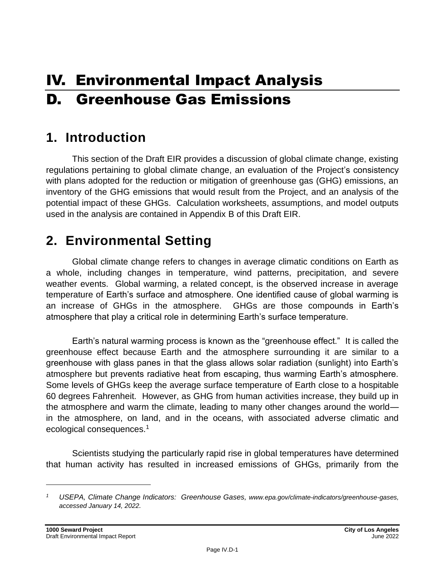# IV. Environmental Impact Analysis D. Greenhouse Gas Emissions

# **1. Introduction**

This section of the Draft EIR provides a discussion of global climate change, existing regulations pertaining to global climate change, an evaluation of the Project's consistency with plans adopted for the reduction or mitigation of greenhouse gas (GHG) emissions, an inventory of the GHG emissions that would result from the Project, and an analysis of the potential impact of these GHGs. Calculation worksheets, assumptions, and model outputs used in the analysis are contained in Appendix B of this Draft EIR.

# **2. Environmental Setting**

Global climate change refers to changes in average climatic conditions on Earth as a whole, including changes in temperature, wind patterns, precipitation, and severe weather events. Global warming, a related concept, is the observed increase in average temperature of Earth's surface and atmosphere. One identified cause of global warming is an increase of GHGs in the atmosphere. GHGs are those compounds in Earth's atmosphere that play a critical role in determining Earth's surface temperature.

Earth's natural warming process is known as the "greenhouse effect." It is called the greenhouse effect because Earth and the atmosphere surrounding it are similar to a greenhouse with glass panes in that the glass allows solar radiation (sunlight) into Earth's atmosphere but prevents radiative heat from escaping, thus warming Earth's atmosphere. Some levels of GHGs keep the average surface temperature of Earth close to a hospitable 60 degrees Fahrenheit. However, as GHG from human activities increase, they build up in the atmosphere and warm the climate, leading to many other changes around the world in the atmosphere, on land, and in the oceans, with associated adverse climatic and ecological consequences.<sup>1</sup>

Scientists studying the particularly rapid rise in global temperatures have determined that human activity has resulted in increased emissions of GHGs, primarily from the

*<sup>1</sup> USEPA, Climate Change Indicators: Greenhouse Gases, www.epa.gov/climate-indicators/greenhouse-gases, accessed January 14, 2022.*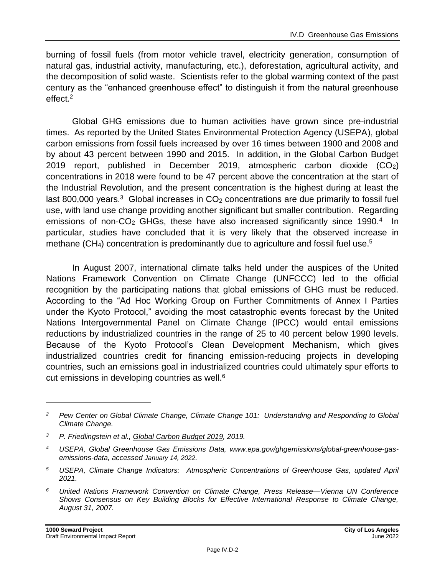burning of fossil fuels (from motor vehicle travel, electricity generation, consumption of natural gas, industrial activity, manufacturing, etc.), deforestation, agricultural activity, and the decomposition of solid waste. Scientists refer to the global warming context of the past century as the "enhanced greenhouse effect" to distinguish it from the natural greenhouse effect. 2

Global GHG emissions due to human activities have grown since pre-industrial times. As reported by the United States Environmental Protection Agency (USEPA), global carbon emissions from fossil fuels increased by over 16 times between 1900 and 2008 and by about 43 percent between 1990 and 2015. In addition, in the Global Carbon Budget 2019 report, published in December 2019, atmospheric carbon dioxide (CO2) concentrations in 2018 were found to be 47 percent above the concentration at the start of the Industrial Revolution, and the present concentration is the highest during at least the last 800,000 years.<sup>3</sup> Global increases in  $CO<sub>2</sub>$  concentrations are due primarily to fossil fuel use, with land use change providing another significant but smaller contribution. Regarding emissions of non-CO<sub>2</sub> GHGs, these have also increased significantly since 1990.<sup>4</sup> In particular, studies have concluded that it is very likely that the observed increase in methane (CH<sub>4</sub>) concentration is predominantly due to agriculture and fossil fuel use.<sup>5</sup>

In August 2007, international climate talks held under the auspices of the United Nations Framework Convention on Climate Change (UNFCCC) led to the official recognition by the participating nations that global emissions of GHG must be reduced. According to the "Ad Hoc Working Group on Further Commitments of Annex I Parties under the Kyoto Protocol," avoiding the most catastrophic events forecast by the United Nations Intergovernmental Panel on Climate Change (IPCC) would entail emissions reductions by industrialized countries in the range of 25 to 40 percent below 1990 levels. Because of the Kyoto Protocol's Clean Development Mechanism, which gives industrialized countries credit for financing emission-reducing projects in developing countries, such an emissions goal in industrialized countries could ultimately spur efforts to cut emissions in developing countries as well.<sup>6</sup>

*<sup>2</sup> Pew Center on Global Climate Change, Climate Change 101: Understanding and Responding to Global Climate Change.*

*<sup>3</sup> P. Friedlingstein et al., Global Carbon Budget 2019, 2019.*

*<sup>4</sup> USEPA, Global Greenhouse Gas Emissions Data, www.epa.gov/ghgemissions/global-greenhouse-gasemissions-data, accessed January 14, 2022.*

*<sup>5</sup> USEPA, Climate Change Indicators: Atmospheric Concentrations of Greenhouse Gas, updated April 2021.*

*<sup>6</sup> United Nations Framework Convention on Climate Change, Press Release—Vienna UN Conference Shows Consensus on Key Building Blocks for Effective International Response to Climate Change, August 31, 2007.*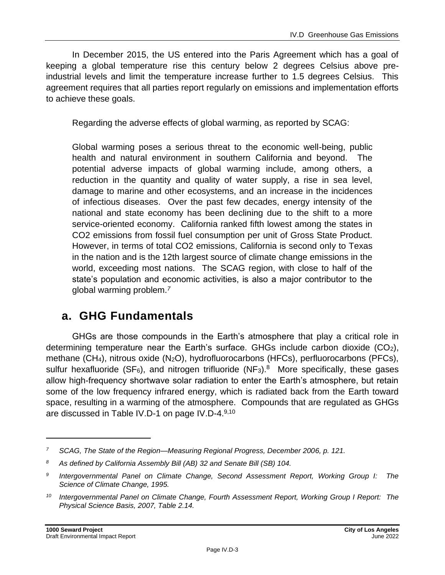In December 2015, the US entered into the Paris Agreement which has a goal of keeping a global temperature rise this century below 2 degrees Celsius above preindustrial levels and limit the temperature increase further to 1.5 degrees Celsius. This agreement requires that all parties report regularly on emissions and implementation efforts to achieve these goals.

Regarding the adverse effects of global warming, as reported by SCAG:

Global warming poses a serious threat to the economic well-being, public health and natural environment in southern California and beyond. The potential adverse impacts of global warming include, among others, a reduction in the quantity and quality of water supply, a rise in sea level, damage to marine and other ecosystems, and an increase in the incidences of infectious diseases. Over the past few decades, energy intensity of the national and state economy has been declining due to the shift to a more service-oriented economy. California ranked fifth lowest among the states in CO2 emissions from fossil fuel consumption per unit of Gross State Product. However, in terms of total CO2 emissions, California is second only to Texas in the nation and is the 12th largest source of climate change emissions in the world, exceeding most nations. The SCAG region, with close to half of the state's population and economic activities, is also a major contributor to the global warming problem.*<sup>7</sup>*

# **a. GHG Fundamentals**

GHGs are those compounds in the Earth's atmosphere that play a critical role in determining temperature near the Earth's surface. GHGs include carbon dioxide  $(CO<sub>2</sub>)$ , methane (CH4), nitrous oxide (N2O), hydrofluorocarbons (HFCs), perfluorocarbons (PFCs), sulfur hexafluoride (SF<sub>6</sub>), and nitrogen trifluoride (NF<sub>3</sub>).<sup>8</sup> More specifically, these gases allow high-frequency shortwave solar radiation to enter the Earth's atmosphere, but retain some of the low frequency infrared energy, which is radiated back from the Earth toward space, resulting in a warming of the atmosphere. Compounds that are regulated as GHGs are discussed in Table IV.D-1 on page IV.D-4.<sup>9,10</sup>

*<sup>7</sup> SCAG, The State of the Region—Measuring Regional Progress, December 2006, p. 121.*

*<sup>8</sup> As defined by California Assembly Bill (AB) 32 and Senate Bill (SB) 104.*

*<sup>9</sup> Intergovernmental Panel on Climate Change, Second Assessment Report, Working Group I: The Science of Climate Change, 1995.*

*<sup>10</sup> Intergovernmental Panel on Climate Change, Fourth Assessment Report, Working Group I Report: The Physical Science Basis, 2007, Table 2.14.*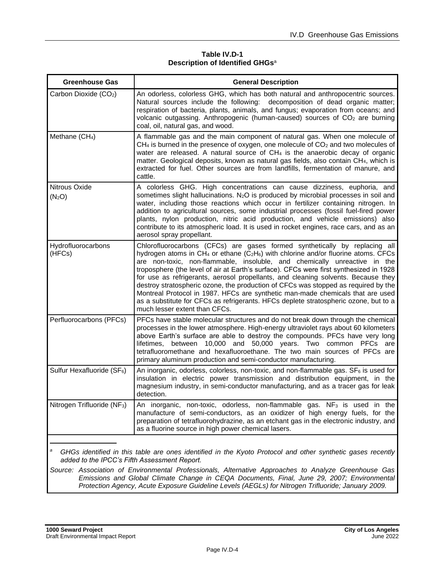#### **Table IV.D-1 Description of Identified GHGs**<sup>a</sup>

| <b>Greenhouse Gas</b>                   | <b>General Description</b>                                                                                                                                                                                                                                                                                                                                                                                                                                                                                                                                                                                                                                                                                                                                        |
|-----------------------------------------|-------------------------------------------------------------------------------------------------------------------------------------------------------------------------------------------------------------------------------------------------------------------------------------------------------------------------------------------------------------------------------------------------------------------------------------------------------------------------------------------------------------------------------------------------------------------------------------------------------------------------------------------------------------------------------------------------------------------------------------------------------------------|
| Carbon Dioxide (CO <sub>2</sub> )       | An odorless, colorless GHG, which has both natural and anthropocentric sources.<br>Natural sources include the following: decomposition of dead organic matter;<br>respiration of bacteria, plants, animals, and fungus; evaporation from oceans; and<br>volcanic outgassing. Anthropogenic (human-caused) sources of CO <sub>2</sub> are burning<br>coal, oil, natural gas, and wood.                                                                                                                                                                                                                                                                                                                                                                            |
| Methane (CH <sub>4</sub> )              | A flammable gas and the main component of natural gas. When one molecule of<br>$CH4$ is burned in the presence of oxygen, one molecule of $CO2$ and two molecules of<br>water are released. A natural source of CH <sub>4</sub> is the anaerobic decay of organic<br>matter. Geological deposits, known as natural gas fields, also contain CH <sub>4</sub> , which is<br>extracted for fuel. Other sources are from landfills, fermentation of manure, and<br>cattle.                                                                                                                                                                                                                                                                                            |
| Nitrous Oxide<br>(N <sub>2</sub> O)     | A colorless GHG. High concentrations can cause dizziness, euphoria, and<br>sometimes slight hallucinations. N <sub>2</sub> O is produced by microbial processes in soil and<br>water, including those reactions which occur in fertilizer containing nitrogen. In<br>addition to agricultural sources, some industrial processes (fossil fuel-fired power<br>plants, nylon production, nitric acid production, and vehicle emissions) also<br>contribute to its atmospheric load. It is used in rocket engines, race cars, and as an<br>aerosol spray propellant.                                                                                                                                                                                                 |
| Hydrofluorocarbons<br>(HFCs)            | Chlorofluorocarbons (CFCs) are gases formed synthetically by replacing all<br>hydrogen atoms in CH <sub>4</sub> or ethane (C <sub>2</sub> H <sub>6</sub> ) with chlorine and/or fluorine atoms. CFCs<br>are non-toxic, non-flammable, insoluble, and chemically unreactive in the<br>troposphere (the level of air at Earth's surface). CFCs were first synthesized in 1928<br>for use as refrigerants, aerosol propellants, and cleaning solvents. Because they<br>destroy stratospheric ozone, the production of CFCs was stopped as required by the<br>Montreal Protocol in 1987. HFCs are synthetic man-made chemicals that are used<br>as a substitute for CFCs as refrigerants. HFCs deplete stratospheric ozone, but to a<br>much lesser extent than CFCs. |
| Perfluorocarbons (PFCs)                 | PFCs have stable molecular structures and do not break down through the chemical<br>processes in the lower atmosphere. High-energy ultraviolet rays about 60 kilometers<br>above Earth's surface are able to destroy the compounds. PFCs have very long<br>between 10,000 and 50,000 years. Two common PFCs are<br>lifetimes.<br>tetrafluoromethane and hexafluoroethane. The two main sources of PFCs are<br>primary aluminum production and semi-conductor manufacturing.                                                                                                                                                                                                                                                                                       |
| Sulfur Hexafluoride (SF <sub>6</sub> )  | An inorganic, odorless, colorless, non-toxic, and non-flammable gas. $SF_6$ is used for<br>insulation in electric power transmission and distribution equipment, in the<br>magnesium industry, in semi-conductor manufacturing, and as a tracer gas for leak<br>detection.                                                                                                                                                                                                                                                                                                                                                                                                                                                                                        |
| Nitrogen Trifluoride (NF <sub>3</sub> ) | An inorganic, non-toxic, odorless, non-flammable gas. NF <sub>3</sub> is used in the<br>manufacture of semi-conductors, as an oxidizer of high energy fuels, for the<br>preparation of tetrafluorohydrazine, as an etchant gas in the electronic industry, and<br>as a fluorine source in high power chemical lasers.                                                                                                                                                                                                                                                                                                                                                                                                                                             |
|                                         |                                                                                                                                                                                                                                                                                                                                                                                                                                                                                                                                                                                                                                                                                                                                                                   |

*<sup>a</sup> GHGs identified in this table are ones identified in the Kyoto Protocol and other synthetic gases recently added to the IPCC's Fifth Assessment Report.*

*Source: Association of Environmental Professionals, Alternative Approaches to Analyze Greenhouse Gas Emissions and Global Climate Change in CEQA Documents, Final, June 29, 2007; Environmental Protection Agency, Acute Exposure Guideline Levels (AEGLs) for Nitrogen Trifluoride; January 2009.*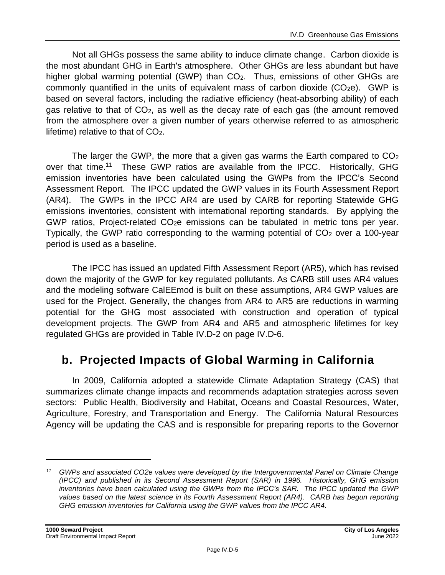Not all GHGs possess the same ability to induce climate change. Carbon dioxide is the most abundant GHG in Earth's atmosphere. Other GHGs are less abundant but have higher global warming potential (GWP) than CO<sub>2</sub>. Thus, emissions of other GHGs are commonly quantified in the units of equivalent mass of carbon dioxide  $(CO<sub>2</sub>e)$ . GWP is based on several factors, including the radiative efficiency (heat-absorbing ability) of each gas relative to that of CO2, as well as the decay rate of each gas (the amount removed from the atmosphere over a given number of years otherwise referred to as atmospheric lifetime) relative to that of CO2.

The larger the GWP, the more that a given gas warms the Earth compared to  $CO<sub>2</sub>$ over that time.<sup>11</sup> These GWP ratios are available from the IPCC. Historically, GHG emission inventories have been calculated using the GWPs from the IPCC's Second Assessment Report. The IPCC updated the GWP values in its Fourth Assessment Report (AR4). The GWPs in the IPCC AR4 are used by CARB for reporting Statewide GHG emissions inventories, consistent with international reporting standards. By applying the GWP ratios, Project-related CO2e emissions can be tabulated in metric tons per year. Typically, the GWP ratio corresponding to the warming potential of  $CO<sub>2</sub>$  over a 100-year period is used as a baseline.

The IPCC has issued an updated Fifth Assessment Report (AR5), which has revised down the majority of the GWP for key regulated pollutants. As CARB still uses AR4 values and the modeling software CalEEmod is built on these assumptions, AR4 GWP values are used for the Project. Generally, the changes from AR4 to AR5 are reductions in warming potential for the GHG most associated with construction and operation of typical development projects. The GWP from AR4 and AR5 and atmospheric lifetimes for key regulated GHGs are provided in Table IV.D-2 on page IV.D-6.

# **b. Projected Impacts of Global Warming in California**

In 2009, California adopted a statewide Climate Adaptation Strategy (CAS) that summarizes climate change impacts and recommends adaptation strategies across seven sectors: Public Health, Biodiversity and Habitat, Oceans and Coastal Resources, Water, Agriculture, Forestry, and Transportation and Energy. The California Natural Resources Agency will be updating the CAS and is responsible for preparing reports to the Governor

*<sup>11</sup> GWPs and associated CO2e values were developed by the Intergovernmental Panel on Climate Change (IPCC) and published in its Second Assessment Report (SAR) in 1996. Historically, GHG emission inventories have been calculated using the GWPs from the IPCC's SAR. The IPCC updated the GWP values based on the latest science in its Fourth Assessment Report (AR4). CARB has begun reporting GHG emission inventories for California using the GWP values from the IPCC AR4.*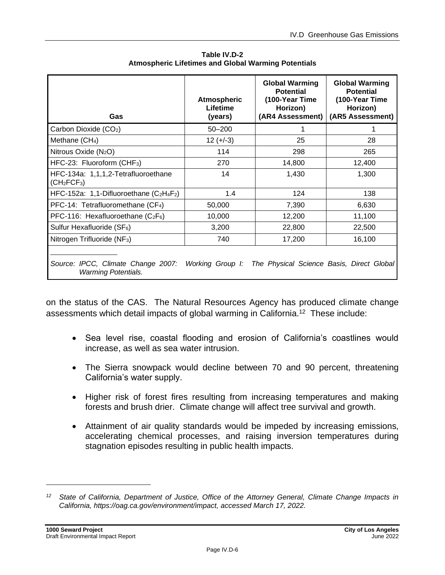| Gas                                                                                                                         | <b>Atmospheric</b><br>Lifetime<br>(years) | <b>Global Warming</b><br><b>Potential</b><br>(100-Year Time<br>Horizon)<br>(AR4 Assessment) | <b>Global Warming</b><br><b>Potential</b><br>(100-Year Time<br>Horizon)<br>(AR5 Assessment) |  |
|-----------------------------------------------------------------------------------------------------------------------------|-------------------------------------------|---------------------------------------------------------------------------------------------|---------------------------------------------------------------------------------------------|--|
| Carbon Dioxide (CO <sub>2</sub> )                                                                                           | $50 - 200$                                |                                                                                             |                                                                                             |  |
| Methane (CH <sub>4</sub> )                                                                                                  | $12 (+-3)$                                | 25                                                                                          | 28                                                                                          |  |
| Nitrous Oxide (N <sub>2</sub> O)                                                                                            | 114                                       | 298                                                                                         | 265                                                                                         |  |
| HFC-23: Fluoroform (CHF <sub>3</sub> )                                                                                      | 270                                       | 14,800                                                                                      | 12,400                                                                                      |  |
| HFC-134a: 1,1,1,2-Tetrafluoroethane<br>(CH <sub>2</sub> FCF <sub>3</sub> )                                                  | 14                                        | 1,430                                                                                       | 1,300                                                                                       |  |
| HFC-152a: 1,1-Difluoroethane $(C_2H_4F_2)$                                                                                  | 1.4                                       | 124                                                                                         | 138                                                                                         |  |
| PFC-14: Tetrafluoromethane (CF <sub>4</sub> )                                                                               | 50,000                                    | 7,390                                                                                       | 6,630                                                                                       |  |
| PFC-116: Hexafluoroethane $(C_2F_6)$                                                                                        | 10,000                                    | 12,200                                                                                      | 11,100                                                                                      |  |
| Sulfur Hexafluoride (SF <sub>6</sub> )                                                                                      | 3,200                                     | 22,800                                                                                      | 22,500                                                                                      |  |
| Nitrogen Trifluoride (NF <sub>3</sub> )                                                                                     | 740                                       | 17,200                                                                                      | 16,100                                                                                      |  |
| Source: IPCC, Climate Change 2007: Working Group I: The Physical Science Basis, Direct Global<br><b>Warming Potentials.</b> |                                           |                                                                                             |                                                                                             |  |

**Table IV.D-2 Atmospheric Lifetimes and Global Warming Potentials** 

on the status of the CAS. The Natural Resources Agency has produced climate change assessments which detail impacts of global warming in California.<sup>12</sup> These include:

- Sea level rise, coastal flooding and erosion of California's coastlines would increase, as well as sea water intrusion.
- The Sierra snowpack would decline between 70 and 90 percent, threatening California's water supply.
- Higher risk of forest fires resulting from increasing temperatures and making forests and brush drier. Climate change will affect tree survival and growth.
- Attainment of air quality standards would be impeded by increasing emissions, accelerating chemical processes, and raising inversion temperatures during stagnation episodes resulting in public health impacts.

*<sup>12</sup> State of California, Department of Justice, Office of the Attorney General, Climate Change Impacts in California, https://oag.ca.gov/environment/impact, accessed March 17, 2022.*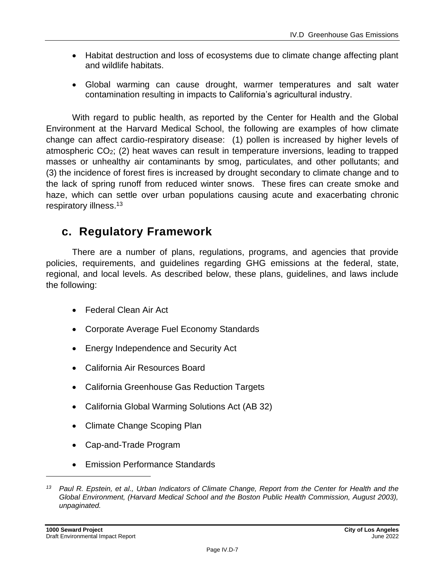- Habitat destruction and loss of ecosystems due to climate change affecting plant and wildlife habitats.
- Global warming can cause drought, warmer temperatures and salt water contamination resulting in impacts to California's agricultural industry.

With regard to public health, as reported by the Center for Health and the Global Environment at the Harvard Medical School, the following are examples of how climate change can affect cardio-respiratory disease: (1) pollen is increased by higher levels of atmospheric CO2; (2) heat waves can result in temperature inversions, leading to trapped masses or unhealthy air contaminants by smog, particulates, and other pollutants; and (3) the incidence of forest fires is increased by drought secondary to climate change and to the lack of spring runoff from reduced winter snows. These fires can create smoke and haze, which can settle over urban populations causing acute and exacerbating chronic respiratory illness. 13

## **c. Regulatory Framework**

There are a number of plans, regulations, programs, and agencies that provide policies, requirements, and guidelines regarding GHG emissions at the federal, state, regional, and local levels. As described below, these plans, guidelines, and laws include the following:

- Federal Clean Air Act
- Corporate Average Fuel Economy Standards
- Energy Independence and Security Act
- California Air Resources Board
- California Greenhouse Gas Reduction Targets
- California Global Warming Solutions Act (AB 32)
- Climate Change Scoping Plan
- Cap-and-Trade Program
- Emission Performance Standards

*<sup>13</sup> Paul R. Epstein, et al., Urban Indicators of Climate Change, Report from the Center for Health and the Global Environment, (Harvard Medical School and the Boston Public Health Commission, August 2003), unpaginated.*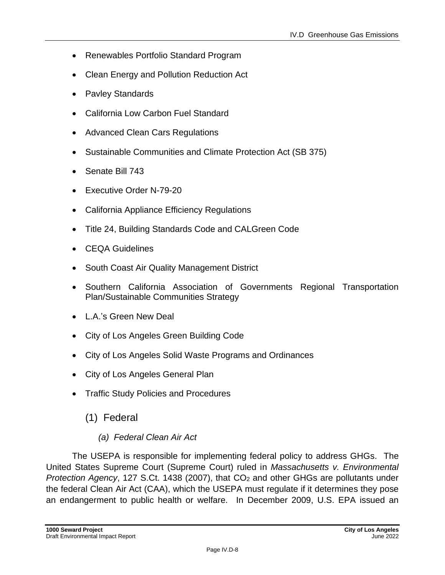- Renewables Portfolio Standard Program
- Clean Energy and Pollution Reduction Act
- Pavley Standards
- California Low Carbon Fuel Standard
- Advanced Clean Cars Regulations
- Sustainable Communities and Climate Protection Act (SB 375)
- Senate Bill 743
- Executive Order N-79-20
- California Appliance Efficiency Regulations
- Title 24, Building Standards Code and CALGreen Code
- CEQA Guidelines
- South Coast Air Quality Management District
- Southern California Association of Governments Regional Transportation Plan/Sustainable Communities Strategy
- L.A.'s Green New Deal
- City of Los Angeles Green Building Code
- City of Los Angeles Solid Waste Programs and Ordinances
- City of Los Angeles General Plan
- Traffic Study Policies and Procedures
	- (1) Federal

### *(a) Federal Clean Air Act*

The USEPA is responsible for implementing federal policy to address GHGs. The United States Supreme Court (Supreme Court) ruled in *Massachusetts v. Environmental Protection Agency*, 127 S.Ct. 1438 (2007), that CO<sub>2</sub> and other GHGs are pollutants under the federal Clean Air Act (CAA), which the USEPA must regulate if it determines they pose an endangerment to public health or welfare. In December 2009, U.S. EPA issued an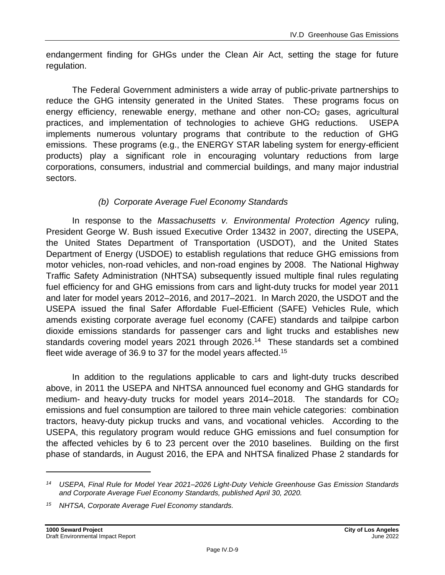endangerment finding for GHGs under the Clean Air Act, setting the stage for future regulation.

The Federal Government administers a wide array of public-private partnerships to reduce the GHG intensity generated in the United States. These programs focus on energy efficiency, renewable energy, methane and other non-CO<sub>2</sub> gases, agricultural practices, and implementation of technologies to achieve GHG reductions. USEPA implements numerous voluntary programs that contribute to the reduction of GHG emissions. These programs (e.g., the ENERGY STAR labeling system for energy-efficient products) play a significant role in encouraging voluntary reductions from large corporations, consumers, industrial and commercial buildings, and many major industrial sectors.

#### *(b) Corporate Average Fuel Economy Standards*

In response to the *Massachusetts v. Environmental Protection Agency* ruling, President George W. Bush issued Executive Order 13432 in 2007, directing the USEPA, the United States Department of Transportation (USDOT), and the United States Department of Energy (USDOE) to establish regulations that reduce GHG emissions from motor vehicles, non-road vehicles, and non-road engines by 2008. The National Highway Traffic Safety Administration (NHTSA) subsequently issued multiple final rules regulating fuel efficiency for and GHG emissions from cars and light-duty trucks for model year 2011 and later for model years 2012–2016, and 2017–2021. In March 2020, the USDOT and the USEPA issued the final Safer Affordable Fuel-Efficient (SAFE) Vehicles Rule, which amends existing corporate average fuel economy (CAFE) standards and tailpipe carbon dioxide emissions standards for passenger cars and light trucks and establishes new standards covering model years 2021 through 2026.<sup>14</sup> These standards set a combined fleet wide average of 36.9 to 37 for the model years affected.<sup>15</sup>

In addition to the regulations applicable to cars and light-duty trucks described above, in 2011 the USEPA and NHTSA announced fuel economy and GHG standards for medium- and heavy-duty trucks for model years  $2014-2018$ . The standards for  $CO<sub>2</sub>$ emissions and fuel consumption are tailored to three main vehicle categories: combination tractors, heavy-duty pickup trucks and vans, and vocational vehicles. According to the USEPA, this regulatory program would reduce GHG emissions and fuel consumption for the affected vehicles by 6 to 23 percent over the 2010 baselines. Building on the first phase of standards, in August 2016, the EPA and NHTSA finalized Phase 2 standards for

*<sup>14</sup> USEPA, Final Rule for Model Year 2021–2026 Light-Duty Vehicle Greenhouse Gas Emission Standards and Corporate Average Fuel Economy Standards, published April 30, 2020.*

*<sup>15</sup> NHTSA, Corporate Average Fuel Economy standards.*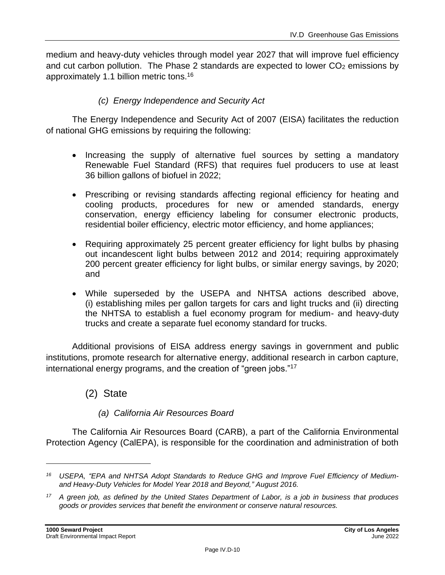medium and heavy-duty vehicles through model year 2027 that will improve fuel efficiency and cut carbon pollution. The Phase 2 standards are expected to lower  $CO<sub>2</sub>$  emissions by approximately 1.1 billion metric tons.<sup>16</sup>

#### *(c) Energy Independence and Security Act*

The Energy Independence and Security Act of 2007 (EISA) facilitates the reduction of national GHG emissions by requiring the following:

- Increasing the supply of alternative fuel sources by setting a mandatory Renewable Fuel Standard (RFS) that requires fuel producers to use at least 36 billion gallons of biofuel in 2022;
- Prescribing or revising standards affecting regional efficiency for heating and cooling products, procedures for new or amended standards, energy conservation, energy efficiency labeling for consumer electronic products, residential boiler efficiency, electric motor efficiency, and home appliances;
- Requiring approximately 25 percent greater efficiency for light bulbs by phasing out incandescent light bulbs between 2012 and 2014; requiring approximately 200 percent greater efficiency for light bulbs, or similar energy savings, by 2020; and
- While superseded by the USEPA and NHTSA actions described above, (i) establishing miles per gallon targets for cars and light trucks and (ii) directing the NHTSA to establish a fuel economy program for medium- and heavy-duty trucks and create a separate fuel economy standard for trucks.

Additional provisions of EISA address energy savings in government and public institutions, promote research for alternative energy, additional research in carbon capture, international energy programs, and the creation of "green jobs."<sup>17</sup>

(2) State

#### *(a) California Air Resources Board*

The California Air Resources Board (CARB), a part of the California Environmental Protection Agency (CalEPA), is responsible for the coordination and administration of both

*<sup>16</sup> USEPA, "EPA and NHTSA Adopt Standards to Reduce GHG and Improve Fuel Efficiency of Mediumand Heavy-Duty Vehicles for Model Year 2018 and Beyond," August 2016.*

*<sup>17</sup> A green job, as defined by the United States Department of Labor, is a job in business that produces goods or provides services that benefit the environment or conserve natural resources.*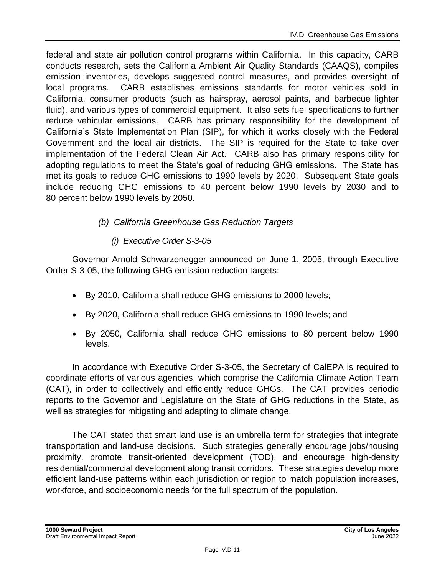federal and state air pollution control programs within California. In this capacity, CARB conducts research, sets the California Ambient Air Quality Standards (CAAQS), compiles emission inventories, develops suggested control measures, and provides oversight of local programs. CARB establishes emissions standards for motor vehicles sold in California, consumer products (such as hairspray, aerosol paints, and barbecue lighter fluid), and various types of commercial equipment. It also sets fuel specifications to further reduce vehicular emissions. CARB has primary responsibility for the development of California's State Implementation Plan (SIP), for which it works closely with the Federal Government and the local air districts. The SIP is required for the State to take over implementation of the Federal Clean Air Act. CARB also has primary responsibility for adopting regulations to meet the State's goal of reducing GHG emissions. The State has met its goals to reduce GHG emissions to 1990 levels by 2020. Subsequent State goals include reducing GHG emissions to 40 percent below 1990 levels by 2030 and to 80 percent below 1990 levels by 2050.

### *(b) California Greenhouse Gas Reduction Targets*

### *(i) Executive Order S-3-05*

Governor Arnold Schwarzenegger announced on June 1, 2005, through Executive Order S-3-05, the following GHG emission reduction targets:

- By 2010, California shall reduce GHG emissions to 2000 levels;
- By 2020, California shall reduce GHG emissions to 1990 levels; and
- By 2050, California shall reduce GHG emissions to 80 percent below 1990 levels.

In accordance with Executive Order S-3-05, the Secretary of CalEPA is required to coordinate efforts of various agencies, which comprise the California Climate Action Team (CAT), in order to collectively and efficiently reduce GHGs. The CAT provides periodic reports to the Governor and Legislature on the State of GHG reductions in the State, as well as strategies for mitigating and adapting to climate change.

The CAT stated that smart land use is an umbrella term for strategies that integrate transportation and land-use decisions. Such strategies generally encourage jobs/housing proximity, promote transit-oriented development (TOD), and encourage high-density residential/commercial development along transit corridors. These strategies develop more efficient land-use patterns within each jurisdiction or region to match population increases, workforce, and socioeconomic needs for the full spectrum of the population.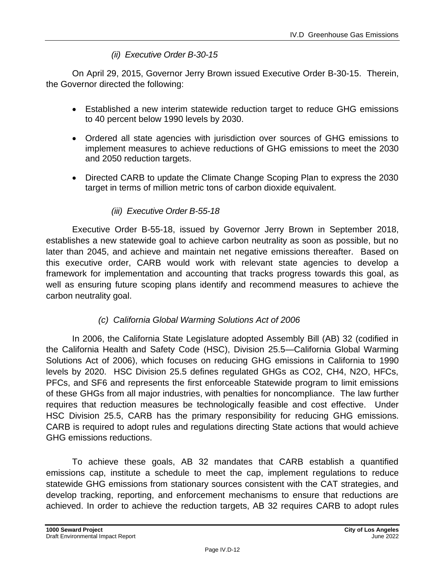#### *(ii) Executive Order B-30-15*

On April 29, 2015, Governor Jerry Brown issued Executive Order B-30-15. Therein, the Governor directed the following:

- Established a new interim statewide reduction target to reduce GHG emissions to 40 percent below 1990 levels by 2030.
- Ordered all state agencies with jurisdiction over sources of GHG emissions to implement measures to achieve reductions of GHG emissions to meet the 2030 and 2050 reduction targets.
- Directed CARB to update the Climate Change Scoping Plan to express the 2030 target in terms of million metric tons of carbon dioxide equivalent.

#### *(iii) Executive Order B-55-18*

Executive Order B-55-18, issued by Governor Jerry Brown in September 2018, establishes a new statewide goal to achieve carbon neutrality as soon as possible, but no later than 2045, and achieve and maintain net negative emissions thereafter. Based on this executive order, CARB would work with relevant state agencies to develop a framework for implementation and accounting that tracks progress towards this goal, as well as ensuring future scoping plans identify and recommend measures to achieve the carbon neutrality goal.

#### *(c) California Global Warming Solutions Act of 2006*

In 2006, the California State Legislature adopted Assembly Bill (AB) 32 (codified in the California Health and Safety Code (HSC), Division 25.5—California Global Warming Solutions Act of 2006), which focuses on reducing GHG emissions in California to 1990 levels by 2020. HSC Division 25.5 defines regulated GHGs as CO2, CH4, N2O, HFCs, PFCs, and SF6 and represents the first enforceable Statewide program to limit emissions of these GHGs from all major industries, with penalties for noncompliance. The law further requires that reduction measures be technologically feasible and cost effective. Under HSC Division 25.5, CARB has the primary responsibility for reducing GHG emissions. CARB is required to adopt rules and regulations directing State actions that would achieve GHG emissions reductions.

To achieve these goals, AB 32 mandates that CARB establish a quantified emissions cap, institute a schedule to meet the cap, implement regulations to reduce statewide GHG emissions from stationary sources consistent with the CAT strategies, and develop tracking, reporting, and enforcement mechanisms to ensure that reductions are achieved. In order to achieve the reduction targets, AB 32 requires CARB to adopt rules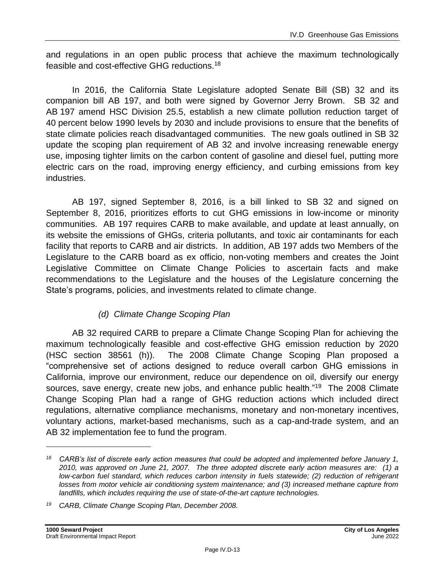and regulations in an open public process that achieve the maximum technologically feasible and cost-effective GHG reductions.<sup>18</sup>

In 2016, the California State Legislature adopted Senate Bill (SB) 32 and its companion bill AB 197, and both were signed by Governor Jerry Brown. SB 32 and AB 197 amend HSC Division 25.5, establish a new climate pollution reduction target of 40 percent below 1990 levels by 2030 and include provisions to ensure that the benefits of state climate policies reach disadvantaged communities. The new goals outlined in SB 32 update the scoping plan requirement of AB 32 and involve increasing renewable energy use, imposing tighter limits on the carbon content of gasoline and diesel fuel, putting more electric cars on the road, improving energy efficiency, and curbing emissions from key industries.

AB 197, signed September 8, 2016, is a bill linked to SB 32 and signed on September 8, 2016, prioritizes efforts to cut GHG emissions in low-income or minority communities. AB 197 requires CARB to make available, and update at least annually, on its website the emissions of GHGs, criteria pollutants, and toxic air contaminants for each facility that reports to CARB and air districts. In addition, AB 197 adds two Members of the Legislature to the CARB board as ex officio, non-voting members and creates the Joint Legislative Committee on Climate Change Policies to ascertain facts and make recommendations to the Legislature and the houses of the Legislature concerning the State's programs, policies, and investments related to climate change.

### *(d) Climate Change Scoping Plan*

AB 32 required CARB to prepare a Climate Change Scoping Plan for achieving the maximum technologically feasible and cost-effective GHG emission reduction by 2020 (HSC section 38561 (h)). The 2008 Climate Change Scoping Plan proposed a "comprehensive set of actions designed to reduce overall carbon GHG emissions in California, improve our environment, reduce our dependence on oil, diversify our energy sources, save energy, create new jobs, and enhance public health."<sup>19</sup> The 2008 Climate Change Scoping Plan had a range of GHG reduction actions which included direct regulations, alternative compliance mechanisms, monetary and non-monetary incentives, voluntary actions, market-based mechanisms, such as a cap-and-trade system, and an AB 32 implementation fee to fund the program.

*<sup>18</sup> CARB's list of discrete early action measures that could be adopted and implemented before January 1, 2010, was approved on June 21, 2007. The three adopted discrete early action measures are: (1) a low*‑*carbon fuel standard, which reduces carbon intensity in fuels statewide; (2) reduction of refrigerant losses from motor vehicle air conditioning system maintenance; and (3) increased methane capture from landfills, which includes requiring the use of state-of-the-art capture technologies.*

*<sup>19</sup> CARB, Climate Change Scoping Plan, December 2008.*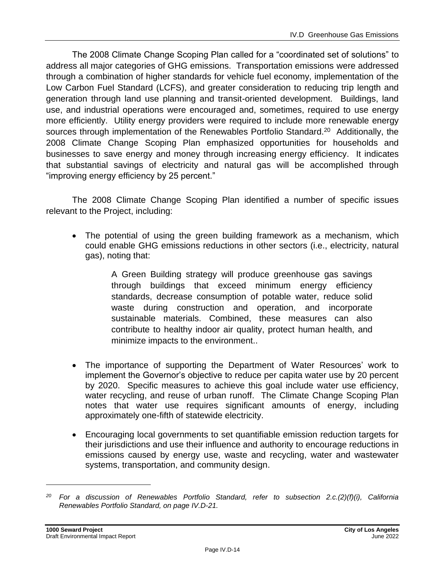The 2008 Climate Change Scoping Plan called for a "coordinated set of solutions" to address all major categories of GHG emissions. Transportation emissions were addressed through a combination of higher standards for vehicle fuel economy, implementation of the Low Carbon Fuel Standard (LCFS), and greater consideration to reducing trip length and generation through land use planning and transit-oriented development. Buildings, land use, and industrial operations were encouraged and, sometimes, required to use energy more efficiently. Utility energy providers were required to include more renewable energy sources through implementation of the Renewables Portfolio Standard.<sup>20</sup> Additionally, the 2008 Climate Change Scoping Plan emphasized opportunities for households and businesses to save energy and money through increasing energy efficiency. It indicates that substantial savings of electricity and natural gas will be accomplished through "improving energy efficiency by 25 percent."

The 2008 Climate Change Scoping Plan identified a number of specific issues relevant to the Project, including:

• The potential of using the green building framework as a mechanism, which could enable GHG emissions reductions in other sectors (i.e., electricity, natural gas), noting that:

> A Green Building strategy will produce greenhouse gas savings through buildings that exceed minimum energy efficiency standards, decrease consumption of potable water, reduce solid waste during construction and operation, and incorporate sustainable materials. Combined, these measures can also contribute to healthy indoor air quality, protect human health, and minimize impacts to the environment..

- The importance of supporting the Department of Water Resources' work to implement the Governor's objective to reduce per capita water use by 20 percent by 2020. Specific measures to achieve this goal include water use efficiency, water recycling, and reuse of urban runoff. The Climate Change Scoping Plan notes that water use requires significant amounts of energy, including approximately one-fifth of statewide electricity.
- Encouraging local governments to set quantifiable emission reduction targets for their jurisdictions and use their influence and authority to encourage reductions in emissions caused by energy use, waste and recycling, water and wastewater systems, transportation, and community design.

*<sup>20</sup> For a discussion of Renewables Portfolio Standard, refer to subsection 2.c.(2)(f)(i), California Renewables Portfolio Standard, on page [IV.D-21.](#page-20-0)*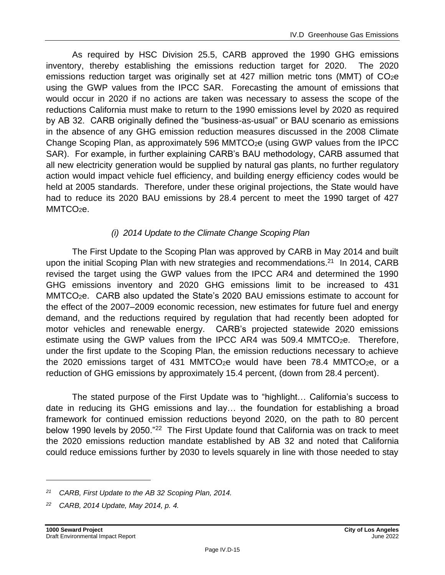As required by HSC Division 25.5, CARB approved the 1990 GHG emissions inventory, thereby establishing the emissions reduction target for 2020. The 2020 emissions reduction target was originally set at 427 million metric tons (MMT) of CO2e using the GWP values from the IPCC SAR. Forecasting the amount of emissions that would occur in 2020 if no actions are taken was necessary to assess the scope of the reductions California must make to return to the 1990 emissions level by 2020 as required by AB 32. CARB originally defined the "business-as-usual" or BAU scenario as emissions in the absence of any GHG emission reduction measures discussed in the 2008 Climate Change Scoping Plan, as approximately 596 MMTCO<sub>2</sub>e (using GWP values from the IPCC SAR). For example, in further explaining CARB's BAU methodology, CARB assumed that all new electricity generation would be supplied by natural gas plants, no further regulatory action would impact vehicle fuel efficiency, and building energy efficiency codes would be held at 2005 standards. Therefore, under these original projections, the State would have had to reduce its 2020 BAU emissions by 28.4 percent to meet the 1990 target of 427 MMTCO<sub>2</sub>e.

#### *(i) 2014 Update to the Climate Change Scoping Plan*

The First Update to the Scoping Plan was approved by CARB in May 2014 and built upon the initial Scoping Plan with new strategies and recommendations.<sup>21</sup> In 2014, CARB revised the target using the GWP values from the IPCC AR4 and determined the 1990 GHG emissions inventory and 2020 GHG emissions limit to be increased to 431 MMTCO2e. CARB also updated the State's 2020 BAU emissions estimate to account for the effect of the 2007–2009 economic recession, new estimates for future fuel and energy demand, and the reductions required by regulation that had recently been adopted for motor vehicles and renewable energy. CARB's projected statewide 2020 emissions estimate using the GWP values from the IPCC AR4 was 509.4 MMTCO<sub>2</sub>e. Therefore, under the first update to the Scoping Plan, the emission reductions necessary to achieve the 2020 emissions target of 431 MMTCO<sub>2</sub>e would have been 78.4 MMTCO<sub>2</sub>e, or a reduction of GHG emissions by approximately 15.4 percent, (down from 28.4 percent).

The stated purpose of the First Update was to "highlight… California's success to date in reducing its GHG emissions and lay… the foundation for establishing a broad framework for continued emission reductions beyond 2020, on the path to 80 percent below 1990 levels by 2050."<sup>22</sup> The First Update found that California was on track to meet the 2020 emissions reduction mandate established by AB 32 and noted that California could reduce emissions further by 2030 to levels squarely in line with those needed to stay

*<sup>21</sup> CARB, First Update to the AB 32 Scoping Plan, 2014.*

*<sup>22</sup> CARB, 2014 Update, May 2014, p. 4.*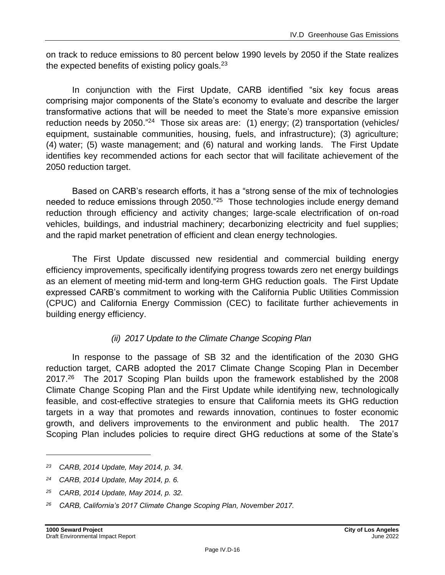on track to reduce emissions to 80 percent below 1990 levels by 2050 if the State realizes the expected benefits of existing policy goals.<sup>23</sup>

In conjunction with the First Update, CARB identified "six key focus areas comprising major components of the State's economy to evaluate and describe the larger transformative actions that will be needed to meet the State's more expansive emission reduction needs by 2050."<sup>24</sup> Those six areas are: (1) energy; (2) transportation (vehicles/ equipment, sustainable communities, housing, fuels, and infrastructure); (3) agriculture; (4) water; (5) waste management; and (6) natural and working lands. The First Update identifies key recommended actions for each sector that will facilitate achievement of the 2050 reduction target.

Based on CARB's research efforts, it has a "strong sense of the mix of technologies needed to reduce emissions through 2050."<sup>25</sup> Those technologies include energy demand reduction through efficiency and activity changes; large-scale electrification of on-road vehicles, buildings, and industrial machinery; decarbonizing electricity and fuel supplies; and the rapid market penetration of efficient and clean energy technologies.

The First Update discussed new residential and commercial building energy efficiency improvements, specifically identifying progress towards zero net energy buildings as an element of meeting mid-term and long-term GHG reduction goals. The First Update expressed CARB's commitment to working with the California Public Utilities Commission (CPUC) and California Energy Commission (CEC) to facilitate further achievements in building energy efficiency.

### *(ii) 2017 Update to the Climate Change Scoping Plan*

In response to the passage of SB 32 and the identification of the 2030 GHG reduction target, CARB adopted the 2017 Climate Change Scoping Plan in December 2017.<sup>26</sup> The 2017 Scoping Plan builds upon the framework established by the 2008 Climate Change Scoping Plan and the First Update while identifying new, technologically feasible, and cost-effective strategies to ensure that California meets its GHG reduction targets in a way that promotes and rewards innovation, continues to foster economic growth, and delivers improvements to the environment and public health. The 2017 Scoping Plan includes policies to require direct GHG reductions at some of the State's

*<sup>23</sup> CARB, 2014 Update, May 2014, p. 34.*

*<sup>24</sup> CARB, 2014 Update, May 2014, p. 6.*

*<sup>25</sup> CARB, 2014 Update, May 2014, p. 32.*

*<sup>26</sup> CARB, California's 2017 Climate Change Scoping Plan, November 2017.*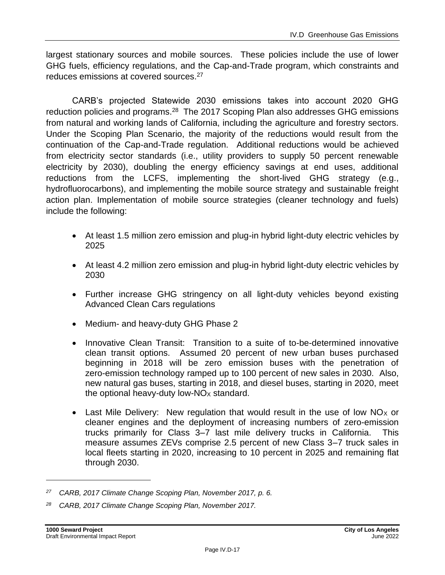largest stationary sources and mobile sources. These policies include the use of lower GHG fuels, efficiency regulations, and the Cap-and-Trade program, which constraints and reduces emissions at covered sources.<sup>27</sup>

CARB's projected Statewide 2030 emissions takes into account 2020 GHG reduction policies and programs.<sup>28</sup> The 2017 Scoping Plan also addresses GHG emissions from natural and working lands of California, including the agriculture and forestry sectors. Under the Scoping Plan Scenario, the majority of the reductions would result from the continuation of the Cap-and-Trade regulation. Additional reductions would be achieved from electricity sector standards (i.e., utility providers to supply 50 percent renewable electricity by 2030), doubling the energy efficiency savings at end uses, additional reductions from the LCFS, implementing the short-lived GHG strategy (e.g., hydrofluorocarbons), and implementing the mobile source strategy and sustainable freight action plan. Implementation of mobile source strategies (cleaner technology and fuels) include the following:

- At least 1.5 million zero emission and plug-in hybrid light-duty electric vehicles by 2025
- At least 4.2 million zero emission and plug-in hybrid light-duty electric vehicles by 2030
- Further increase GHG stringency on all light-duty vehicles beyond existing Advanced Clean Cars regulations
- Medium- and heavy-duty GHG Phase 2
- Innovative Clean Transit: Transition to a suite of to-be-determined innovative clean transit options. Assumed 20 percent of new urban buses purchased beginning in 2018 will be zero emission buses with the penetration of zero-emission technology ramped up to 100 percent of new sales in 2030. Also, new natural gas buses, starting in 2018, and diesel buses, starting in 2020, meet the optional heavy-duty low- $NO<sub>X</sub>$  standard.
- Last Mile Delivery: New regulation that would result in the use of low  $NO<sub>X</sub>$  or cleaner engines and the deployment of increasing numbers of zero-emission trucks primarily for Class 3–7 last mile delivery trucks in California. This measure assumes ZEVs comprise 2.5 percent of new Class 3–7 truck sales in local fleets starting in 2020, increasing to 10 percent in 2025 and remaining flat through 2030.

*<sup>27</sup> CARB, 2017 Climate Change Scoping Plan, November 2017, p. 6.*

*<sup>28</sup> CARB, 2017 Climate Change Scoping Plan, November 2017.*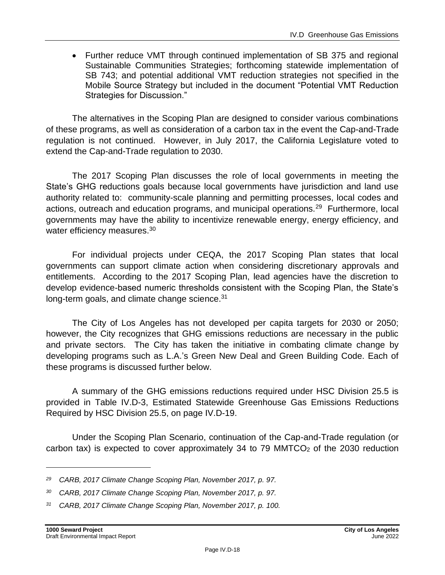• Further reduce VMT through continued implementation of SB 375 and regional Sustainable Communities Strategies; forthcoming statewide implementation of SB 743; and potential additional VMT reduction strategies not specified in the Mobile Source Strategy but included in the document "Potential VMT Reduction Strategies for Discussion."

The alternatives in the Scoping Plan are designed to consider various combinations of these programs, as well as consideration of a carbon tax in the event the Cap-and-Trade regulation is not continued. However, in July 2017, the California Legislature voted to extend the Cap-and-Trade regulation to 2030.

The 2017 Scoping Plan discusses the role of local governments in meeting the State's GHG reductions goals because local governments have jurisdiction and land use authority related to: community-scale planning and permitting processes, local codes and actions, outreach and education programs, and municipal operations.<sup>29</sup> Furthermore, local governments may have the ability to incentivize renewable energy, energy efficiency, and water efficiency measures.<sup>30</sup>

For individual projects under CEQA, the 2017 Scoping Plan states that local governments can support climate action when considering discretionary approvals and entitlements. According to the 2017 Scoping Plan, lead agencies have the discretion to develop evidence-based numeric thresholds consistent with the Scoping Plan, the State's long-term goals, and climate change science.<sup>31</sup>

The City of Los Angeles has not developed per capita targets for 2030 or 2050; however, the City recognizes that GHG emissions reductions are necessary in the public and private sectors. The City has taken the initiative in combating climate change by developing programs such as L.A.'s Green New Deal and Green Building Code. Each of these programs is discussed further below.

A summary of the GHG emissions reductions required under HSC Division 25.5 is provided in Table IV.D-3, Estimated Statewide Greenhouse Gas Emissions Reductions Required by HSC Division 25.5, on page IV.D-19.

Under the Scoping Plan Scenario, continuation of the Cap-and-Trade regulation (or carbon tax) is expected to cover approximately 34 to 79 MMTCO $<sub>2</sub>$  of the 2030 reduction</sub>

*<sup>29</sup> CARB, 2017 Climate Change Scoping Plan, November 2017, p. 97.*

*<sup>30</sup> CARB, 2017 Climate Change Scoping Plan, November 2017, p. 97.*

*<sup>31</sup> CARB, 2017 Climate Change Scoping Plan, November 2017, p. 100.*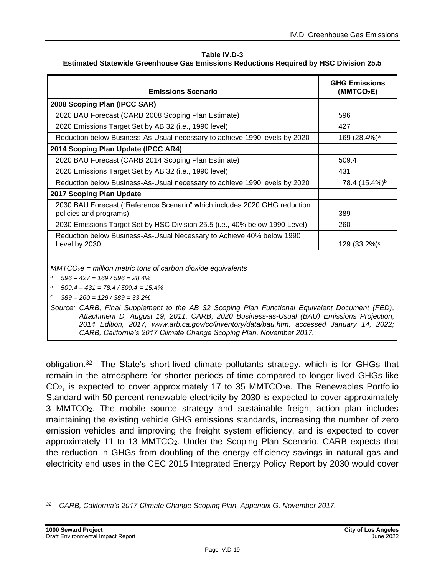#### **Table IV.D-3**

| <b>Emissions Scenario</b>                                                                                                                                                                                                                                                                                                                                                                                                                                                                                                                               | <b>GHG Emissions</b><br>(MMTCO <sub>2</sub> E) |  |  |
|---------------------------------------------------------------------------------------------------------------------------------------------------------------------------------------------------------------------------------------------------------------------------------------------------------------------------------------------------------------------------------------------------------------------------------------------------------------------------------------------------------------------------------------------------------|------------------------------------------------|--|--|
| 2008 Scoping Plan (IPCC SAR)                                                                                                                                                                                                                                                                                                                                                                                                                                                                                                                            |                                                |  |  |
| 2020 BAU Forecast (CARB 2008 Scoping Plan Estimate)                                                                                                                                                                                                                                                                                                                                                                                                                                                                                                     | 596                                            |  |  |
| 2020 Emissions Target Set by AB 32 (i.e., 1990 level)                                                                                                                                                                                                                                                                                                                                                                                                                                                                                                   | 427                                            |  |  |
| Reduction below Business-As-Usual necessary to achieve 1990 levels by 2020                                                                                                                                                                                                                                                                                                                                                                                                                                                                              | 169 (28.4%) <sup>a</sup>                       |  |  |
| 2014 Scoping Plan Update (IPCC AR4)                                                                                                                                                                                                                                                                                                                                                                                                                                                                                                                     |                                                |  |  |
| 2020 BAU Forecast (CARB 2014 Scoping Plan Estimate)                                                                                                                                                                                                                                                                                                                                                                                                                                                                                                     | 509.4                                          |  |  |
| 2020 Emissions Target Set by AB 32 (i.e., 1990 level)                                                                                                                                                                                                                                                                                                                                                                                                                                                                                                   | 431                                            |  |  |
| Reduction below Business-As-Usual necessary to achieve 1990 levels by 2020                                                                                                                                                                                                                                                                                                                                                                                                                                                                              | 78.4 (15.4%) <sup>b</sup>                      |  |  |
| 2017 Scoping Plan Update                                                                                                                                                                                                                                                                                                                                                                                                                                                                                                                                |                                                |  |  |
| 2030 BAU Forecast ("Reference Scenario" which includes 2020 GHG reduction<br>policies and programs)                                                                                                                                                                                                                                                                                                                                                                                                                                                     | 389                                            |  |  |
| 2030 Emissions Target Set by HSC Division 25.5 (i.e., 40% below 1990 Level)                                                                                                                                                                                                                                                                                                                                                                                                                                                                             | 260                                            |  |  |
| Reduction below Business-As-Usual Necessary to Achieve 40% below 1990<br>Level by 2030                                                                                                                                                                                                                                                                                                                                                                                                                                                                  | 129 (33.2%) <sup>c</sup>                       |  |  |
| $MMTCO2e = million metric tons of carbon dioxide equivalents$<br>$596 - 427 = 169 / 596 = 28.4\%$<br>а<br>b<br>$509.4 - 431 = 78.4 / 509.4 = 15.4\%$<br>$389 - 260 = 129 / 389 = 33.2%$<br>Source: CARB, Final Supplement to the AB 32 Scoping Plan Functional Equivalent Document (FED),<br>Attachment D, August 19, 2011; CARB, 2020 Business-as-Usual (BAU) Emissions Projection,<br>2014 Edition, 2017, www.arb.ca.gov/cc/inventory/data/bau.htm, accessed January 14, 2022;<br>CARB, California's 2017 Climate Change Scoping Plan, November 2017. |                                                |  |  |

obligation.<sup>32</sup> The State's short-lived climate pollutants strategy, which is for GHGs that remain in the atmosphere for shorter periods of time compared to longer-lived GHGs like  $CO<sub>2</sub>$ , is expected to cover approximately 17 to 35 MMTCO<sub>2</sub>e. The Renewables Portfolio Standard with 50 percent renewable electricity by 2030 is expected to cover approximately 3 MMTCO2. The mobile source strategy and sustainable freight action plan includes maintaining the existing vehicle GHG emissions standards, increasing the number of zero emission vehicles and improving the freight system efficiency, and is expected to cover approximately 11 to 13 MMTCO<sub>2</sub>. Under the Scoping Plan Scenario, CARB expects that the reduction in GHGs from doubling of the energy efficiency savings in natural gas and electricity end uses in the CEC 2015 Integrated Energy Policy Report by 2030 would cover

*<sup>32</sup> CARB, California's 2017 Climate Change Scoping Plan, Appendix G, November 2017.*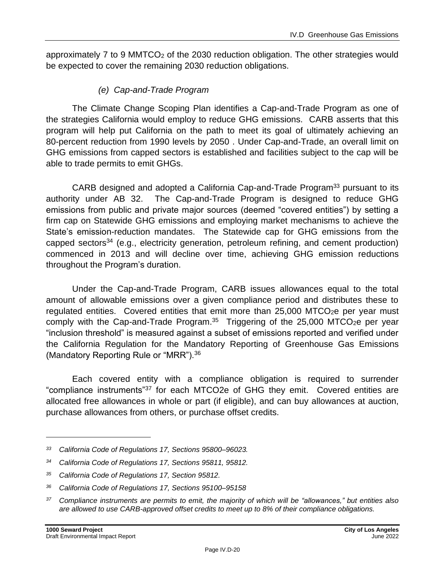approximately 7 to 9 MMTCO<sub>2</sub> of the 2030 reduction obligation. The other strategies would be expected to cover the remaining 2030 reduction obligations.

#### *(e) Cap-and-Trade Program*

The Climate Change Scoping Plan identifies a Cap-and-Trade Program as one of the strategies California would employ to reduce GHG emissions. CARB asserts that this program will help put California on the path to meet its goal of ultimately achieving an 80-percent reduction from 1990 levels by 2050 . Under Cap-and-Trade, an overall limit on GHG emissions from capped sectors is established and facilities subject to the cap will be able to trade permits to emit GHGs.

CARB designed and adopted a California Cap-and-Trade Program<sup>33</sup> pursuant to its authority under AB 32. The Cap-and-Trade Program is designed to reduce GHG emissions from public and private major sources (deemed "covered entities") by setting a firm cap on Statewide GHG emissions and employing market mechanisms to achieve the State's emission-reduction mandates. The Statewide cap for GHG emissions from the capped sectors<sup>34</sup> (e.g., electricity generation, petroleum refining, and cement production) commenced in 2013 and will decline over time, achieving GHG emission reductions throughout the Program's duration.

Under the Cap-and-Trade Program, CARB issues allowances equal to the total amount of allowable emissions over a given compliance period and distributes these to regulated entities. Covered entities that emit more than  $25,000$  MTCO<sub>2</sub>e per year must comply with the Cap-and-Trade Program.<sup>35</sup> Triggering of the 25,000 MTCO<sub>2</sub>e per year "inclusion threshold" is measured against a subset of emissions reported and verified under the California Regulation for the Mandatory Reporting of Greenhouse Gas Emissions (Mandatory Reporting Rule or "MRR").<sup>36</sup>

Each covered entity with a compliance obligation is required to surrender "compliance instruments"<sup>37</sup> for each MTCO2e of GHG they emit. Covered entities are allocated free allowances in whole or part (if eligible), and can buy allowances at auction, purchase allowances from others, or purchase offset credits.

*<sup>33</sup> California Code of Regulations 17, Sections 95800–96023.*

*<sup>34</sup> California Code of Regulations 17, Sections 95811, 95812.*

*<sup>35</sup> California Code of Regulations 17, Section 95812.*

*<sup>36</sup> California Code of Regulations 17, Sections 95100–95158*

*<sup>37</sup> Compliance instruments are permits to emit, the majority of which will be "allowances," but entities also are allowed to use CARB-approved offset credits to meet up to 8% of their compliance obligations.*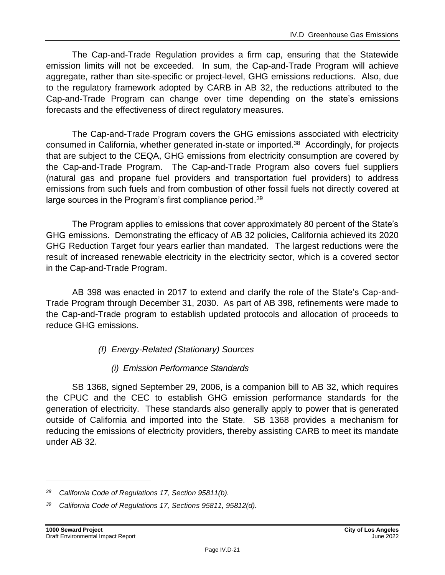The Cap-and-Trade Regulation provides a firm cap, ensuring that the Statewide emission limits will not be exceeded. In sum, the Cap-and-Trade Program will achieve aggregate, rather than site-specific or project-level, GHG emissions reductions. Also, due to the regulatory framework adopted by CARB in AB 32, the reductions attributed to the Cap-and-Trade Program can change over time depending on the state's emissions forecasts and the effectiveness of direct regulatory measures.

The Cap-and-Trade Program covers the GHG emissions associated with electricity consumed in California, whether generated in-state or imported.<sup>38</sup> Accordingly, for projects that are subject to the CEQA, GHG emissions from electricity consumption are covered by the Cap-and-Trade Program. The Cap-and-Trade Program also covers fuel suppliers (natural gas and propane fuel providers and transportation fuel providers) to address emissions from such fuels and from combustion of other fossil fuels not directly covered at large sources in the Program's first compliance period.<sup>39</sup>

The Program applies to emissions that cover approximately 80 percent of the State's GHG emissions. Demonstrating the efficacy of AB 32 policies, California achieved its 2020 GHG Reduction Target four years earlier than mandated. The largest reductions were the result of increased renewable electricity in the electricity sector, which is a covered sector in the Cap-and-Trade Program.

AB 398 was enacted in 2017 to extend and clarify the role of the State's Cap-and-Trade Program through December 31, 2030. As part of AB 398, refinements were made to the Cap-and-Trade program to establish updated protocols and allocation of proceeds to reduce GHG emissions.

- <span id="page-20-0"></span>*(f) Energy-Related (Stationary) Sources*
	- *(i) Emission Performance Standards*

SB 1368, signed September 29, 2006, is a companion bill to AB 32, which requires the CPUC and the CEC to establish GHG emission performance standards for the generation of electricity. These standards also generally apply to power that is generated outside of California and imported into the State. SB 1368 provides a mechanism for reducing the emissions of electricity providers, thereby assisting CARB to meet its mandate under AB 32.

*<sup>38</sup> California Code of Regulations 17, Section 95811(b).*

*<sup>39</sup> California Code of Regulations 17, Sections 95811, 95812(d).*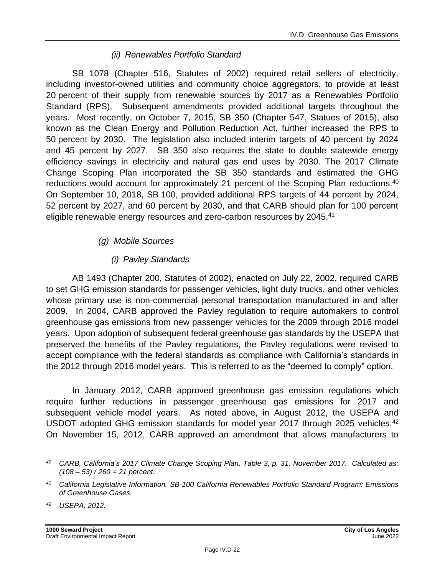#### *(ii) Renewables Portfolio Standard*

SB 1078 (Chapter 516, Statutes of 2002) required retail sellers of electricity, including investor-owned utilities and community choice aggregators, to provide at least 20 percent of their supply from renewable sources by 2017 as a Renewables Portfolio Standard (RPS). Subsequent amendments provided additional targets throughout the years. Most recently, on October 7, 2015, SB 350 (Chapter 547, Statues of 2015), also known as the Clean Energy and Pollution Reduction Act, further increased the RPS to 50 percent by 2030. The legislation also included interim targets of 40 percent by 2024 and 45 percent by 2027. SB 350 also requires the state to double statewide energy efficiency savings in electricity and natural gas end uses by 2030. The 2017 Climate Change Scoping Plan incorporated the SB 350 standards and estimated the GHG reductions would account for approximately 21 percent of the Scoping Plan reductions.<sup>40</sup> On September 10, 2018, SB 100, provided additional RPS targets of 44 percent by 2024, 52 percent by 2027, and 60 percent by 2030, and that CARB should plan for 100 percent eligible renewable energy resources and zero-carbon resources by 2045.<sup>41</sup>

#### *(g) Mobile Sources*

#### *(i) Pavley Standards*

AB 1493 (Chapter 200, Statutes of 2002), enacted on July 22, 2002, required CARB to set GHG emission standards for passenger vehicles, light duty trucks, and other vehicles whose primary use is non-commercial personal transportation manufactured in and after 2009. In 2004, CARB approved the Pavley regulation to require automakers to control greenhouse gas emissions from new passenger vehicles for the 2009 through 2016 model years. Upon adoption of subsequent federal greenhouse gas standards by the USEPA that preserved the benefits of the Pavley regulations, the Pavley regulations were revised to accept compliance with the federal standards as compliance with California's standards in the 2012 through 2016 model years. This is referred to as the "deemed to comply" option.

In January 2012, CARB approved greenhouse gas emission regulations which require further reductions in passenger greenhouse gas emissions for 2017 and subsequent vehicle model years. As noted above, in August 2012, the USEPA and USDOT adopted GHG emission standards for model year 2017 through 2025 vehicles. $42$ On November 15, 2012, CARB approved an amendment that allows manufacturers to

*<sup>40</sup> CARB, California's 2017 Climate Change Scoping Plan, Table 3, p. 31, November 2017. Calculated as: (108 – 53) / 260 = 21 percent.*

*<sup>41</sup> California Legislative Information, SB-100 California Renewables Portfolio Standard Program: Emissions of Greenhouse Gases.*

*<sup>42</sup> USEPA, 2012.*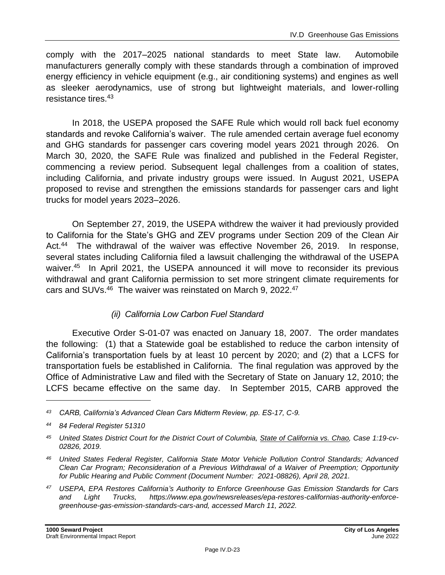comply with the 2017–2025 national standards to meet State law. Automobile manufacturers generally comply with these standards through a combination of improved energy efficiency in vehicle equipment (e.g., air conditioning systems) and engines as well as sleeker aerodynamics, use of strong but lightweight materials, and lower-rolling resistance tires.<sup>43</sup>

In 2018, the USEPA proposed the SAFE Rule which would roll back fuel economy standards and revoke California's waiver. The rule amended certain average fuel economy and GHG standards for passenger cars covering model years 2021 through 2026. On March 30, 2020, the SAFE Rule was finalized and published in the Federal Register, commencing a review period. Subsequent legal challenges from a coalition of states, including California, and private industry groups were issued. In August 2021, USEPA proposed to revise and strengthen the emissions standards for passenger cars and light trucks for model years 2023–2026.

On September 27, 2019, the USEPA withdrew the waiver it had previously provided to California for the State's GHG and ZEV programs under Section 209 of the Clean Air Act.<sup>44</sup> The withdrawal of the waiver was effective November 26, 2019. In response, several states including California filed a lawsuit challenging the withdrawal of the USEPA waiver.<sup>45</sup> In April 2021, the USEPA announced it will move to reconsider its previous withdrawal and grant California permission to set more stringent climate requirements for cars and SUVs.<sup>46</sup> The waiver was reinstated on March 9, 2022.<sup>47</sup>

#### *(ii) California Low Carbon Fuel Standard*

Executive Order S-01-07 was enacted on January 18, 2007. The order mandates the following: (1) that a Statewide goal be established to reduce the carbon intensity of California's transportation fuels by at least 10 percent by 2020; and (2) that a LCFS for transportation fuels be established in California. The final regulation was approved by the Office of Administrative Law and filed with the Secretary of State on January 12, 2010; the LCFS became effective on the same day. In September 2015, CARB approved the

*<sup>43</sup> CARB, California's Advanced Clean Cars Midterm Review, pp. ES-17, C-9.*

*<sup>44</sup> 84 Federal Register 51310*

*<sup>45</sup> United States District Court for the District Court of Columbia, State of California vs. Chao, Case 1:19-cv-02826, 2019.*

*<sup>46</sup> United States Federal Register, California State Motor Vehicle Pollution Control Standards; Advanced Clean Car Program; Reconsideration of a Previous Withdrawal of a Waiver of Preemption; Opportunity for Public Hearing and Public Comment (Document Number: 2021-08826), April 28, 2021.*

*<sup>47</sup> USEPA, EPA Restores California's Authority to Enforce Greenhouse Gas Emission Standards for Cars and Light Trucks, https://www.epa.gov/newsreleases/epa-restores-californias-authority-enforcegreenhouse-gas-emission-standards-cars-and, accessed March 11, 2022.*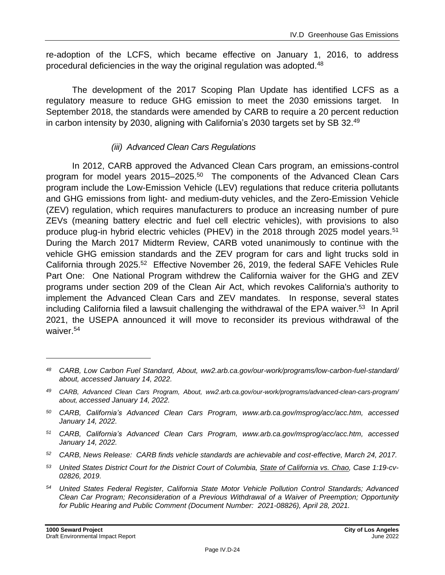re-adoption of the LCFS, which became effective on January 1, 2016, to address procedural deficiencies in the way the original regulation was adopted.<sup>48</sup>

The development of the 2017 Scoping Plan Update has identified LCFS as a regulatory measure to reduce GHG emission to meet the 2030 emissions target. In September 2018, the standards were amended by CARB to require a 20 percent reduction in carbon intensity by 2030, aligning with California's 2030 targets set by SB 32.<sup>49</sup>

#### *(iii) Advanced Clean Cars Regulations*

In 2012, CARB approved the Advanced Clean Cars program, an emissions-control program for model years 2015–2025.<sup>50</sup> The components of the Advanced Clean Cars program include the Low-Emission Vehicle (LEV) regulations that reduce criteria pollutants and GHG emissions from light- and medium-duty vehicles, and the Zero-Emission Vehicle (ZEV) regulation, which requires manufacturers to produce an increasing number of pure ZEVs (meaning battery electric and fuel cell electric vehicles), with provisions to also produce plug-in hybrid electric vehicles (PHEV) in the 2018 through 2025 model years.<sup>51</sup> During the March 2017 Midterm Review, CARB voted unanimously to continue with the vehicle GHG emission standards and the ZEV program for cars and light trucks sold in California through 2025.<sup>52</sup> Effective November 26, 2019, the federal SAFE Vehicles Rule Part One: One National Program withdrew the California waiver for the GHG and ZEV programs under section 209 of the Clean Air Act, which revokes California's authority to implement the Advanced Clean Cars and ZEV mandates. In response, several states including California filed a lawsuit challenging the withdrawal of the EPA waiver.<sup>53</sup> In April 2021, the USEPA announced it will move to reconsider its previous withdrawal of the waiver.<sup>54</sup>

*<sup>48</sup> CARB, Low Carbon Fuel Standard, About, ww2.arb.ca.gov/our-work/programs/low-carbon-fuel-standard/ about, accessed January 14, 2022.*

*<sup>49</sup> CARB, Advanced Clean Cars Program, About, ww2.arb.ca.gov/our-work/programs/advanced-clean-cars-program/ about, accessed January 14, 2022.*

*<sup>50</sup> CARB, California's Advanced Clean Cars Program, www.arb.ca.gov/msprog/acc/acc.htm, accessed January 14, 2022.*

*<sup>51</sup> CARB, California's Advanced Clean Cars Program, www.arb.ca.gov/msprog/acc/acc.htm, accessed January 14, 2022.*

*<sup>52</sup> CARB, News Release: CARB finds vehicle standards are achievable and cost-effective, March 24, 2017.*

*<sup>53</sup> United States District Court for the District Court of Columbia, State of California vs. Chao, Case 1:19-cv-02826, 2019.*

*<sup>54</sup> United States Federal Register, California State Motor Vehicle Pollution Control Standards; Advanced Clean Car Program; Reconsideration of a Previous Withdrawal of a Waiver of Preemption; Opportunity for Public Hearing and Public Comment (Document Number: 2021-08826), April 28, 2021.*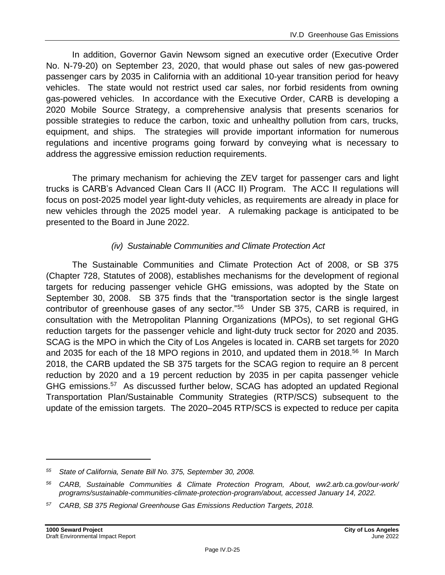In addition, Governor Gavin Newsom signed an executive order (Executive Order No. N-79-20) on September 23, 2020, that would phase out sales of new gas-powered passenger cars by 2035 in California with an additional 10-year transition period for heavy vehicles. The state would not restrict used car sales, nor forbid residents from owning gas-powered vehicles. In accordance with the Executive Order, CARB is developing a 2020 Mobile Source Strategy, a comprehensive analysis that presents scenarios for possible strategies to reduce the carbon, toxic and unhealthy pollution from cars, trucks, equipment, and ships. The strategies will provide important information for numerous regulations and incentive programs going forward by conveying what is necessary to address the aggressive emission reduction requirements.

The primary mechanism for achieving the ZEV target for passenger cars and light trucks is CARB's Advanced Clean Cars II (ACC II) Program. The ACC II regulations will focus on post-2025 model year light-duty vehicles, as requirements are already in place for new vehicles through the 2025 model year. A rulemaking package is anticipated to be presented to the Board in June 2022.

### *(iv) Sustainable Communities and Climate Protection Act*

The Sustainable Communities and Climate Protection Act of 2008, or SB 375 (Chapter 728, Statutes of 2008), establishes mechanisms for the development of regional targets for reducing passenger vehicle GHG emissions, was adopted by the State on September 30, 2008. SB 375 finds that the "transportation sector is the single largest contributor of greenhouse gases of any sector."<sup>55</sup> Under SB 375, CARB is required, in consultation with the Metropolitan Planning Organizations (MPOs), to set regional GHG reduction targets for the passenger vehicle and light-duty truck sector for 2020 and 2035. SCAG is the MPO in which the City of Los Angeles is located in. CARB set targets for 2020 and 2035 for each of the 18 MPO regions in 2010, and updated them in 2018.<sup>56</sup> In March 2018, the CARB updated the SB 375 targets for the SCAG region to require an 8 percent reduction by 2020 and a 19 percent reduction by 2035 in per capita passenger vehicle GHG emissions.<sup>57</sup> As discussed further below, SCAG has adopted an updated Regional Transportation Plan/Sustainable Community Strategies (RTP/SCS) subsequent to the update of the emission targets. The 2020–2045 RTP/SCS is expected to reduce per capita

*<sup>55</sup> State of California, Senate Bill No. 375, September 30, 2008.*

*<sup>56</sup> CARB, Sustainable Communities & Climate Protection Program, About, ww2.arb.ca.gov/our-work/ programs/sustainable-communities-climate-protection-program/about, accessed January 14, 2022.*

*<sup>57</sup> CARB, SB 375 Regional Greenhouse Gas Emissions Reduction Targets, 2018.*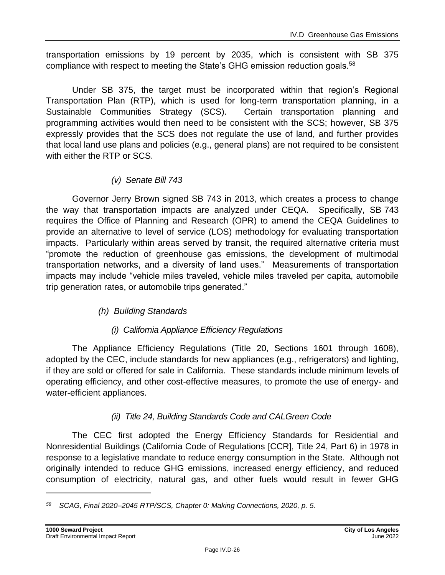transportation emissions by 19 percent by 2035, which is consistent with SB 375 compliance with respect to meeting the State's GHG emission reduction goals.<sup>58</sup>

Under SB 375, the target must be incorporated within that region's Regional Transportation Plan (RTP), which is used for long-term transportation planning, in a Sustainable Communities Strategy (SCS). Certain transportation planning and programming activities would then need to be consistent with the SCS; however, SB 375 expressly provides that the SCS does not regulate the use of land, and further provides that local land use plans and policies (e.g., general plans) are not required to be consistent with either the RTP or SCS.

#### *(v) Senate Bill 743*

Governor Jerry Brown signed SB 743 in 2013, which creates a process to change the way that transportation impacts are analyzed under CEQA. Specifically, SB 743 requires the Office of Planning and Research (OPR) to amend the CEQA Guidelines to provide an alternative to level of service (LOS) methodology for evaluating transportation impacts. Particularly within areas served by transit, the required alternative criteria must "promote the reduction of greenhouse gas emissions, the development of multimodal transportation networks, and a diversity of land uses." Measurements of transportation impacts may include "vehicle miles traveled, vehicle miles traveled per capita, automobile trip generation rates, or automobile trips generated."

#### *(h) Building Standards*

### *(i) California Appliance Efficiency Regulations*

The Appliance Efficiency Regulations (Title 20, Sections 1601 through 1608), adopted by the CEC, include standards for new appliances (e.g., refrigerators) and lighting, if they are sold or offered for sale in California. These standards include minimum levels of operating efficiency, and other cost-effective measures, to promote the use of energy- and water-efficient appliances.

### *(ii) Title 24, Building Standards Code and CALGreen Code*

The CEC first adopted the Energy Efficiency Standards for Residential and Nonresidential Buildings (California Code of Regulations [CCR], Title 24, Part 6) in 1978 in response to a legislative mandate to reduce energy consumption in the State. Although not originally intended to reduce GHG emissions, increased energy efficiency, and reduced consumption of electricity, natural gas, and other fuels would result in fewer GHG

*<sup>58</sup> SCAG, Final 2020–2045 RTP/SCS, Chapter 0: Making Connections, 2020, p. 5.*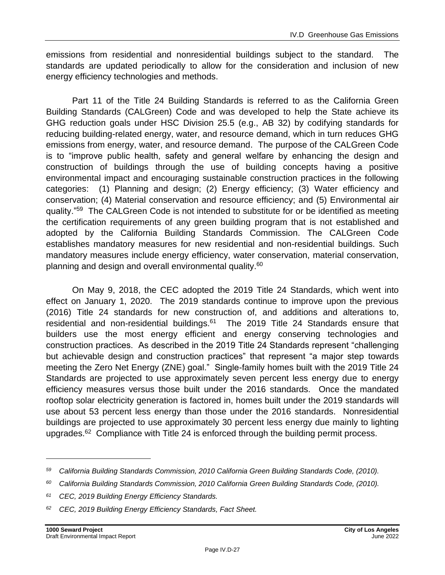emissions from residential and nonresidential buildings subject to the standard. The standards are updated periodically to allow for the consideration and inclusion of new energy efficiency technologies and methods.

Part 11 of the Title 24 Building Standards is referred to as the California Green Building Standards (CALGreen) Code and was developed to help the State achieve its GHG reduction goals under HSC Division 25.5 (e.g., AB 32) by codifying standards for reducing building-related energy, water, and resource demand, which in turn reduces GHG emissions from energy, water, and resource demand. The purpose of the CALGreen Code is to "improve public health, safety and general welfare by enhancing the design and construction of buildings through the use of building concepts having a positive environmental impact and encouraging sustainable construction practices in the following categories: (1) Planning and design; (2) Energy efficiency; (3) Water efficiency and conservation; (4) Material conservation and resource efficiency; and (5) Environmental air quality."<sup>59</sup> The CALGreen Code is not intended to substitute for or be identified as meeting the certification requirements of any green building program that is not established and adopted by the California Building Standards Commission. The CALGreen Code establishes mandatory measures for new residential and non-residential buildings. Such mandatory measures include energy efficiency, water conservation, material conservation, planning and design and overall environmental quality.<sup>60</sup>

On May 9, 2018, the CEC adopted the 2019 Title 24 Standards, which went into effect on January 1, 2020. The 2019 standards continue to improve upon the previous (2016) Title 24 standards for new construction of, and additions and alterations to, residential and non-residential buildings. $61$  The 2019 Title 24 Standards ensure that builders use the most energy efficient and energy conserving technologies and construction practices. As described in the 2019 Title 24 Standards represent "challenging but achievable design and construction practices" that represent "a major step towards meeting the Zero Net Energy (ZNE) goal." Single-family homes built with the 2019 Title 24 Standards are projected to use approximately seven percent less energy due to energy efficiency measures versus those built under the 2016 standards. Once the mandated rooftop solar electricity generation is factored in, homes built under the 2019 standards will use about 53 percent less energy than those under the 2016 standards. Nonresidential buildings are projected to use approximately 30 percent less energy due mainly to lighting upgrades.<sup>62</sup> Compliance with Title 24 is enforced through the building permit process.

*<sup>59</sup> California Building Standards Commission, 2010 California Green Building Standards Code, (2010).*

*<sup>60</sup> California Building Standards Commission, 2010 California Green Building Standards Code, (2010).*

*<sup>61</sup> CEC, 2019 Building Energy Efficiency Standards.*

*<sup>62</sup> CEC, 2019 Building Energy Efficiency Standards, Fact Sheet.*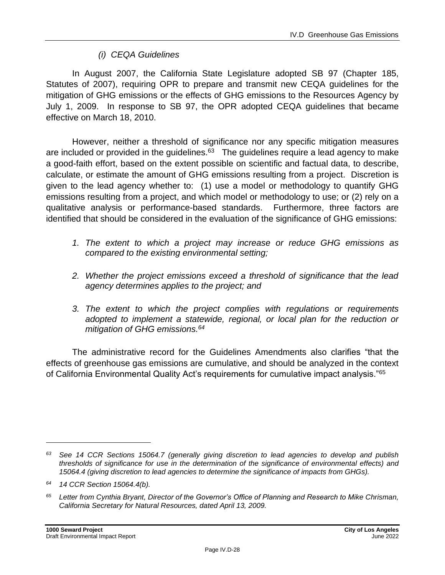#### *(i) CEQA Guidelines*

In August 2007, the California State Legislature adopted SB 97 (Chapter 185, Statutes of 2007), requiring OPR to prepare and transmit new CEQA guidelines for the mitigation of GHG emissions or the effects of GHG emissions to the Resources Agency by July 1, 2009. In response to SB 97, the OPR adopted CEQA guidelines that became effective on March 18, 2010.

However, neither a threshold of significance nor any specific mitigation measures are included or provided in the guidelines. $^{63}$  The guidelines require a lead agency to make a good-faith effort, based on the extent possible on scientific and factual data, to describe, calculate, or estimate the amount of GHG emissions resulting from a project. Discretion is given to the lead agency whether to: (1) use a model or methodology to quantify GHG emissions resulting from a project, and which model or methodology to use; or (2) rely on a qualitative analysis or performance-based standards. Furthermore, three factors are identified that should be considered in the evaluation of the significance of GHG emissions:

- *1. The extent to which a project may increase or reduce GHG emissions as compared to the existing environmental setting;*
- *2. Whether the project emissions exceed a threshold of significance that the lead agency determines applies to the project; and*
- *3. The extent to which the project complies with regulations or requirements adopted to implement a statewide, regional, or local plan for the reduction or mitigation of GHG emissions.<sup>64</sup>*

The administrative record for the Guidelines Amendments also clarifies "that the effects of greenhouse gas emissions are cumulative, and should be analyzed in the context of California Environmental Quality Act's requirements for cumulative impact analysis."<sup>65</sup>

*<sup>63</sup> See 14 CCR Sections 15064.7 (generally giving discretion to lead agencies to develop and publish thresholds of significance for use in the determination of the significance of environmental effects) and 15064.4 (giving discretion to lead agencies to determine the significance of impacts from GHGs).*

*<sup>64</sup> 14 CCR Section 15064.4(b).*

*<sup>65</sup> Letter from Cynthia Bryant, Director of the Governor's Office of Planning and Research to Mike Chrisman, California Secretary for Natural Resources, dated April 13, 2009.*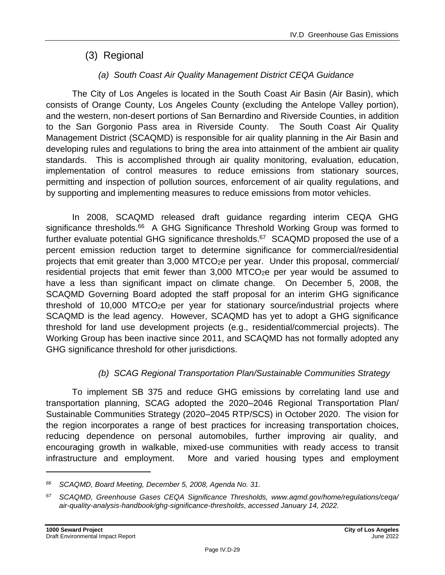## (3) Regional

### *(a) South Coast Air Quality Management District CEQA Guidance*

The City of Los Angeles is located in the South Coast Air Basin (Air Basin), which consists of Orange County, Los Angeles County (excluding the Antelope Valley portion), and the western, non-desert portions of San Bernardino and Riverside Counties, in addition to the San Gorgonio Pass area in Riverside County. The South Coast Air Quality Management District (SCAQMD) is responsible for air quality planning in the Air Basin and developing rules and regulations to bring the area into attainment of the ambient air quality standards. This is accomplished through air quality monitoring, evaluation, education, implementation of control measures to reduce emissions from stationary sources, permitting and inspection of pollution sources, enforcement of air quality regulations, and by supporting and implementing measures to reduce emissions from motor vehicles.

In 2008, SCAQMD released draft guidance regarding interim CEQA GHG significance thresholds.<sup>66</sup> A GHG Significance Threshold Working Group was formed to further evaluate potential GHG significance thresholds.<sup>67</sup> SCAQMD proposed the use of a percent emission reduction target to determine significance for commercial/residential projects that emit greater than 3,000 MTCO<sub>2</sub>e per year. Under this proposal, commercial/ residential projects that emit fewer than 3,000 MTCO<sub>2</sub>e per year would be assumed to have a less than significant impact on climate change. On December 5, 2008, the SCAQMD Governing Board adopted the staff proposal for an interim GHG significance threshold of 10,000 MTCO $_{2}e$  per year for stationary source/industrial projects where SCAQMD is the lead agency. However, SCAQMD has yet to adopt a GHG significance threshold for land use development projects (e.g., residential/commercial projects). The Working Group has been inactive since 2011, and SCAQMD has not formally adopted any GHG significance threshold for other jurisdictions.

### *(b) SCAG Regional Transportation Plan/Sustainable Communities Strategy*

To implement SB 375 and reduce GHG emissions by correlating land use and transportation planning, SCAG adopted the 2020–2046 Regional Transportation Plan/ Sustainable Communities Strategy (2020–2045 RTP/SCS) in October 2020. The vision for the region incorporates a range of best practices for increasing transportation choices, reducing dependence on personal automobiles, further improving air quality, and encouraging growth in walkable, mixed-use communities with ready access to transit infrastructure and employment. More and varied housing types and employment

*<sup>66</sup> SCAQMD, Board Meeting, December 5, 2008, Agenda No. 31.*

*<sup>67</sup> SCAQMD, Greenhouse Gases CEQA Significance Thresholds, www.aqmd.gov/home/regulations/ceqa/ air-quality-analysis-handbook/ghg-significance-thresholds, accessed January 14, 2022.*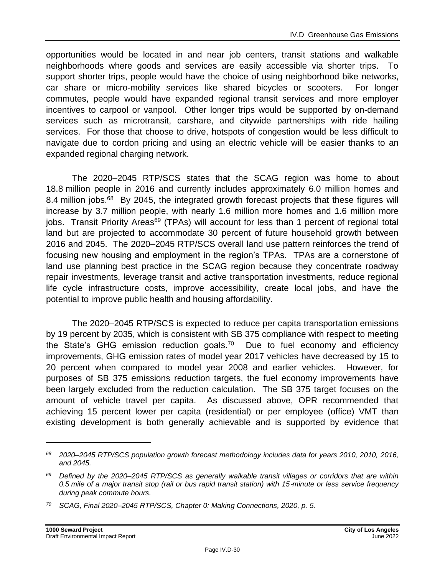opportunities would be located in and near job centers, transit stations and walkable neighborhoods where goods and services are easily accessible via shorter trips. To support shorter trips, people would have the choice of using neighborhood bike networks, car share or micro-mobility services like shared bicycles or scooters. For longer commutes, people would have expanded regional transit services and more employer incentives to carpool or vanpool. Other longer trips would be supported by on-demand services such as microtransit, carshare, and citywide partnerships with ride hailing services. For those that choose to drive, hotspots of congestion would be less difficult to navigate due to cordon pricing and using an electric vehicle will be easier thanks to an expanded regional charging network.

The 2020–2045 RTP/SCS states that the SCAG region was home to about 18.8 million people in 2016 and currently includes approximately 6.0 million homes and 8.4 million jobs.<sup>68</sup> By 2045, the integrated growth forecast projects that these figures will increase by 3.7 million people, with nearly 1.6 million more homes and 1.6 million more jobs. Transit Priority Areas<sup>69</sup> (TPAs) will account for less than 1 percent of regional total land but are projected to accommodate 30 percent of future household growth between 2016 and 2045. The 2020–2045 RTP/SCS overall land use pattern reinforces the trend of focusing new housing and employment in the region's TPAs. TPAs are a cornerstone of land use planning best practice in the SCAG region because they concentrate roadway repair investments, leverage transit and active transportation investments, reduce regional life cycle infrastructure costs, improve accessibility, create local jobs, and have the potential to improve public health and housing affordability.

The 2020–2045 RTP/SCS is expected to reduce per capita transportation emissions by 19 percent by 2035, which is consistent with SB 375 compliance with respect to meeting the State's GHG emission reduction goals.<sup>70</sup> Due to fuel economy and efficiency improvements, GHG emission rates of model year 2017 vehicles have decreased by 15 to 20 percent when compared to model year 2008 and earlier vehicles. However, for purposes of SB 375 emissions reduction targets, the fuel economy improvements have been largely excluded from the reduction calculation. The SB 375 target focuses on the amount of vehicle travel per capita. As discussed above, OPR recommended that achieving 15 percent lower per capita (residential) or per employee (office) VMT than existing development is both generally achievable and is supported by evidence that

*<sup>68</sup> 2020–2045 RTP/SCS population growth forecast methodology includes data for years 2010, 2010, 2016, and 2045.*

*<sup>69</sup> Defined by the 2020–2045 RTP/SCS as generally walkable transit villages or corridors that are within 0.5 mile of a major transit stop (rail or bus rapid transit station) with 15*‑*minute or less service frequency during peak commute hours.*

*<sup>70</sup> SCAG, Final 2020–2045 RTP/SCS, Chapter 0: Making Connections, 2020, p. 5.*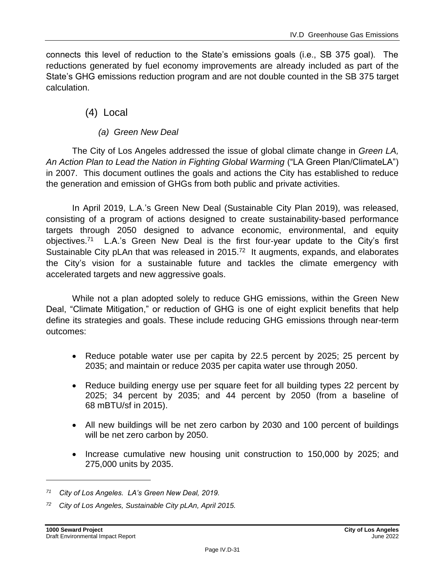connects this level of reduction to the State's emissions goals (i.e., SB 375 goal). The reductions generated by fuel economy improvements are already included as part of the State's GHG emissions reduction program and are not double counted in the SB 375 target calculation.

### (4) Local

*(a) Green New Deal*

The City of Los Angeles addressed the issue of global climate change in *Green LA, An Action Plan to Lead the Nation in Fighting Global Warming* ("LA Green Plan/ClimateLA") in 2007. This document outlines the goals and actions the City has established to reduce the generation and emission of GHGs from both public and private activities.

In April 2019, L.A.'s Green New Deal (Sustainable City Plan 2019), was released, consisting of a program of actions designed to create sustainability-based performance targets through 2050 designed to advance economic, environmental, and equity objectives.<sup>71</sup> L.A.'s Green New Deal is the first four-year update to the City's first Sustainable City pLAn that was released in 2015.<sup>72</sup> It augments, expands, and elaborates the City's vision for a sustainable future and tackles the climate emergency with accelerated targets and new aggressive goals.

While not a plan adopted solely to reduce GHG emissions, within the Green New Deal, "Climate Mitigation," or reduction of GHG is one of eight explicit benefits that help define its strategies and goals. These include reducing GHG emissions through near-term outcomes:

- Reduce potable water use per capita by 22.5 percent by 2025; 25 percent by 2035; and maintain or reduce 2035 per capita water use through 2050.
- Reduce building energy use per square feet for all building types 22 percent by 2025; 34 percent by 2035; and 44 percent by 2050 (from a baseline of 68 mBTU/sf in 2015).
- All new buildings will be net zero carbon by 2030 and 100 percent of buildings will be net zero carbon by 2050.
- Increase cumulative new housing unit construction to 150,000 by 2025; and 275,000 units by 2035.

*<sup>71</sup> City of Los Angeles. LA's Green New Deal, 2019.*

*<sup>72</sup> City of Los Angeles, Sustainable City pLAn, April 2015.*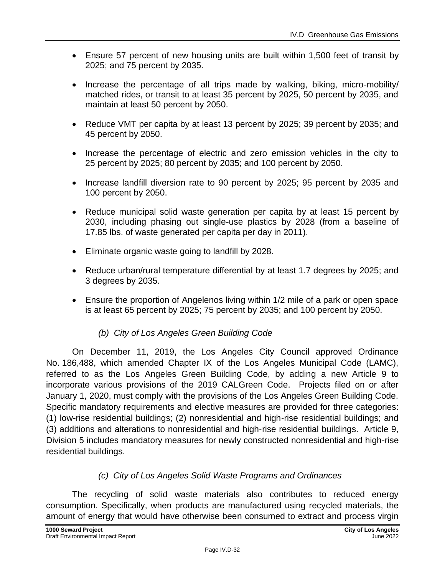- Ensure 57 percent of new housing units are built within 1,500 feet of transit by 2025; and 75 percent by 2035.
- Increase the percentage of all trips made by walking, biking, micro-mobility/ matched rides, or transit to at least 35 percent by 2025, 50 percent by 2035, and maintain at least 50 percent by 2050.
- Reduce VMT per capita by at least 13 percent by 2025; 39 percent by 2035; and 45 percent by 2050.
- Increase the percentage of electric and zero emission vehicles in the city to 25 percent by 2025; 80 percent by 2035; and 100 percent by 2050.
- Increase landfill diversion rate to 90 percent by 2025; 95 percent by 2035 and 100 percent by 2050.
- Reduce municipal solid waste generation per capita by at least 15 percent by 2030, including phasing out single-use plastics by 2028 (from a baseline of 17.85 lbs. of waste generated per capita per day in 2011).
- Eliminate organic waste going to landfill by 2028.
- Reduce urban/rural temperature differential by at least 1.7 degrees by 2025; and 3 degrees by 2035.
- Ensure the proportion of Angelenos living within 1/2 mile of a park or open space is at least 65 percent by 2025; 75 percent by 2035; and 100 percent by 2050.

### *(b) City of Los Angeles Green Building Code*

On December 11, 2019, the Los Angeles City Council approved Ordinance No. 186,488, which amended Chapter IX of the Los Angeles Municipal Code (LAMC), referred to as the Los Angeles Green Building Code, by adding a new Article 9 to incorporate various provisions of the 2019 CALGreen Code. Projects filed on or after January 1, 2020, must comply with the provisions of the Los Angeles Green Building Code. Specific mandatory requirements and elective measures are provided for three categories: (1) low-rise residential buildings; (2) nonresidential and high-rise residential buildings; and (3) additions and alterations to nonresidential and high-rise residential buildings. Article 9, Division 5 includes mandatory measures for newly constructed nonresidential and high-rise residential buildings.

### *(c) City of Los Angeles Solid Waste Programs and Ordinances*

The recycling of solid waste materials also contributes to reduced energy consumption. Specifically, when products are manufactured using recycled materials, the amount of energy that would have otherwise been consumed to extract and process virgin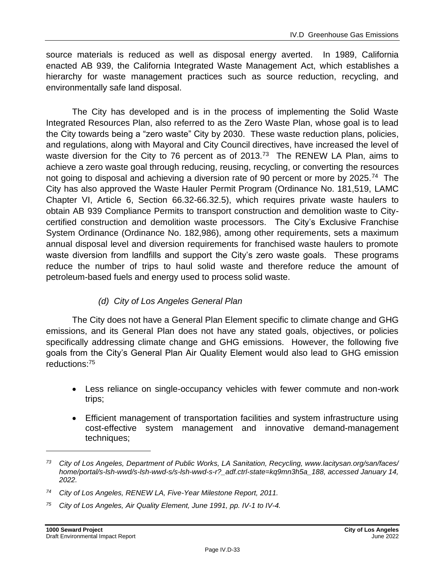source materials is reduced as well as disposal energy averted. In 1989, California enacted AB 939, the California Integrated Waste Management Act, which establishes a hierarchy for waste management practices such as source reduction, recycling, and environmentally safe land disposal.

The City has developed and is in the process of implementing the Solid Waste Integrated Resources Plan, also referred to as the Zero Waste Plan, whose goal is to lead the City towards being a "zero waste" City by 2030. These waste reduction plans, policies, and regulations, along with Mayoral and City Council directives, have increased the level of waste diversion for the City to 76 percent as of 2013.<sup>73</sup> The RENEW LA Plan, aims to achieve a zero waste goal through reducing, reusing, recycling, or converting the resources not going to disposal and achieving a diversion rate of 90 percent or more by 2025.<sup>74</sup> The City has also approved the Waste Hauler Permit Program (Ordinance No. 181,519, LAMC Chapter VI, Article 6, Section 66.32-66.32.5), which requires private waste haulers to obtain AB 939 Compliance Permits to transport construction and demolition waste to Citycertified construction and demolition waste processors. The City's Exclusive Franchise System Ordinance (Ordinance No. 182,986), among other requirements, sets a maximum annual disposal level and diversion requirements for franchised waste haulers to promote waste diversion from landfills and support the City's zero waste goals. These programs reduce the number of trips to haul solid waste and therefore reduce the amount of petroleum-based fuels and energy used to process solid waste.

### *(d) City of Los Angeles General Plan*

The City does not have a General Plan Element specific to climate change and GHG emissions, and its General Plan does not have any stated goals, objectives, or policies specifically addressing climate change and GHG emissions. However, the following five goals from the City's General Plan Air Quality Element would also lead to GHG emission reductions: 75

- Less reliance on single-occupancy vehicles with fewer commute and non-work trips;
- Efficient management of transportation facilities and system infrastructure using cost-effective system management and innovative demand-management techniques;

*<sup>73</sup> City of Los Angeles, Department of Public Works, LA Sanitation, Recycling, www.lacitysan.org/san/faces/ home/portal/s-lsh-wwd/s-lsh-wwd-s/s-lsh-wwd-s-r?\_adf.ctrl-state=kq9mn3h5a\_188, accessed January 14, 2022.*

*<sup>74</sup> City of Los Angeles, RENEW LA, Five-Year Milestone Report, 2011.*

*<sup>75</sup> City of Los Angeles, Air Quality Element, June 1991, pp. IV-1 to IV-4.*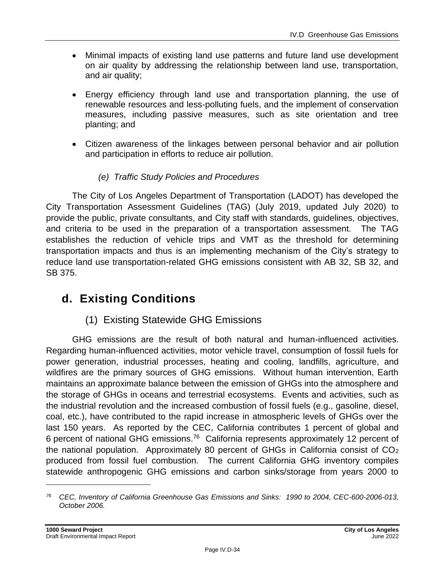- Minimal impacts of existing land use patterns and future land use development on air quality by addressing the relationship between land use, transportation, and air quality;
- Energy efficiency through land use and transportation planning, the use of renewable resources and less-polluting fuels, and the implement of conservation measures, including passive measures, such as site orientation and tree planting; and
- Citizen awareness of the linkages between personal behavior and air pollution and participation in efforts to reduce air pollution.

### *(e) Traffic Study Policies and Procedures*

The City of Los Angeles Department of Transportation (LADOT) has developed the City Transportation Assessment Guidelines (TAG) (July 2019, updated July 2020) to provide the public, private consultants, and City staff with standards, guidelines, objectives, and criteria to be used in the preparation of a transportation assessment. The TAG establishes the reduction of vehicle trips and VMT as the threshold for determining transportation impacts and thus is an implementing mechanism of the City's strategy to reduce land use transportation-related GHG emissions consistent with AB 32, SB 32, and SB 375.

# **d. Existing Conditions**

## (1) Existing Statewide GHG Emissions

GHG emissions are the result of both natural and human-influenced activities. Regarding human-influenced activities, motor vehicle travel, consumption of fossil fuels for power generation, industrial processes, heating and cooling, landfills, agriculture, and wildfires are the primary sources of GHG emissions. Without human intervention, Earth maintains an approximate balance between the emission of GHGs into the atmosphere and the storage of GHGs in oceans and terrestrial ecosystems. Events and activities, such as the industrial revolution and the increased combustion of fossil fuels (e.g., gasoline, diesel, coal, etc.), have contributed to the rapid increase in atmospheric levels of GHGs over the last 150 years. As reported by the CEC, California contributes 1 percent of global and 6 percent of national GHG emissions.<sup>76</sup> California represents approximately 12 percent of the national population. Approximately 80 percent of GHGs in California consist of CO<sup>2</sup> produced from fossil fuel combustion. The current California GHG inventory compiles statewide anthropogenic GHG emissions and carbon sinks/storage from years 2000 to

*<sup>76</sup> CEC, Inventory of California Greenhouse Gas Emissions and Sinks: 1990 to 2004, CEC-600-2006-013, October 2006.*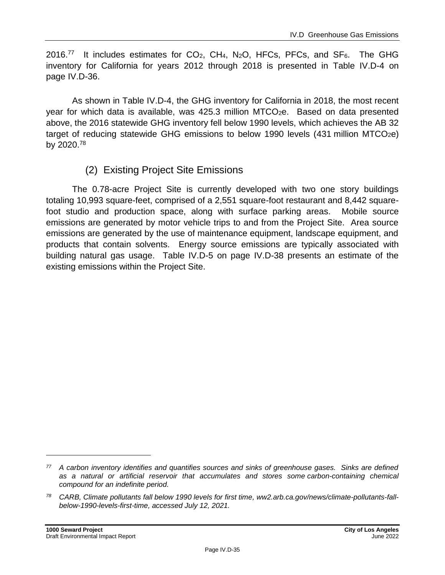2016.<sup>77</sup> It includes estimates for  $CO<sub>2</sub>$ ,  $CH<sub>4</sub>$ , N<sub>2</sub>O, HFCs, PFCs, and SF<sub>6</sub>. The GHG inventory for California for years 2012 through 2018 is presented in Table IV.D-4 on page IV.D-36.

As shown in Table IV.D-4, the GHG inventory for California in 2018, the most recent year for which data is available, was 425.3 million MTCO<sub>2</sub>e. Based on data presented above, the 2016 statewide GHG inventory fell below 1990 levels, which achieves the AB 32 target of reducing statewide GHG emissions to below 1990 levels  $(431$  million MTCO<sub>2</sub>e) by 2020.<sup>78</sup>

### (2) Existing Project Site Emissions

The 0.78-acre Project Site is currently developed with two one story buildings totaling 10,993 square-feet, comprised of a 2,551 square-foot restaurant and 8,442 squarefoot studio and production space, along with surface parking areas. Mobile source emissions are generated by motor vehicle trips to and from the Project Site. Area source emissions are generated by the use of maintenance equipment, landscape equipment, and products that contain solvents. Energy source emissions are typically associated with building natural gas usage. Table IV.D-5 on page IV.D-38 presents an estimate of the existing emissions within the Project Site.

*<sup>77</sup> A carbon inventory identifies and quantifies sources and sinks of greenhouse gases. Sinks are defined as a natural or artificial reservoir that accumulates and stores some carbon-containing chemical compound for an indefinite period.*

*<sup>78</sup> CARB, Climate pollutants fall below 1990 levels for first time, ww2.arb.ca.gov/news/climate-pollutants-fallbelow-1990-levels-first-time, accessed July 12, 2021.*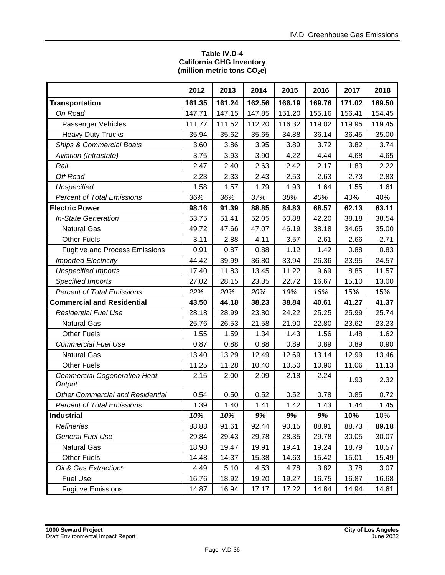#### **Table IV.D-4 California GHG Inventory (million metric tons CO2e)**

|                                               | 2012   | 2013   | 2014   | 2015   | 2016   | 2017   | 2018   |
|-----------------------------------------------|--------|--------|--------|--------|--------|--------|--------|
| <b>Transportation</b>                         | 161.35 | 161.24 | 162.56 | 166.19 | 169.76 | 171.02 | 169.50 |
| On Road                                       | 147.71 | 147.15 | 147.85 | 151.20 | 155.16 | 156.41 | 154.45 |
| Passenger Vehicles                            | 111.77 | 111.52 | 112.20 | 116.32 | 119.02 | 119.95 | 119.45 |
| <b>Heavy Duty Trucks</b>                      | 35.94  | 35.62  | 35.65  | 34.88  | 36.14  | 36.45  | 35.00  |
| <b>Ships &amp; Commercial Boats</b>           | 3.60   | 3.86   | 3.95   | 3.89   | 3.72   | 3.82   | 3.74   |
| Aviation (Intrastate)                         | 3.75   | 3.93   | 3.90   | 4.22   | 4.44   | 4.68   | 4.65   |
| Rail                                          | 2.47   | 2.40   | 2.63   | 2.42   | 2.17   | 1.83   | 2.22   |
| Off Road                                      | 2.23   | 2.33   | 2.43   | 2.53   | 2.63   | 2.73   | 2.83   |
| <b>Unspecified</b>                            | 1.58   | 1.57   | 1.79   | 1.93   | 1.64   | 1.55   | 1.61   |
| <b>Percent of Total Emissions</b>             | 36%    | 36%    | 37%    | 38%    | 40%    | 40%    | 40%    |
| <b>Electric Power</b>                         | 98.16  | 91.39  | 88.85  | 84.83  | 68.57  | 62.13  | 63.11  |
| <b>In-State Generation</b>                    | 53.75  | 51.41  | 52.05  | 50.88  | 42.20  | 38.18  | 38.54  |
| <b>Natural Gas</b>                            | 49.72  | 47.66  | 47.07  | 46.19  | 38.18  | 34.65  | 35.00  |
| <b>Other Fuels</b>                            | 3.11   | 2.88   | 4.11   | 3.57   | 2.61   | 2.66   | 2.71   |
| <b>Fugitive and Process Emissions</b>         | 0.91   | 0.87   | 0.88   | 1.12   | 1.42   | 0.88   | 0.83   |
| <b>Imported Electricity</b>                   | 44.42  | 39.99  | 36.80  | 33.94  | 26.36  | 23.95  | 24.57  |
| <b>Unspecified Imports</b>                    | 17.40  | 11.83  | 13.45  | 11.22  | 9.69   | 8.85   | 11.57  |
| <b>Specified Imports</b>                      | 27.02  | 28.15  | 23.35  | 22.72  | 16.67  | 15.10  | 13.00  |
| <b>Percent of Total Emissions</b>             | 22%    | 20%    | 20%    | 19%    | 16%    | 15%    | 15%    |
| <b>Commercial and Residential</b>             | 43.50  | 44.18  | 38.23  | 38.84  | 40.61  | 41.27  | 41.37  |
| <b>Residential Fuel Use</b>                   | 28.18  | 28.99  | 23.80  | 24.22  | 25.25  | 25.99  | 25.74  |
| <b>Natural Gas</b>                            | 25.76  | 26.53  | 21.58  | 21.90  | 22.80  | 23.62  | 23.23  |
| <b>Other Fuels</b>                            | 1.55   | 1.59   | 1.34   | 1.43   | 1.56   | 1.48   | 1.62   |
| <b>Commercial Fuel Use</b>                    | 0.87   | 0.88   | 0.88   | 0.89   | 0.89   | 0.89   | 0.90   |
| Natural Gas                                   | 13.40  | 13.29  | 12.49  | 12.69  | 13.14  | 12.99  | 13.46  |
| <b>Other Fuels</b>                            | 11.25  | 11.28  | 10.40  | 10.50  | 10.90  | 11.06  | 11.13  |
| <b>Commercial Cogeneration Heat</b><br>Output | 2.15   | 2.00   | 2.09   | 2.18   | 2.24   | 1.93   | 2.32   |
| <b>Other Commercial and Residential</b>       | 0.54   | 0.50   | 0.52   | 0.52   | 0.78   | 0.85   | 0.72   |
| <b>Percent of Total Emissions</b>             | 1.39   | 1.40   | 1.41   | 1.42   | 1.43   | 1.44   | 1.45   |
| <b>Industrial</b>                             | 10%    | 10%    | 9%     | 9%     | 9%     | 10%    | 10%    |
| Refineries                                    | 88.88  | 91.61  | 92.44  | 90.15  | 88.91  | 88.73  | 89.18  |
| <b>General Fuel Use</b>                       | 29.84  | 29.43  | 29.78  | 28.35  | 29.78  | 30.05  | 30.07  |
| <b>Natural Gas</b>                            | 18.98  | 19.47  | 19.91  | 19.41  | 19.24  | 18.79  | 18.57  |
| <b>Other Fuels</b>                            | 14.48  | 14.37  | 15.38  | 14.63  | 15.42  | 15.01  | 15.49  |
| Oil & Gas Extraction <sup>a</sup>             | 4.49   | 5.10   | 4.53   | 4.78   | 3.82   | 3.78   | 3.07   |
| <b>Fuel Use</b>                               | 16.76  | 18.92  | 19.20  | 19.27  | 16.75  | 16.87  | 16.68  |
| <b>Fugitive Emissions</b>                     | 14.87  | 16.94  | 17.17  | 17.22  | 14.84  | 14.94  | 14.61  |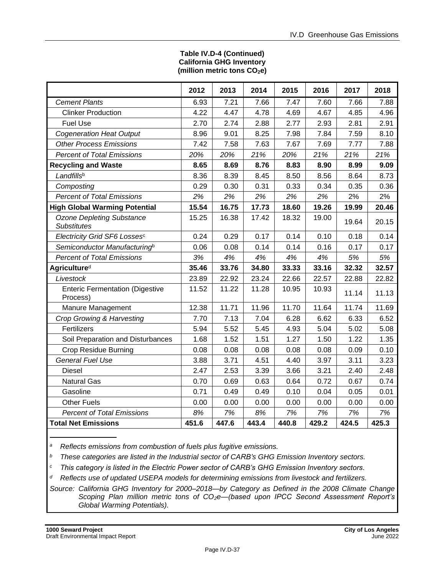#### **Table IV.D-4 (Continued) California GHG Inventory (million metric tons CO2e)**

|                                                        | 2012  | 2013  | 2014  | 2015  | 2016  | 2017  | 2018  |
|--------------------------------------------------------|-------|-------|-------|-------|-------|-------|-------|
| <b>Cement Plants</b>                                   | 6.93  | 7.21  | 7.66  | 7.47  | 7.60  | 7.66  | 7.88  |
| <b>Clinker Production</b>                              | 4.22  | 4.47  | 4.78  | 4.69  | 4.67  | 4.85  | 4.96  |
| <b>Fuel Use</b>                                        | 2.70  | 2.74  | 2.88  | 2.77  | 2.93  | 2.81  | 2.91  |
| <b>Cogeneration Heat Output</b>                        | 8.96  | 9.01  | 8.25  | 7.98  | 7.84  | 7.59  | 8.10  |
| <b>Other Process Emissions</b>                         | 7.42  | 7.58  | 7.63  | 7.67  | 7.69  | 7.77  | 7.88  |
| <b>Percent of Total Emissions</b>                      | 20%   | 20%   | 21%   | 20%   | 21%   | 21%   | 21%   |
| <b>Recycling and Waste</b>                             | 8.65  | 8.69  | 8.76  | 8.83  | 8.90  | 8.99  | 9.09  |
| Landfillsb                                             | 8.36  | 8.39  | 8.45  | 8.50  | 8.56  | 8.64  | 8.73  |
| Composting                                             | 0.29  | 0.30  | 0.31  | 0.33  | 0.34  | 0.35  | 0.36  |
| <b>Percent of Total Emissions</b>                      | 2%    | 2%    | 2%    | 2%    | 2%    | 2%    | 2%    |
| <b>High Global Warming Potential</b>                   | 15.54 | 16.75 | 17.73 | 18.60 | 19.26 | 19.99 | 20.46 |
| <b>Ozone Depleting Substance</b><br><b>Substitutes</b> | 15.25 | 16.38 | 17.42 | 18.32 | 19.00 | 19.64 | 20.15 |
| Electricity Grid SF6 Lossesc                           | 0.24  | 0.29  | 0.17  | 0.14  | 0.10  | 0.18  | 0.14  |
| Semiconductor Manufacturing <sup>b</sup>               | 0.06  | 0.08  | 0.14  | 0.14  | 0.16  | 0.17  | 0.17  |
| <b>Percent of Total Emissions</b>                      | 3%    | 4%    | 4%    | 4%    | 4%    | 5%    | 5%    |
| Agriculture <sup>d</sup>                               | 35.46 | 33.76 | 34.80 | 33.33 | 33.16 | 32.32 | 32.57 |
| Livestock                                              | 23.89 | 22.92 | 23.24 | 22.66 | 22.57 | 22.88 | 22.82 |
| <b>Enteric Fermentation (Digestive</b><br>Process)     | 11.52 | 11.22 | 11.28 | 10.95 | 10.93 | 11.14 | 11.13 |
| Manure Management                                      | 12.38 | 11.71 | 11.96 | 11.70 | 11.64 | 11.74 | 11.69 |
| Crop Growing & Harvesting                              | 7.70  | 7.13  | 7.04  | 6.28  | 6.62  | 6.33  | 6.52  |
| Fertilizers                                            | 5.94  | 5.52  | 5.45  | 4.93  | 5.04  | 5.02  | 5.08  |
| Soil Preparation and Disturbances                      | 1.68  | 1.52  | 1.51  | 1.27  | 1.50  | 1.22  | 1.35  |
| <b>Crop Residue Burning</b>                            | 0.08  | 0.08  | 0.08  | 0.08  | 0.08  | 0.09  | 0.10  |
| <b>General Fuel Use</b>                                | 3.88  | 3.71  | 4.51  | 4.40  | 3.97  | 3.11  | 3.23  |
| <b>Diesel</b>                                          | 2.47  | 2.53  | 3.39  | 3.66  | 3.21  | 2.40  | 2.48  |
| <b>Natural Gas</b>                                     | 0.70  | 0.69  | 0.63  | 0.64  | 0.72  | 0.67  | 0.74  |
| Gasoline                                               | 0.71  | 0.49  | 0.49  | 0.10  | 0.04  | 0.05  | 0.01  |
| <b>Other Fuels</b>                                     | 0.00  | 0.00  | 0.00  | 0.00  | 0.00  | 0.00  | 0.00  |
| <b>Percent of Total Emissions</b>                      | 8%    | 7%    | 8%    | 7%    | 7%    | 7%    | 7%    |
| <b>Total Net Emissions</b>                             | 451.6 | 447.6 | 443.4 | 440.8 | 429.2 | 424.5 | 425.3 |

*<sup>a</sup>Reflects emissions from combustion of fuels plus fugitive emissions.*

*<sup>b</sup>These categories are listed in the Industrial sector of CARB's GHG Emission Inventory sectors.*

*<sup>c</sup>This category is listed in the Electric Power sector of CARB's GHG Emission Inventory sectors.*

*<sup>d</sup>Reflects use of updated USEPA models for determining emissions from livestock and fertilizers.*

*Source: California GHG Inventory for 2000–2018—by Category as Defined in the 2008 Climate Change Scoping Plan million metric tons of CO2e—(based upon IPCC Second Assessment Report's Global Warming Potentials).*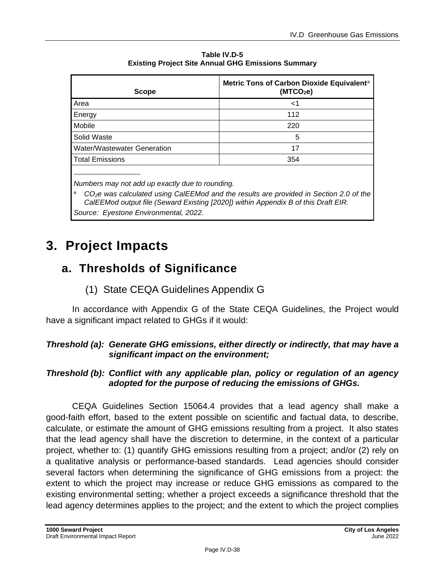| <b>Scope</b>                | Metric Tons of Carbon Dioxide Equivalent <sup>a</sup><br>(MTCO <sub>2</sub> e) |
|-----------------------------|--------------------------------------------------------------------------------|
| Area                        | <1                                                                             |
| Energy                      | 112                                                                            |
| Mobile                      | 220                                                                            |
| Solid Waste                 | 5                                                                              |
| Water/Wastewater Generation | 17                                                                             |
| <b>Total Emissions</b>      | 354                                                                            |
|                             |                                                                                |

**Table IV.D-5 Existing Project Site Annual GHG Emissions Summary** 

*Numbers may not add up exactly due to rounding.*

*<sup>a</sup>CO2e was calculated using CalEEMod and the results are provided in Section 2.0 of the CalEEMod output file (Seward Existing [2020]) within Appendix B of this Draft EIR. Source: Eyestone Environmental, 2022.*

# **3. Project Impacts**

# **a. Thresholds of Significance**

# (1) State CEQA Guidelines Appendix G

In accordance with Appendix G of the State CEQA Guidelines, the Project would have a significant impact related to GHGs if it would:

## *Threshold (a): Generate GHG emissions, either directly or indirectly, that may have a significant impact on the environment;*

## *Threshold (b): Conflict with any applicable plan, policy or regulation of an agency adopted for the purpose of reducing the emissions of GHGs.*

CEQA Guidelines Section 15064.4 provides that a lead agency shall make a good-faith effort, based to the extent possible on scientific and factual data, to describe, calculate, or estimate the amount of GHG emissions resulting from a project. It also states that the lead agency shall have the discretion to determine, in the context of a particular project, whether to: (1) quantify GHG emissions resulting from a project; and/or (2) rely on a qualitative analysis or performance-based standards. Lead agencies should consider several factors when determining the significance of GHG emissions from a project: the extent to which the project may increase or reduce GHG emissions as compared to the existing environmental setting; whether a project exceeds a significance threshold that the lead agency determines applies to the project; and the extent to which the project complies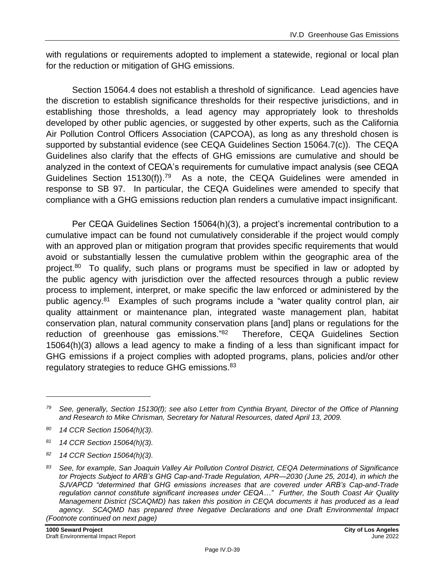with regulations or requirements adopted to implement a statewide, regional or local plan for the reduction or mitigation of GHG emissions.

Section 15064.4 does not establish a threshold of significance. Lead agencies have the discretion to establish significance thresholds for their respective jurisdictions, and in establishing those thresholds, a lead agency may appropriately look to thresholds developed by other public agencies, or suggested by other experts, such as the California Air Pollution Control Officers Association (CAPCOA), as long as any threshold chosen is supported by substantial evidence (see CEQA Guidelines Section 15064.7(c)). The CEQA Guidelines also clarify that the effects of GHG emissions are cumulative and should be analyzed in the context of CEQA's requirements for cumulative impact analysis (see CEQA Guidelines Section  $15130(f)$ ).<sup>79</sup> As a note, the CEQA Guidelines were amended in response to SB 97. In particular, the CEQA Guidelines were amended to specify that compliance with a GHG emissions reduction plan renders a cumulative impact insignificant.

Per CEQA Guidelines Section 15064(h)(3), a project's incremental contribution to a cumulative impact can be found not cumulatively considerable if the project would comply with an approved plan or mitigation program that provides specific requirements that would avoid or substantially lessen the cumulative problem within the geographic area of the project.<sup>80</sup> To qualify, such plans or programs must be specified in law or adopted by the public agency with jurisdiction over the affected resources through a public review process to implement, interpret, or make specific the law enforced or administered by the public agency.<sup>81</sup> Examples of such programs include a "water quality control plan, air quality attainment or maintenance plan, integrated waste management plan, habitat conservation plan, natural community conservation plans [and] plans or regulations for the reduction of greenhouse gas emissions."<sup>82</sup> Therefore, CEQA Guidelines Section 15064(h)(3) allows a lead agency to make a finding of a less than significant impact for GHG emissions if a project complies with adopted programs, plans, policies and/or other regulatory strategies to reduce GHG emissions.<sup>83</sup>

*<sup>79</sup> See, generally, Section 15130(f); see also Letter from Cynthia Bryant, Director of the Office of Planning and Research to Mike Chrisman, Secretary for Natural Resources, dated April 13, 2009.*

*<sup>80</sup> 14 CCR Section 15064(h)(3).*

*<sup>81</sup> 14 CCR Section 15064(h)(3).*

*<sup>82</sup> 14 CCR Section 15064(h)(3).*

*<sup>83</sup> See, for example, San Joaquin Valley Air Pollution Control District, CEQA Determinations of Significance tor Projects Subject to ARB's GHG Cap-and-Trade Regulation, APR—2030 (June 25, 2014), in which the SJVAPCD "determined that GHG emissions increases that are covered under ARB's Cap-and-Trade regulation cannot constitute significant increases under CEQA…" Further, the South Coast Air Quality Management District (SCAQMD) has taken this position in CEQA documents it has produced as a lead agency. SCAQMD has prepared three Negative Declarations and one Draft Environmental Impact (Footnote continued on next page)*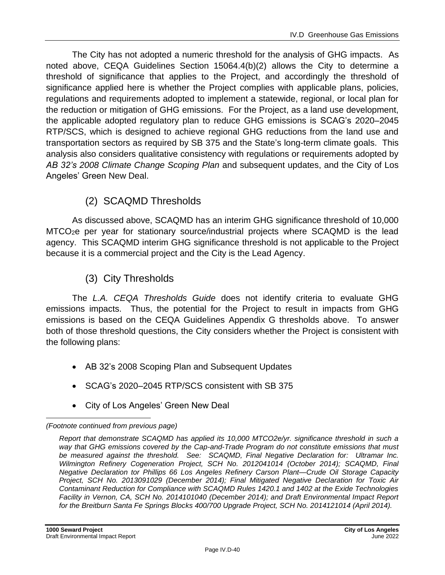The City has not adopted a numeric threshold for the analysis of GHG impacts. As noted above, CEQA Guidelines Section 15064.4(b)(2) allows the City to determine a threshold of significance that applies to the Project, and accordingly the threshold of significance applied here is whether the Project complies with applicable plans, policies, regulations and requirements adopted to implement a statewide, regional, or local plan for the reduction or mitigation of GHG emissions. For the Project, as a land use development, the applicable adopted regulatory plan to reduce GHG emissions is SCAG's 2020–2045 RTP/SCS, which is designed to achieve regional GHG reductions from the land use and transportation sectors as required by SB 375 and the State's long-term climate goals. This analysis also considers qualitative consistency with regulations or requirements adopted by *AB 32's 2008 Climate Change Scoping Plan* and subsequent updates, and the City of Los Angeles' Green New Deal.

# (2) SCAQMD Thresholds

As discussed above, SCAQMD has an interim GHG significance threshold of 10,000 MTCO2e per year for stationary source/industrial projects where SCAQMD is the lead agency. This SCAQMD interim GHG significance threshold is not applicable to the Project because it is a commercial project and the City is the Lead Agency.

# (3) City Thresholds

The *L.A. CEQA Thresholds Guide* does not identify criteria to evaluate GHG emissions impacts. Thus, the potential for the Project to result in impacts from GHG emissions is based on the CEQA Guidelines Appendix G thresholds above. To answer both of those threshold questions, the City considers whether the Project is consistent with the following plans:

- AB 32's 2008 Scoping Plan and Subsequent Updates
- SCAG's 2020–2045 RTP/SCS consistent with SB 375
- City of Los Angeles' Green New Deal

#### *(Footnote continued from previous page)*

*Report that demonstrate SCAQMD has applied its 10,000 MTCO2e/yr. significance threshold in such a way that GHG emissions covered by the Cap-and-Trade Program do not constitute emissions that must be measured against the threshold. See: SCAQMD, Final Negative Declaration for: Ultramar Inc. Wilmington Refinery Cogeneration Project, SCH No. 2012041014 (October 2014); SCAQMD, Final Negative Declaration tor Phillips 66 Los Angeles Refinery Carson Plant—Crude Oil Storage Capacity Project, SCH No. 2013091029 (December 2014); Final Mitigated Negative Declaration for Toxic Air Contaminant Reduction for Compliance with SCAQMD Rules 1420.1 and 1402 at the Exide Technologies Facility in Vernon, CA, SCH No. 2014101040 (December 2014); and Draft Environmental Impact Report for the Breitburn Santa Fe Springs Blocks 400/700 Upgrade Project, SCH No. 2014121014 (April 2014).*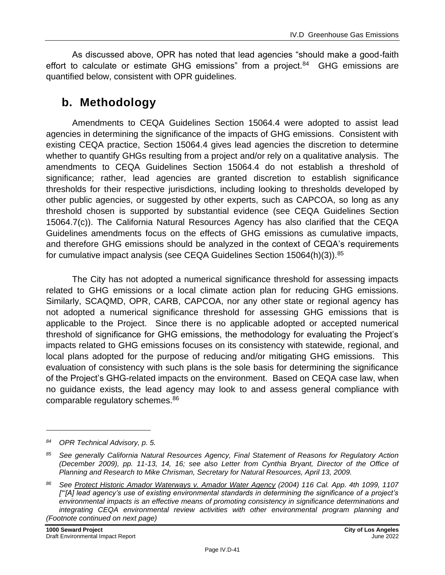As discussed above, OPR has noted that lead agencies "should make a good-faith effort to calculate or estimate GHG emissions" from a project.<sup>84</sup> GHG emissions are quantified below, consistent with OPR guidelines.

# **b. Methodology**

Amendments to CEQA Guidelines Section 15064.4 were adopted to assist lead agencies in determining the significance of the impacts of GHG emissions. Consistent with existing CEQA practice, Section 15064.4 gives lead agencies the discretion to determine whether to quantify GHGs resulting from a project and/or rely on a qualitative analysis. The amendments to CEQA Guidelines Section 15064.4 do not establish a threshold of significance; rather, lead agencies are granted discretion to establish significance thresholds for their respective jurisdictions, including looking to thresholds developed by other public agencies, or suggested by other experts, such as CAPCOA, so long as any threshold chosen is supported by substantial evidence (see CEQA Guidelines Section 15064.7(c)). The California Natural Resources Agency has also clarified that the CEQA Guidelines amendments focus on the effects of GHG emissions as cumulative impacts, and therefore GHG emissions should be analyzed in the context of CEQA's requirements for cumulative impact analysis (see CEQA Guidelines Section 15064(h)(3)).<sup>85</sup>

The City has not adopted a numerical significance threshold for assessing impacts related to GHG emissions or a local climate action plan for reducing GHG emissions. Similarly, SCAQMD, OPR, CARB, CAPCOA, nor any other state or regional agency has not adopted a numerical significance threshold for assessing GHG emissions that is applicable to the Project. Since there is no applicable adopted or accepted numerical threshold of significance for GHG emissions, the methodology for evaluating the Project's impacts related to GHG emissions focuses on its consistency with statewide, regional, and local plans adopted for the purpose of reducing and/or mitigating GHG emissions. This evaluation of consistency with such plans is the sole basis for determining the significance of the Project's GHG-related impacts on the environment. Based on CEQA case law, when no guidance exists, the lead agency may look to and assess general compliance with comparable regulatory schemes.<sup>86</sup>

*<sup>84</sup> OPR Technical Advisory, p. 5.*

*<sup>85</sup> See generally California Natural Resources Agency, Final Statement of Reasons for Regulatory Action (December 2009), pp. 11-13, 14, 16; see also Letter from Cynthia Bryant, Director of the Office of Planning and Research to Mike Chrisman, Secretary for Natural Resources, April 13, 2009.*

*<sup>86</sup> See Protect Historic Amador Waterways v. Amador Water Agency (2004) 116 Cal. App. 4th 1099, 1107 ["'[A] lead agency's use of existing environmental standards in determining the significance of a project's environmental impacts is an effective means of promoting consistency in significance determinations and integrating CEQA environmental review activities with other environmental program planning and (Footnote continued on next page)*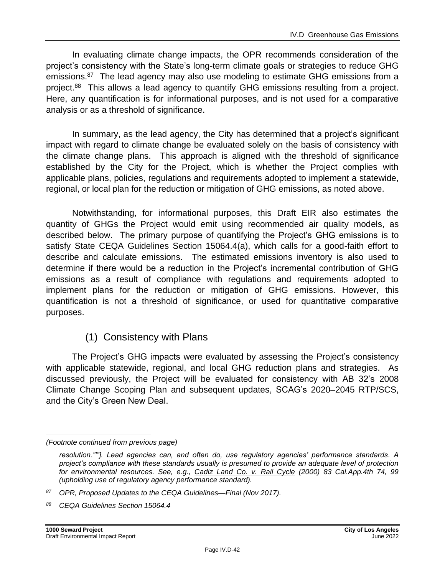In evaluating climate change impacts, the OPR recommends consideration of the project's consistency with the State's long-term climate goals or strategies to reduce GHG emissions.<sup>87</sup> The lead agency may also use modeling to estimate GHG emissions from a project.<sup>88</sup> This allows a lead agency to quantify GHG emissions resulting from a project. Here, any quantification is for informational purposes, and is not used for a comparative analysis or as a threshold of significance.

In summary, as the lead agency, the City has determined that a project's significant impact with regard to climate change be evaluated solely on the basis of consistency with the climate change plans. This approach is aligned with the threshold of significance established by the City for the Project, which is whether the Project complies with applicable plans, policies, regulations and requirements adopted to implement a statewide, regional, or local plan for the reduction or mitigation of GHG emissions, as noted above.

Notwithstanding, for informational purposes, this Draft EIR also estimates the quantity of GHGs the Project would emit using recommended air quality models, as described below. The primary purpose of quantifying the Project's GHG emissions is to satisfy State CEQA Guidelines Section 15064.4(a), which calls for a good-faith effort to describe and calculate emissions. The estimated emissions inventory is also used to determine if there would be a reduction in the Project's incremental contribution of GHG emissions as a result of compliance with regulations and requirements adopted to implement plans for the reduction or mitigation of GHG emissions. However, this quantification is not a threshold of significance, or used for quantitative comparative purposes.

# (1) Consistency with Plans

The Project's GHG impacts were evaluated by assessing the Project's consistency with applicable statewide, regional, and local GHG reduction plans and strategies. As discussed previously, the Project will be evaluated for consistency with AB 32's 2008 Climate Change Scoping Plan and subsequent updates, SCAG's 2020–2045 RTP/SCS, and the City's Green New Deal.

*<sup>(</sup>Footnote continued from previous page)*

*resolution."'"]. Lead agencies can, and often do, use regulatory agencies' performance standards. A project's compliance with these standards usually is presumed to provide an adequate level of protection for environmental resources. See, e.g., Cadiz Land Co. v. Rail Cycle (2000) 83 Cal.App.4th 74, 99 (upholding use of regulatory agency performance standard).*

*<sup>87</sup> OPR, Proposed Updates to the CEQA Guidelines—Final (Nov 2017).*

*<sup>88</sup> CEQA Guidelines Section 15064.4*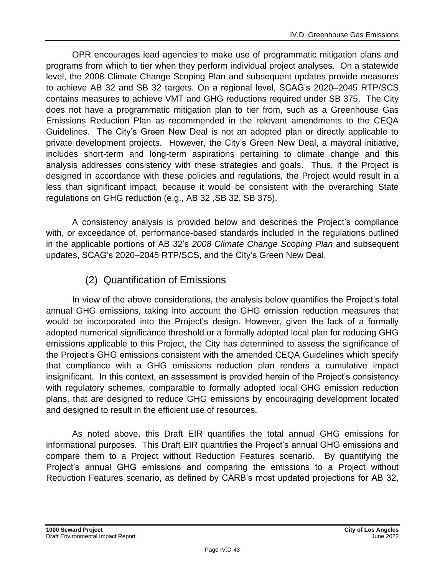OPR encourages lead agencies to make use of programmatic mitigation plans and programs from which to tier when they perform individual project analyses. On a statewide level, the 2008 Climate Change Scoping Plan and subsequent updates provide measures to achieve AB 32 and SB 32 targets. On a regional level, SCAG's 2020–2045 RTP/SCS contains measures to achieve VMT and GHG reductions required under SB 375. The City does not have a programmatic mitigation plan to tier from, such as a Greenhouse Gas Emissions Reduction Plan as recommended in the relevant amendments to the CEQA Guidelines. The City's Green New Deal is not an adopted plan or directly applicable to private development projects. However, the City's Green New Deal, a mayoral initiative, includes short-term and long-term aspirations pertaining to climate change and this analysis addresses consistency with these strategies and goals. Thus, if the Project is designed in accordance with these policies and regulations, the Project would result in a less than significant impact, because it would be consistent with the overarching State regulations on GHG reduction (e.g., AB 32 ,SB 32, SB 375).

A consistency analysis is provided below and describes the Project's compliance with, or exceedance of, performance-based standards included in the regulations outlined in the applicable portions of AB 32's *2008 Climate Change Scoping Plan* and subsequent updates, SCAG's 2020–2045 RTP/SCS, and the City's Green New Deal.

# (2) Quantification of Emissions

In view of the above considerations, the analysis below quantifies the Project's total annual GHG emissions, taking into account the GHG emission reduction measures that would be incorporated into the Project's design. However, given the lack of a formally adopted numerical significance threshold or a formally adopted local plan for reducing GHG emissions applicable to this Project, the City has determined to assess the significance of the Project's GHG emissions consistent with the amended CEQA Guidelines which specify that compliance with a GHG emissions reduction plan renders a cumulative impact insignificant. In this context, an assessment is provided herein of the Project's consistency with regulatory schemes, comparable to formally adopted local GHG emission reduction plans, that are designed to reduce GHG emissions by encouraging development located and designed to result in the efficient use of resources.

As noted above, this Draft EIR quantifies the total annual GHG emissions for informational purposes. This Draft EIR quantifies the Project's annual GHG emissions and compare them to a Project without Reduction Features scenario. By quantifying the Project's annual GHG emissions and comparing the emissions to a Project without Reduction Features scenario, as defined by CARB's most updated projections for AB 32,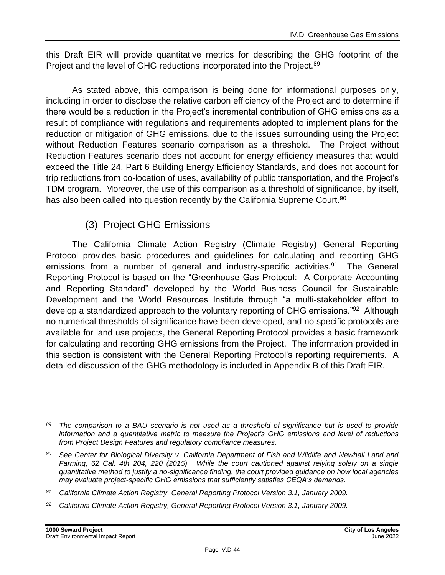this Draft EIR will provide quantitative metrics for describing the GHG footprint of the Project and the level of GHG reductions incorporated into the Project.<sup>89</sup>

As stated above, this comparison is being done for informational purposes only, including in order to disclose the relative carbon efficiency of the Project and to determine if there would be a reduction in the Project's incremental contribution of GHG emissions as a result of compliance with regulations and requirements adopted to implement plans for the reduction or mitigation of GHG emissions. due to the issues surrounding using the Project without Reduction Features scenario comparison as a threshold. The Project without Reduction Features scenario does not account for energy efficiency measures that would exceed the Title 24, Part 6 Building Energy Efficiency Standards, and does not account for trip reductions from co-location of uses, availability of public transportation, and the Project's TDM program. Moreover, the use of this comparison as a threshold of significance, by itself, has also been called into question recently by the California Supreme Court.<sup>90</sup>

# (3) Project GHG Emissions

The California Climate Action Registry (Climate Registry) General Reporting Protocol provides basic procedures and guidelines for calculating and reporting GHG emissions from a number of general and industry-specific activities.<sup>91</sup> The General Reporting Protocol is based on the "Greenhouse Gas Protocol: A Corporate Accounting and Reporting Standard" developed by the World Business Council for Sustainable Development and the World Resources Institute through "a multi-stakeholder effort to develop a standardized approach to the voluntary reporting of GHG emissions."<sup>92</sup> Although no numerical thresholds of significance have been developed, and no specific protocols are available for land use projects, the General Reporting Protocol provides a basic framework for calculating and reporting GHG emissions from the Project. The information provided in this section is consistent with the General Reporting Protocol's reporting requirements. A detailed discussion of the GHG methodology is included in Appendix B of this Draft EIR.

*<sup>89</sup> The comparison to a BAU scenario is not used as a threshold of significance but is used to provide information and a quantitative metric to measure the Project's GHG emissions and level of reductions from Project Design Features and regulatory compliance measures.*

*<sup>90</sup> See Center for Biological Diversity v. California Department of Fish and Wildlife and Newhall Land and Farming, 62 Cal. 4th 204, 220 (2015). While the court cautioned against relying solely on a single quantitative method to justify a no-significance finding, the court provided guidance on how local agencies may evaluate project-specific GHG emissions that sufficiently satisfies CEQA's demands.*

*<sup>91</sup> California Climate Action Registry, General Reporting Protocol Version 3.1, January 2009.*

*<sup>92</sup> California Climate Action Registry, General Reporting Protocol Version 3.1, January 2009.*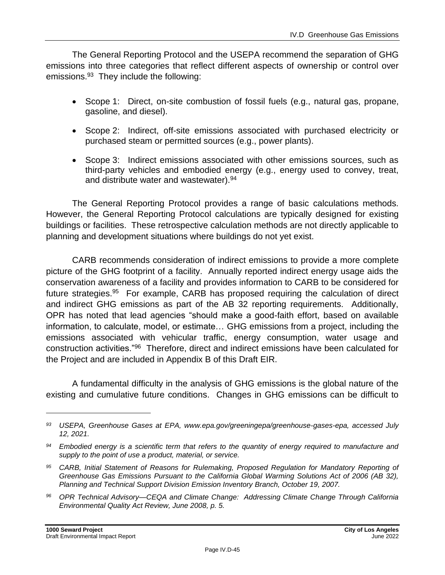The General Reporting Protocol and the USEPA recommend the separation of GHG emissions into three categories that reflect different aspects of ownership or control over emissions.<sup>93</sup> They include the following:

- Scope 1: Direct, on-site combustion of fossil fuels (e.g., natural gas, propane, gasoline, and diesel).
- Scope 2: Indirect, off-site emissions associated with purchased electricity or purchased steam or permitted sources (e.g., power plants).
- Scope 3: Indirect emissions associated with other emissions sources, such as third-party vehicles and embodied energy (e.g., energy used to convey, treat, and distribute water and wastewater).<sup>94</sup>

The General Reporting Protocol provides a range of basic calculations methods. However, the General Reporting Protocol calculations are typically designed for existing buildings or facilities. These retrospective calculation methods are not directly applicable to planning and development situations where buildings do not yet exist.

CARB recommends consideration of indirect emissions to provide a more complete picture of the GHG footprint of a facility. Annually reported indirect energy usage aids the conservation awareness of a facility and provides information to CARB to be considered for future strategies.<sup>95</sup> For example, CARB has proposed requiring the calculation of direct and indirect GHG emissions as part of the AB 32 reporting requirements. Additionally, OPR has noted that lead agencies "should make a good-faith effort, based on available information, to calculate, model, or estimate… GHG emissions from a project, including the emissions associated with vehicular traffic, energy consumption, water usage and construction activities."<sup>96</sup> Therefore, direct and indirect emissions have been calculated for the Project and are included in Appendix B of this Draft EIR.

A fundamental difficulty in the analysis of GHG emissions is the global nature of the existing and cumulative future conditions. Changes in GHG emissions can be difficult to

*<sup>96</sup> OPR Technical Advisory—CEQA and Climate Change: Addressing Climate Change Through California Environmental Quality Act Review, June 2008, p. 5.*

*<sup>93</sup> USEPA, Greenhouse Gases at EPA, www.epa.gov/greeningepa/greenhouse-gases-epa, accessed July 12, 2021.*

*<sup>94</sup> Embodied energy is a scientific term that refers to the quantity of energy required to manufacture and supply to the point of use a product, material, or service.*

*<sup>95</sup> CARB, Initial Statement of Reasons for Rulemaking, Proposed Regulation for Mandatory Reporting of Greenhouse Gas Emissions Pursuant to the California Global Warming Solutions Act of 2006 (AB 32), Planning and Technical Support Division Emission Inventory Branch, October 19, 2007.*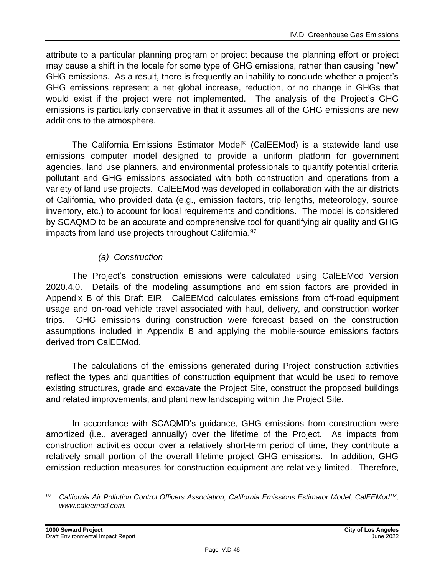attribute to a particular planning program or project because the planning effort or project may cause a shift in the locale for some type of GHG emissions, rather than causing "new" GHG emissions. As a result, there is frequently an inability to conclude whether a project's GHG emissions represent a net global increase, reduction, or no change in GHGs that would exist if the project were not implemented. The analysis of the Project's GHG emissions is particularly conservative in that it assumes all of the GHG emissions are new additions to the atmosphere.

The California Emissions Estimator Model® (CalEEMod) is a statewide land use emissions computer model designed to provide a uniform platform for government agencies, land use planners, and environmental professionals to quantify potential criteria pollutant and GHG emissions associated with both construction and operations from a variety of land use projects. CalEEMod was developed in collaboration with the air districts of California, who provided data (e.g., emission factors, trip lengths, meteorology, source inventory, etc.) to account for local requirements and conditions. The model is considered by SCAQMD to be an accurate and comprehensive tool for quantifying air quality and GHG impacts from land use projects throughout California.<sup>97</sup>

# *(a) Construction*

The Project's construction emissions were calculated using CalEEMod Version 2020.4.0. Details of the modeling assumptions and emission factors are provided in Appendix B of this Draft EIR. CalEEMod calculates emissions from off-road equipment usage and on-road vehicle travel associated with haul, delivery, and construction worker trips. GHG emissions during construction were forecast based on the construction assumptions included in Appendix B and applying the mobile-source emissions factors derived from CalEEMod.

The calculations of the emissions generated during Project construction activities reflect the types and quantities of construction equipment that would be used to remove existing structures, grade and excavate the Project Site, construct the proposed buildings and related improvements, and plant new landscaping within the Project Site.

In accordance with SCAQMD's guidance, GHG emissions from construction were amortized (i.e., averaged annually) over the lifetime of the Project. As impacts from construction activities occur over a relatively short-term period of time, they contribute a relatively small portion of the overall lifetime project GHG emissions. In addition, GHG emission reduction measures for construction equipment are relatively limited. Therefore,

*<sup>97</sup> California Air Pollution Control Officers Association, California Emissions Estimator Model, CalEEModTM, www.caleemod.com.*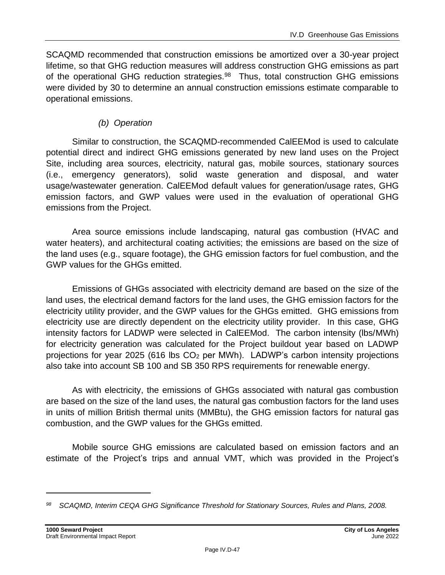SCAQMD recommended that construction emissions be amortized over a 30-year project lifetime, so that GHG reduction measures will address construction GHG emissions as part of the operational GHG reduction strategies.<sup>98</sup> Thus, total construction GHG emissions were divided by 30 to determine an annual construction emissions estimate comparable to operational emissions.

# *(b) Operation*

Similar to construction, the SCAQMD-recommended CalEEMod is used to calculate potential direct and indirect GHG emissions generated by new land uses on the Project Site, including area sources, electricity, natural gas, mobile sources, stationary sources (i.e., emergency generators), solid waste generation and disposal, and water usage/wastewater generation. CalEEMod default values for generation/usage rates, GHG emission factors, and GWP values were used in the evaluation of operational GHG emissions from the Project.

Area source emissions include landscaping, natural gas combustion (HVAC and water heaters), and architectural coating activities; the emissions are based on the size of the land uses (e.g., square footage), the GHG emission factors for fuel combustion, and the GWP values for the GHGs emitted.

Emissions of GHGs associated with electricity demand are based on the size of the land uses, the electrical demand factors for the land uses, the GHG emission factors for the electricity utility provider, and the GWP values for the GHGs emitted. GHG emissions from electricity use are directly dependent on the electricity utility provider. In this case, GHG intensity factors for LADWP were selected in CalEEMod. The carbon intensity (lbs/MWh) for electricity generation was calculated for the Project buildout year based on LADWP projections for year 2025 (616 lbs  $CO<sub>2</sub>$  per MWh). LADWP's carbon intensity projections also take into account SB 100 and SB 350 RPS requirements for renewable energy.

As with electricity, the emissions of GHGs associated with natural gas combustion are based on the size of the land uses, the natural gas combustion factors for the land uses in units of million British thermal units (MMBtu), the GHG emission factors for natural gas combustion, and the GWP values for the GHGs emitted.

Mobile source GHG emissions are calculated based on emission factors and an estimate of the Project's trips and annual VMT, which was provided in the Project's

*<sup>98</sup> SCAQMD, Interim CEQA GHG Significance Threshold for Stationary Sources, Rules and Plans, 2008.*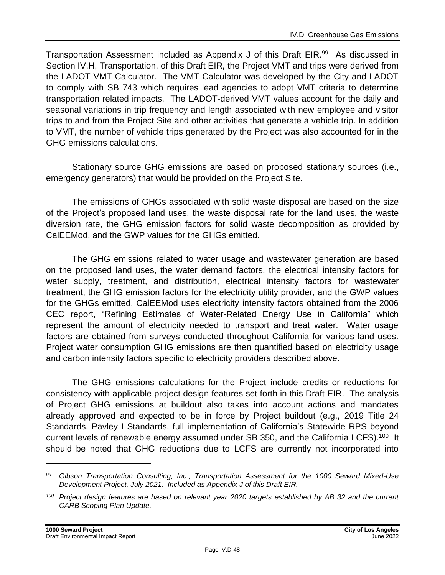Transportation Assessment included as Appendix J of this Draft EIR.<sup>99</sup> As discussed in Section IV.H, Transportation, of this Draft EIR, the Project VMT and trips were derived from the LADOT VMT Calculator. The VMT Calculator was developed by the City and LADOT to comply with SB 743 which requires lead agencies to adopt VMT criteria to determine transportation related impacts. The LADOT-derived VMT values account for the daily and seasonal variations in trip frequency and length associated with new employee and visitor trips to and from the Project Site and other activities that generate a vehicle trip. In addition to VMT, the number of vehicle trips generated by the Project was also accounted for in the GHG emissions calculations.

Stationary source GHG emissions are based on proposed stationary sources (i.e., emergency generators) that would be provided on the Project Site.

The emissions of GHGs associated with solid waste disposal are based on the size of the Project's proposed land uses, the waste disposal rate for the land uses, the waste diversion rate, the GHG emission factors for solid waste decomposition as provided by CalEEMod, and the GWP values for the GHGs emitted.

The GHG emissions related to water usage and wastewater generation are based on the proposed land uses, the water demand factors, the electrical intensity factors for water supply, treatment, and distribution, electrical intensity factors for wastewater treatment, the GHG emission factors for the electricity utility provider, and the GWP values for the GHGs emitted. CalEEMod uses electricity intensity factors obtained from the 2006 CEC report, "Refining Estimates of Water-Related Energy Use in California" which represent the amount of electricity needed to transport and treat water. Water usage factors are obtained from surveys conducted throughout California for various land uses. Project water consumption GHG emissions are then quantified based on electricity usage and carbon intensity factors specific to electricity providers described above.

The GHG emissions calculations for the Project include credits or reductions for consistency with applicable project design features set forth in this Draft EIR. The analysis of Project GHG emissions at buildout also takes into account actions and mandates already approved and expected to be in force by Project buildout (e.g., 2019 Title 24 Standards, Pavley I Standards, full implementation of California's Statewide RPS beyond current levels of renewable energy assumed under SB 350, and the California LCFS).<sup>100</sup> It should be noted that GHG reductions due to LCFS are currently not incorporated into

*<sup>99</sup> Gibson Transportation Consulting, Inc., Transportation Assessment for the 1000 Seward Mixed-Use Development Project, July 2021. Included as Appendix J of this Draft EIR.*

*<sup>100</sup> Project design features are based on relevant year 2020 targets established by AB 32 and the current CARB Scoping Plan Update.*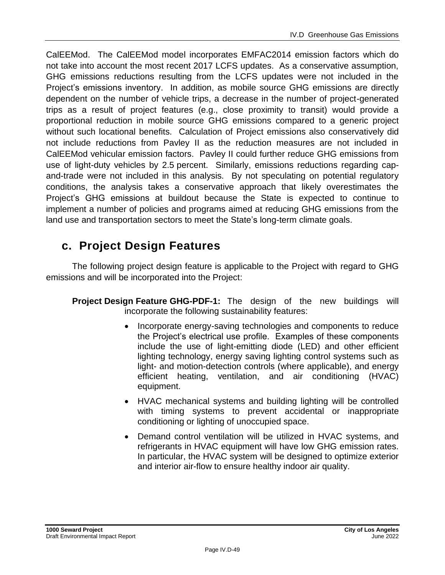CalEEMod. The CalEEMod model incorporates EMFAC2014 emission factors which do not take into account the most recent 2017 LCFS updates. As a conservative assumption, GHG emissions reductions resulting from the LCFS updates were not included in the Project's emissions inventory. In addition, as mobile source GHG emissions are directly dependent on the number of vehicle trips, a decrease in the number of project-generated trips as a result of project features (e.g., close proximity to transit) would provide a proportional reduction in mobile source GHG emissions compared to a generic project without such locational benefits. Calculation of Project emissions also conservatively did not include reductions from Pavley II as the reduction measures are not included in CalEEMod vehicular emission factors. Pavley II could further reduce GHG emissions from use of light-duty vehicles by 2.5 percent. Similarly, emissions reductions regarding capand-trade were not included in this analysis. By not speculating on potential regulatory conditions, the analysis takes a conservative approach that likely overestimates the Project's GHG emissions at buildout because the State is expected to continue to implement a number of policies and programs aimed at reducing GHG emissions from the land use and transportation sectors to meet the State's long-term climate goals.

# **c. Project Design Features**

The following project design feature is applicable to the Project with regard to GHG emissions and will be incorporated into the Project:

- **Project Design Feature GHG-PDF-1:** The design of the new buildings will incorporate the following sustainability features:
	- Incorporate energy-saving technologies and components to reduce the Project's electrical use profile. Examples of these components include the use of light-emitting diode (LED) and other efficient lighting technology, energy saving lighting control systems such as light- and motion-detection controls (where applicable), and energy efficient heating, ventilation, and air conditioning (HVAC) equipment.
	- HVAC mechanical systems and building lighting will be controlled with timing systems to prevent accidental or inappropriate conditioning or lighting of unoccupied space.
	- Demand control ventilation will be utilized in HVAC systems, and refrigerants in HVAC equipment will have low GHG emission rates. In particular, the HVAC system will be designed to optimize exterior and interior air-flow to ensure healthy indoor air quality.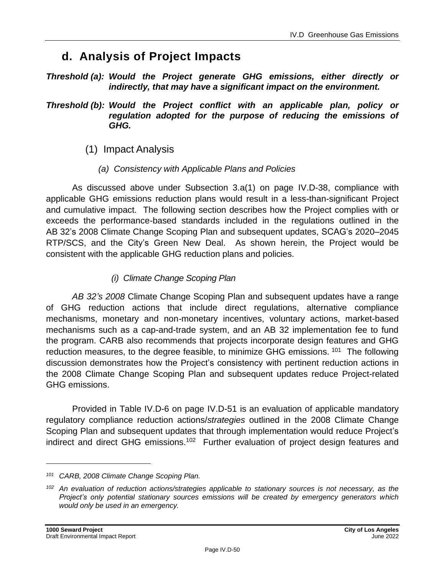# **d. Analysis of Project Impacts**

*Threshold (a): Would the Project generate GHG emissions, either directly or indirectly, that may have a significant impact on the environment.*

*Threshold (b): Would the Project conflict with an applicable plan, policy or regulation adopted for the purpose of reducing the emissions of GHG.*

- (1) Impact Analysis
	- *(a) Consistency with Applicable Plans and Policies*

As discussed above under Subsection 3.a(1) on page IV.D-38, compliance with applicable GHG emissions reduction plans would result in a less-than-significant Project and cumulative impact. The following section describes how the Project complies with or exceeds the performance-based standards included in the regulations outlined in the AB 32's 2008 Climate Change Scoping Plan and subsequent updates, SCAG's 2020–2045 RTP/SCS, and the City's Green New Deal. As shown herein, the Project would be consistent with the applicable GHG reduction plans and policies.

# *(i) Climate Change Scoping Plan*

*AB 32's 2008* Climate Change Scoping Plan and subsequent updates have a range of GHG reduction actions that include direct regulations, alternative compliance mechanisms, monetary and non-monetary incentives, voluntary actions, market-based mechanisms such as a cap-and-trade system, and an AB 32 implementation fee to fund the program. CARB also recommends that projects incorporate design features and GHG reduction measures, to the degree feasible, to minimize GHG emissions. <sup>101</sup> The following discussion demonstrates how the Project's consistency with pertinent reduction actions in the 2008 Climate Change Scoping Plan and subsequent updates reduce Project-related GHG emissions.

Provided in Table IV.D-6 on page IV.D-51 is an evaluation of applicable mandatory regulatory compliance reduction actions/*strategies* outlined in the 2008 Climate Change Scoping Plan and subsequent updates that through implementation would reduce Project's indirect and direct GHG emissions.<sup>102</sup> Further evaluation of project design features and

*<sup>101</sup> CARB, 2008 Climate Change Scoping Plan.*

*<sup>102</sup> An evaluation of reduction actions/strategies applicable to stationary sources is not necessary, as the Project's only potential stationary sources emissions will be created by emergency generators which would only be used in an emergency.*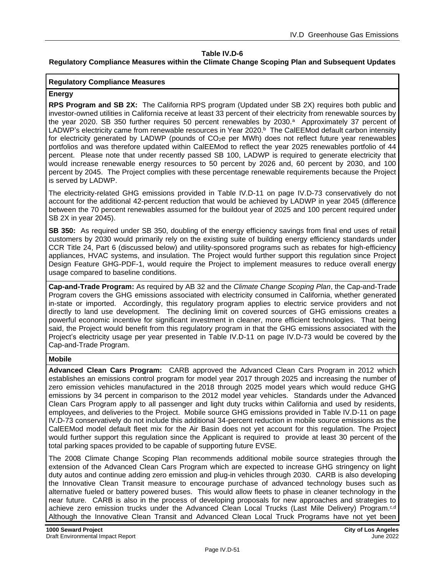#### **Table IV.D-6**

#### **Regulatory Compliance Measures within the Climate Change Scoping Plan and Subsequent Updates**

#### **Regulatory Compliance Measures**

#### **Energy**

**RPS Program and SB 2X:** The California RPS program (Updated under SB 2X) requires both public and investor-owned utilities in California receive at least 33 percent of their electricity from renewable sources by the year 2020. SB 350 further requires 50 percent renewables by 2030.<sup>a</sup> Approximately 37 percent of LADWP's electricity came from renewable resources in Year 2020.<sup>b</sup> The CalEEMod default carbon intensity for electricity generated by LADWP (pounds of CO<sub>2</sub>e per MWh) does not reflect future year renewables portfolios and was therefore updated within CalEEMod to reflect the year 2025 renewables portfolio of 44 percent. Please note that under recently passed SB 100, LADWP is required to generate electricity that would increase renewable energy resources to 50 percent by 2026 and, 60 percent by 2030, and 100 percent by 2045. The Project complies with these percentage renewable requirements because the Project is served by LADWP.

The electricity-related GHG emissions provided in Table IV.D-11 on page IV.D-73 conservatively do not account for the additional 42-percent reduction that would be achieved by LADWP in year 2045 (difference between the 70 percent renewables assumed for the buildout year of 2025 and 100 percent required under SB 2X in year 2045).

**SB 350:** As required under SB 350, doubling of the energy efficiency savings from final end uses of retail customers by 2030 would primarily rely on the existing suite of building energy efficiency standards under CCR Title 24, Part 6 (discussed below) and utility-sponsored programs such as rebates for high-efficiency appliances, HVAC systems, and insulation. The Project would further support this regulation since Project Design Feature GHG-PDF-1, would require the Project to implement measures to reduce overall energy usage compared to baseline conditions.

**Cap-and-Trade Program:** As required by AB 32 and the *Climate Change Scoping Plan*, the Cap-and-Trade Program covers the GHG emissions associated with electricity consumed in California, whether generated in-state or imported. Accordingly, this regulatory program applies to electric service providers and not directly to land use development. The declining limit on covered sources of GHG emissions creates a powerful economic incentive for significant investment in cleaner, more efficient technologies. That being said, the Project would benefit from this regulatory program in that the GHG emissions associated with the Project's electricity usage per year presented in Table IV.D-11 on page IV.D-73 would be covered by the Cap-and-Trade Program.

#### **Mobile**

**Advanced Clean Cars Program:** CARB approved the Advanced Clean Cars Program in 2012 which establishes an emissions control program for model year 2017 through 2025 and increasing the number of zero emission vehicles manufactured in the 2018 through 2025 model years which would reduce GHG emissions by 34 percent in comparison to the 2012 model year vehicles. Standards under the Advanced Clean Cars Program apply to all passenger and light duty trucks within California and used by residents, employees, and deliveries to the Project. Mobile source GHG emissions provided in Table IV.D-11 on page IV.D-73 conservatively do not include this additional 34-percent reduction in mobile source emissions as the CalEEMod model default fleet mix for the Air Basin does not yet account for this regulation. The Project would further support this regulation since the Applicant is required to provide at least 30 percent of the total parking spaces provided to be capable of supporting future EVSE.

The 2008 Climate Change Scoping Plan recommends additional mobile source strategies through the extension of the Advanced Clean Cars Program which are expected to increase GHG stringency on light duty autos and continue adding zero emission and plug-in vehicles through 2030. CARB is also developing the Innovative Clean Transit measure to encourage purchase of advanced technology buses such as alternative fueled or battery powered buses. This would allow fleets to phase in cleaner technology in the near future. CARB is also in the process of developing proposals for new approaches and strategies to achieve zero emission trucks under the Advanced Clean Local Trucks (Last Mile Delivery) Program.<sup>c,d</sup> Although the Innovative Clean Transit and Advanced Clean Local Truck Programs have not yet been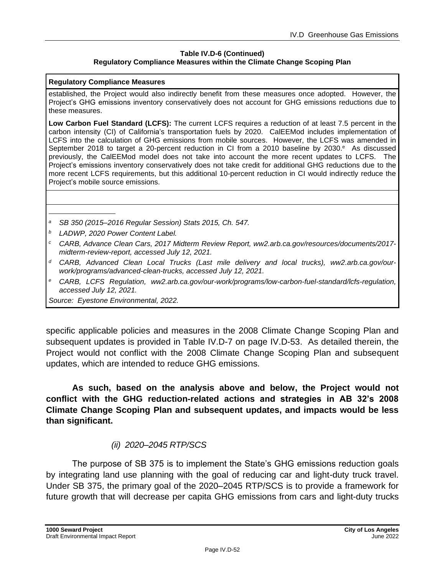#### **Table IV.D-6 (Continued) Regulatory Compliance Measures within the Climate Change Scoping Plan**

#### **Regulatory Compliance Measures**

established, the Project would also indirectly benefit from these measures once adopted. However, the Project's GHG emissions inventory conservatively does not account for GHG emissions reductions due to these measures.

**Low Carbon Fuel Standard (LCFS):** The current LCFS requires a reduction of at least 7.5 percent in the carbon intensity (CI) of California's transportation fuels by 2020. CalEEMod includes implementation of LCFS into the calculation of GHG emissions from mobile sources. However, the LCFS was amended in September 2018 to target a 20-percent reduction in CI from a 2010 baseline by 2030.<sup>e</sup> As discussed previously, the CalEEMod model does not take into account the more recent updates to LCFS. The Project's emissions inventory conservatively does not take credit for additional GHG reductions due to the more recent LCFS requirements, but this additional 10-percent reduction in CI would indirectly reduce the Project's mobile source emissions.

- *<sup>a</sup> SB 350 (2015–2016 Regular Session) Stats 2015, Ch. 547.*
- *<sup>b</sup> LADWP, 2020 Power Content Label.*
- *<sup>c</sup> CARB, Advance Clean Cars, 2017 Midterm Review Report, ww2.arb.ca.gov/resources/documents/2017 midterm-review-report, accessed July 12, 2021.*
- *<sup>d</sup> CARB, Advanced Clean Local Trucks (Last mile delivery and local trucks), ww2.arb.ca.gov/ourwork/programs/advanced-clean-trucks, accessed July 12, 2021.*
- *<sup>e</sup> CARB, LCFS Regulation, ww2.arb.ca.gov/our-work/programs/low-carbon-fuel-standard/lcfs-regulation, accessed July 12, 2021.*

*Source: Eyestone Environmental, 2022.*

specific applicable policies and measures in the 2008 Climate Change Scoping Plan and subsequent updates is provided in Table IV.D-7 on page IV.D-53. As detailed therein, the Project would not conflict with the 2008 Climate Change Scoping Plan and subsequent updates, which are intended to reduce GHG emissions.

**As such, based on the analysis above and below, the Project would not conflict with the GHG reduction-related actions and strategies in AB 32's 2008 Climate Change Scoping Plan and subsequent updates, and impacts would be less than significant.**

### *(ii) 2020–2045 RTP/SCS*

The purpose of SB 375 is to implement the State's GHG emissions reduction goals by integrating land use planning with the goal of reducing car and light-duty truck travel. Under SB 375, the primary goal of the 2020–2045 RTP/SCS is to provide a framework for future growth that will decrease per capita GHG emissions from cars and light-duty trucks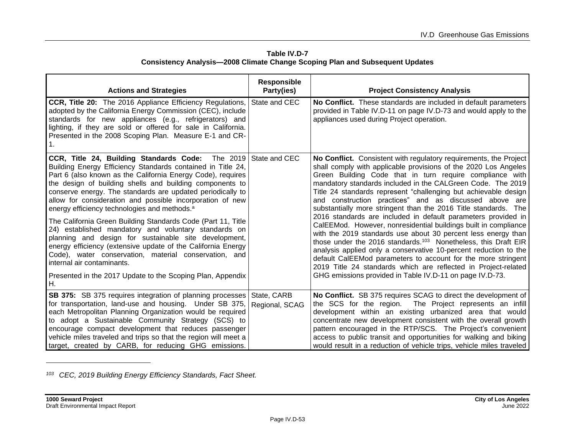| Table IV.D-7                                                                        |
|-------------------------------------------------------------------------------------|
| <b>Consistency Analysis-2008 Climate Change Scoping Plan and Subsequent Updates</b> |

| <b>Actions and Strategies</b>                                                                                                                                                                                                                                                                                                                                                                                                                                                                                                                                                                                                                                                                                                                                                                                                                                      | <b>Responsible</b><br>Party(ies) | <b>Project Consistency Analysis</b>                                                                                                                                                                                                                                                                                                                                                                                                                                                                                                                                                                                                                                                                                                                                                                                                                                                                                                                                                                                   |
|--------------------------------------------------------------------------------------------------------------------------------------------------------------------------------------------------------------------------------------------------------------------------------------------------------------------------------------------------------------------------------------------------------------------------------------------------------------------------------------------------------------------------------------------------------------------------------------------------------------------------------------------------------------------------------------------------------------------------------------------------------------------------------------------------------------------------------------------------------------------|----------------------------------|-----------------------------------------------------------------------------------------------------------------------------------------------------------------------------------------------------------------------------------------------------------------------------------------------------------------------------------------------------------------------------------------------------------------------------------------------------------------------------------------------------------------------------------------------------------------------------------------------------------------------------------------------------------------------------------------------------------------------------------------------------------------------------------------------------------------------------------------------------------------------------------------------------------------------------------------------------------------------------------------------------------------------|
| <b>CCR, Title 20:</b> The 2016 Appliance Efficiency Regulations,<br>adopted by the California Energy Commission (CEC), include<br>standards for new appliances (e.g., refrigerators) and<br>lighting, if they are sold or offered for sale in California.<br>Presented in the 2008 Scoping Plan. Measure E-1 and CR-                                                                                                                                                                                                                                                                                                                                                                                                                                                                                                                                               | State and CEC                    | No Conflict. These standards are included in default parameters<br>provided in Table IV.D-11 on page IV.D-73 and would apply to the<br>appliances used during Project operation.                                                                                                                                                                                                                                                                                                                                                                                                                                                                                                                                                                                                                                                                                                                                                                                                                                      |
| <b>CCR, Title 24, Building Standards Code:</b> The 2019 State and CEC<br>Building Energy Efficiency Standards contained in Title 24,<br>Part 6 (also known as the California Energy Code), requires<br>the design of building shells and building components to<br>conserve energy. The standards are updated periodically to<br>allow for consideration and possible incorporation of new<br>energy efficiency technologies and methods. <sup>a</sup><br>The California Green Building Standards Code (Part 11, Title<br>24) established mandatory and voluntary standards on<br>planning and design for sustainable site development,<br>energy efficiency (extensive update of the California Energy<br>Code), water conservation, material conservation, and<br>internal air contaminants.<br>Presented in the 2017 Update to the Scoping Plan, Appendix<br>Η. |                                  | No Conflict. Consistent with regulatory requirements, the Project<br>shall comply with applicable provisions of the 2020 Los Angeles<br>Green Building Code that in turn require compliance with<br>mandatory standards included in the CALGreen Code. The 2019<br>Title 24 standards represent "challenging but achievable design<br>and construction practices" and as discussed above are<br>substantially more stringent than the 2016 Title standards. The<br>2016 standards are included in default parameters provided in<br>CalEEMod. However, nonresidential buildings built in compliance<br>with the 2019 standards use about 30 percent less energy than<br>those under the 2016 standards. <sup>103</sup> Nonetheless, this Draft EIR<br>analysis applied only a conservative 10-percent reduction to the<br>default CalEEMod parameters to account for the more stringent<br>2019 Title 24 standards which are reflected in Project-related<br>GHG emissions provided in Table IV.D-11 on page IV.D-73. |
| <b>SB 375:</b> SB 375 requires integration of planning processes<br>for transportation, land-use and housing. Under SB 375,<br>each Metropolitan Planning Organization would be required<br>to adopt a Sustainable Community Strategy (SCS) to<br>encourage compact development that reduces passenger<br>vehicle miles traveled and trips so that the region will meet a<br>target, created by CARB, for reducing GHG emissions.                                                                                                                                                                                                                                                                                                                                                                                                                                  | State, CARB<br>Regional, SCAG    | No Conflict. SB 375 requires SCAG to direct the development of<br>the SCS for the region. The Project represents an infill<br>development within an existing urbanized area that would<br>concentrate new development consistent with the overall growth<br>pattern encouraged in the RTP/SCS. The Project's convenient<br>access to public transit and opportunities for walking and biking<br>would result in a reduction of vehicle trips, vehicle miles traveled                                                                                                                                                                                                                                                                                                                                                                                                                                                                                                                                                  |

*<sup>103</sup> CEC, 2019 Building Energy Efficiency Standards, Fact Sheet.*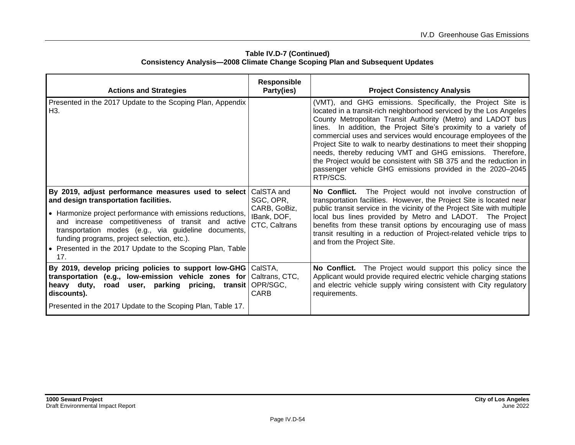| <b>Actions and Strategies</b>                                                                                                                                                                                                                                                                                                                                                               | <b>Responsible</b><br>Party(ies)                                        | <b>Project Consistency Analysis</b>                                                                                                                                                                                                                                                                                                                                                                                                                                                                                                                                                                                   |
|---------------------------------------------------------------------------------------------------------------------------------------------------------------------------------------------------------------------------------------------------------------------------------------------------------------------------------------------------------------------------------------------|-------------------------------------------------------------------------|-----------------------------------------------------------------------------------------------------------------------------------------------------------------------------------------------------------------------------------------------------------------------------------------------------------------------------------------------------------------------------------------------------------------------------------------------------------------------------------------------------------------------------------------------------------------------------------------------------------------------|
| Presented in the 2017 Update to the Scoping Plan, Appendix<br>H3.                                                                                                                                                                                                                                                                                                                           |                                                                         | (VMT), and GHG emissions. Specifically, the Project Site is<br>located in a transit-rich neighborhood serviced by the Los Angeles<br>County Metropolitan Transit Authority (Metro) and LADOT bus<br>lines. In addition, the Project Site's proximity to a variety of<br>commercial uses and services would encourage employees of the<br>Project Site to walk to nearby destinations to meet their shopping<br>needs, thereby reducing VMT and GHG emissions. Therefore,<br>the Project would be consistent with SB 375 and the reduction in<br>passenger vehicle GHG emissions provided in the 2020-2045<br>RTP/SCS. |
| By 2019, adjust performance measures used to select<br>and design transportation facilities.<br>• Harmonize project performance with emissions reductions,<br>and increase competitiveness of transit and active<br>transportation modes (e.g., via guideline documents,<br>funding programs, project selection, etc.).<br>• Presented in the 2017 Update to the Scoping Plan, Table<br>17. | CalSTA and<br>SGC, OPR,<br>CARB, GoBiz,<br>IBank, DOF,<br>CTC, Caltrans | No Conflict. The Project would not involve construction of<br>transportation facilities. However, the Project Site is located near<br>public transit service in the vicinity of the Project Site with multiple<br>local bus lines provided by Metro and LADOT. The Project<br>benefits from these transit options by encouraging use of mass<br>transit resulting in a reduction of Project-related vehicle trips to<br>and from the Project Site.                                                                                                                                                                    |
| By 2019, develop pricing policies to support low-GHG CalSTA,<br>transportation (e.g., low-emission vehicle zones for<br>parking pricing, transit<br>Theavy duty,<br>road<br>user,<br>discounts).<br>Presented in the 2017 Update to the Scoping Plan, Table 17.                                                                                                                             | Caltrans, CTC,<br>OPR/SGC,<br>CARB                                      | No Conflict. The Project would support this policy since the<br>Applicant would provide required electric vehicle charging stations<br>and electric vehicle supply wiring consistent with City regulatory<br>requirements.                                                                                                                                                                                                                                                                                                                                                                                            |

#### **Table IV.D-7 (Continued) Consistency Analysis—2008 Climate Change Scoping Plan and Subsequent Updates**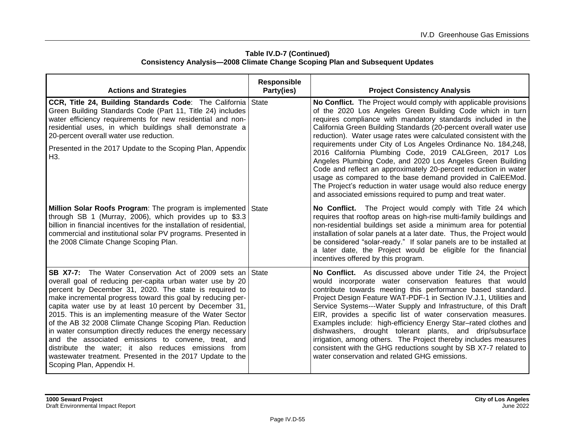| Table IV.D-7 (Continued)                                                            |
|-------------------------------------------------------------------------------------|
| <b>Consistency Analysis-2008 Climate Change Scoping Plan and Subsequent Updates</b> |

| <b>Actions and Strategies</b>                                                                                                                                                                                                                                                                                                                                                                                                                                                                                                                                                                                                                                                                                     | <b>Responsible</b><br>Party(ies) | <b>Project Consistency Analysis</b>                                                                                                                                                                                                                                                                                                                                                                                                                                                                                                                                                                                                                                                                                                                                                                |
|-------------------------------------------------------------------------------------------------------------------------------------------------------------------------------------------------------------------------------------------------------------------------------------------------------------------------------------------------------------------------------------------------------------------------------------------------------------------------------------------------------------------------------------------------------------------------------------------------------------------------------------------------------------------------------------------------------------------|----------------------------------|----------------------------------------------------------------------------------------------------------------------------------------------------------------------------------------------------------------------------------------------------------------------------------------------------------------------------------------------------------------------------------------------------------------------------------------------------------------------------------------------------------------------------------------------------------------------------------------------------------------------------------------------------------------------------------------------------------------------------------------------------------------------------------------------------|
| <b>CCR, Title 24, Building Standards Code:</b> The California State<br>Green Building Standards Code (Part 11, Title 24) includes<br>water efficiency requirements for new residential and non-<br>residential uses, in which buildings shall demonstrate a<br>20-percent overall water use reduction.<br>Presented in the 2017 Update to the Scoping Plan, Appendix<br>H3.                                                                                                                                                                                                                                                                                                                                       |                                  | No Conflict. The Project would comply with applicable provisions<br>of the 2020 Los Angeles Green Building Code which in turn<br>requires compliance with mandatory standards included in the<br>California Green Building Standards (20-percent overall water use<br>reduction). Water usage rates were calculated consistent with the<br>requirements under City of Los Angeles Ordinance No. 184,248,<br>2016 California Plumbing Code, 2019 CALGreen, 2017 Los<br>Angeles Plumbing Code, and 2020 Los Angeles Green Building<br>Code and reflect an approximately 20-percent reduction in water<br>usage as compared to the base demand provided in CalEEMod.<br>The Project's reduction in water usage would also reduce energy<br>and associated emissions required to pump and treat water. |
| Million Solar Roofs Program: The program is implemented State<br>through SB 1 (Murray, 2006), which provides up to \$3.3<br>billion in financial incentives for the installation of residential,<br>commercial and institutional solar PV programs. Presented in<br>the 2008 Climate Change Scoping Plan.                                                                                                                                                                                                                                                                                                                                                                                                         |                                  | No Conflict. The Project would comply with Title 24 which<br>requires that rooftop areas on high-rise multi-family buildings and<br>non-residential buildings set aside a minimum area for potential<br>installation of solar panels at a later date. Thus, the Project would<br>be considered "solar-ready." If solar panels are to be installed at<br>a later date, the Project would be eligible for the financial<br>incentives offered by this program.                                                                                                                                                                                                                                                                                                                                       |
| <b>SB X7-7:</b> The Water Conservation Act of 2009 sets an State<br>overall goal of reducing per-capita urban water use by 20<br>percent by December 31, 2020. The state is required to<br>make incremental progress toward this goal by reducing per-<br>capita water use by at least 10 percent by December 31,<br>2015. This is an implementing measure of the Water Sector<br>of the AB 32 2008 Climate Change Scoping Plan. Reduction<br>in water consumption directly reduces the energy necessary<br>and the associated emissions to convene, treat, and<br>distribute the water; it also reduces emissions from<br>wastewater treatment. Presented in the 2017 Update to the<br>Scoping Plan, Appendix H. |                                  | No Conflict. As discussed above under Title 24, the Project<br>would incorporate water conservation features that would<br>contribute towards meeting this performance based standard.<br>Project Design Feature WAT-PDF-1 in Section IV.J.1, Utilities and<br>Service Systems---Water Supply and Infrastructure, of this Draft<br>EIR, provides a specific list of water conservation measures.<br>Examples include: high-efficiency Energy Star-rated clothes and<br>dishwashers, drought tolerant plants, and drip/subsurface<br>irrigation, among others. The Project thereby includes measures<br>consistent with the GHG reductions sought by SB X7-7 related to<br>water conservation and related GHG emissions.                                                                            |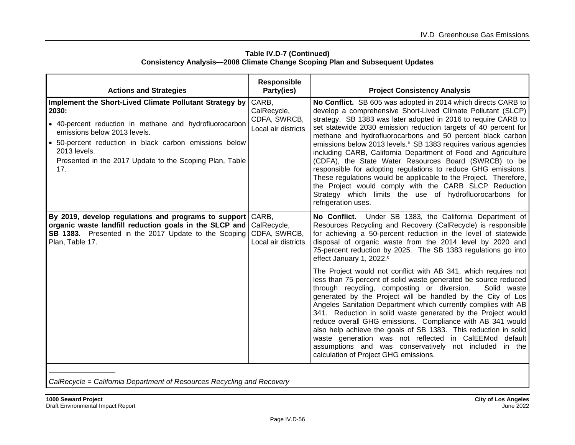| <b>Actions and Strategies</b>                                                                                                                                                                                                                                                                         | <b>Responsible</b><br>Party(ies)                            | <b>Project Consistency Analysis</b>                                                                                                                                                                                                                                                                                                                                                                                                                                                                                                                                                                                                                                                                                                                                                                                       |
|-------------------------------------------------------------------------------------------------------------------------------------------------------------------------------------------------------------------------------------------------------------------------------------------------------|-------------------------------------------------------------|---------------------------------------------------------------------------------------------------------------------------------------------------------------------------------------------------------------------------------------------------------------------------------------------------------------------------------------------------------------------------------------------------------------------------------------------------------------------------------------------------------------------------------------------------------------------------------------------------------------------------------------------------------------------------------------------------------------------------------------------------------------------------------------------------------------------------|
| Implement the Short-Lived Climate Pollutant Strategy by<br>2030:<br>• 40-percent reduction in methane and hydrofluorocarbon<br>emissions below 2013 levels.<br>50-percent reduction in black carbon emissions below<br>2013 levels.<br>Presented in the 2017 Update to the Scoping Plan, Table<br>17. | CARB,<br>CalRecycle,<br>CDFA, SWRCB,<br>Local air districts | No Conflict. SB 605 was adopted in 2014 which directs CARB to<br>develop a comprehensive Short-Lived Climate Pollutant (SLCP)<br>strategy. SB 1383 was later adopted in 2016 to require CARB to<br>set statewide 2030 emission reduction targets of 40 percent for<br>methane and hydrofluorocarbons and 50 percent black carbon<br>emissions below 2013 levels. <sup>b</sup> SB 1383 requires various agencies<br>including CARB, California Department of Food and Agriculture<br>(CDFA), the State Water Resources Board (SWRCB) to be<br>responsible for adopting regulations to reduce GHG emissions.<br>These regulations would be applicable to the Project. Therefore,<br>the Project would comply with the CARB SLCP Reduction<br>Strategy which limits the use of hydrofluorocarbons for<br>refrigeration uses. |
| By 2019, develop regulations and programs to support<br>organic waste landfill reduction goals in the SLCP and<br><b>SB 1383.</b> Presented in the 2017 Update to the Scoping<br>Plan, Table 17.                                                                                                      | CARB,<br>CalRecycle,<br>CDFA, SWRCB,<br>Local air districts | No Conflict. Under SB 1383, the California Department of<br>Resources Recycling and Recovery (CalRecycle) is responsible<br>for achieving a 50-percent reduction in the level of statewide<br>disposal of organic waste from the 2014 level by 2020 and<br>75-percent reduction by 2025. The SB 1383 regulations go into<br>effect January 1, 2022. <sup>c</sup>                                                                                                                                                                                                                                                                                                                                                                                                                                                          |
|                                                                                                                                                                                                                                                                                                       |                                                             | The Project would not conflict with AB 341, which requires not<br>less than 75 percent of solid waste generated be source reduced<br>through recycling, composting or diversion.<br>Solid waste<br>generated by the Project will be handled by the City of Los<br>Angeles Sanitation Department which currently complies with AB<br>341. Reduction in solid waste generated by the Project would<br>reduce overall GHG emissions. Compliance with AB 341 would<br>also help achieve the goals of SB 1383. This reduction in solid<br>waste generation was not reflected in CalEEMod default<br>assumptions and was conservatively not included in the<br>calculation of Project GHG emissions.                                                                                                                            |

#### **Table IV.D-7 (Continued) Consistency Analysis—2008 Climate Change Scoping Plan and Subsequent Updates**

*CalRecycle = California Department of Resources Recycling and Recovery*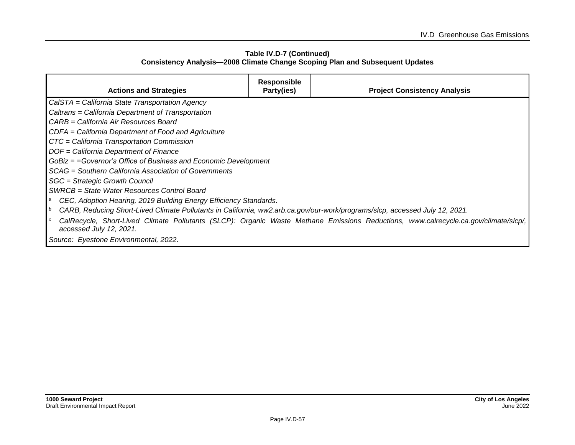#### **Table IV.D-7 (Continued) Consistency Analysis—2008 Climate Change Scoping Plan and Subsequent Updates**

| <b>Actions and Strategies</b>                                                                                               | <b>Responsible</b><br>Party(ies) | <b>Project Consistency Analysis</b>                                                                                                 |  |  |  |
|-----------------------------------------------------------------------------------------------------------------------------|----------------------------------|-------------------------------------------------------------------------------------------------------------------------------------|--|--|--|
| CalSTA = California State Transportation Agency                                                                             |                                  |                                                                                                                                     |  |  |  |
| Caltrans = California Department of Transportation                                                                          |                                  |                                                                                                                                     |  |  |  |
| CARB = California Air Resources Board                                                                                       |                                  |                                                                                                                                     |  |  |  |
| CDFA = California Department of Food and Agriculture                                                                        |                                  |                                                                                                                                     |  |  |  |
| CTC = California Transportation Commission                                                                                  |                                  |                                                                                                                                     |  |  |  |
| DOF = California Department of Finance                                                                                      |                                  |                                                                                                                                     |  |  |  |
| GoBiz = = Governor's Office of Business and Economic Development                                                            |                                  |                                                                                                                                     |  |  |  |
| SCAG = Southern California Association of Governments                                                                       |                                  |                                                                                                                                     |  |  |  |
| SGC = Strategic Growth Council                                                                                              |                                  |                                                                                                                                     |  |  |  |
| SWRCB = State Water Resources Control Board                                                                                 |                                  |                                                                                                                                     |  |  |  |
| CEC, Adoption Hearing, 2019 Building Energy Efficiency Standards.<br>a                                                      |                                  |                                                                                                                                     |  |  |  |
| CARB, Reducing Short-Lived Climate Pollutants in California, ww2.arb.ca.gov/our-work/programs/slcp, accessed July 12, 2021. |                                  |                                                                                                                                     |  |  |  |
| accessed July 12, 2021.                                                                                                     |                                  | CalRecycle, Short-Lived Climate Pollutants (SLCP): Organic Waste Methane Emissions Reductions, www.calrecycle.ca.gov/climate/slcp/, |  |  |  |
| Source: Eyestone Environmental, 2022.                                                                                       |                                  |                                                                                                                                     |  |  |  |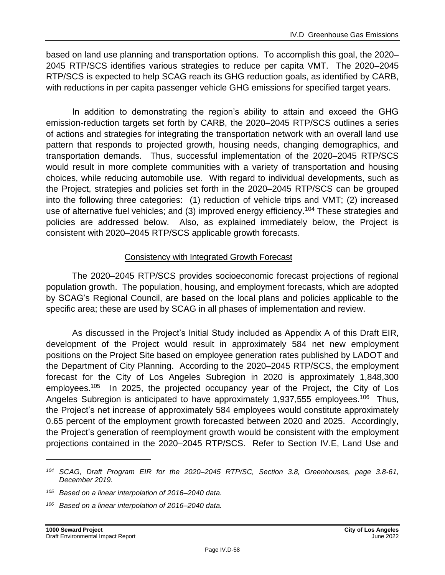based on land use planning and transportation options. To accomplish this goal, the 2020– 2045 RTP/SCS identifies various strategies to reduce per capita VMT. The 2020–2045 RTP/SCS is expected to help SCAG reach its GHG reduction goals, as identified by CARB, with reductions in per capita passenger vehicle GHG emissions for specified target years.

In addition to demonstrating the region's ability to attain and exceed the GHG emission-reduction targets set forth by CARB, the 2020–2045 RTP/SCS outlines a series of actions and strategies for integrating the transportation network with an overall land use pattern that responds to projected growth, housing needs, changing demographics, and transportation demands. Thus, successful implementation of the 2020–2045 RTP/SCS would result in more complete communities with a variety of transportation and housing choices, while reducing automobile use. With regard to individual developments, such as the Project, strategies and policies set forth in the 2020–2045 RTP/SCS can be grouped into the following three categories: (1) reduction of vehicle trips and VMT; (2) increased use of alternative fuel vehicles; and (3) improved energy efficiency.<sup>104</sup> These strategies and policies are addressed below. Also, as explained immediately below, the Project is consistent with 2020–2045 RTP/SCS applicable growth forecasts.

## Consistency with Integrated Growth Forecast

The 2020–2045 RTP/SCS provides socioeconomic forecast projections of regional population growth. The population, housing, and employment forecasts, which are adopted by SCAG's Regional Council, are based on the local plans and policies applicable to the specific area; these are used by SCAG in all phases of implementation and review.

As discussed in the Project's Initial Study included as Appendix A of this Draft EIR, development of the Project would result in approximately 584 net new employment positions on the Project Site based on employee generation rates published by LADOT and the Department of City Planning. According to the 2020–2045 RTP/SCS, the employment forecast for the City of Los Angeles Subregion in 2020 is approximately 1,848,300 employees.<sup>105</sup> In 2025, the projected occupancy year of the Project, the City of Los Angeles Subregion is anticipated to have approximately 1,937,555 employees.<sup>106</sup> Thus, the Project's net increase of approximately 584 employees would constitute approximately 0.65 percent of the employment growth forecasted between 2020 and 2025. Accordingly, the Project's generation of reemployment growth would be consistent with the employment projections contained in the 2020–2045 RTP/SCS. Refer to Section IV.E, Land Use and

*<sup>104</sup> SCAG, Draft Program EIR for the 2020–2045 RTP/SC, Section 3.8, Greenhouses, page 3.8-61, December 2019.*

*<sup>105</sup> Based on a linear interpolation of 2016–2040 data.*

*<sup>106</sup> Based on a linear interpolation of 2016–2040 data.*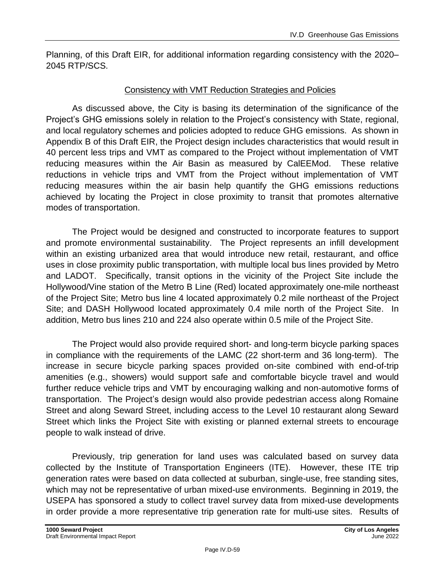Planning, of this Draft EIR, for additional information regarding consistency with the 2020– 2045 RTP/SCS.

### Consistency with VMT Reduction Strategies and Policies

As discussed above, the City is basing its determination of the significance of the Project's GHG emissions solely in relation to the Project's consistency with State, regional, and local regulatory schemes and policies adopted to reduce GHG emissions. As shown in Appendix B of this Draft EIR, the Project design includes characteristics that would result in 40 percent less trips and VMT as compared to the Project without implementation of VMT reducing measures within the Air Basin as measured by CalEEMod. These relative reductions in vehicle trips and VMT from the Project without implementation of VMT reducing measures within the air basin help quantify the GHG emissions reductions achieved by locating the Project in close proximity to transit that promotes alternative modes of transportation.

The Project would be designed and constructed to incorporate features to support and promote environmental sustainability. The Project represents an infill development within an existing urbanized area that would introduce new retail, restaurant, and office uses in close proximity public transportation, with multiple local bus lines provided by Metro and LADOT. Specifically, transit options in the vicinity of the Project Site include the Hollywood/Vine station of the Metro B Line (Red) located approximately one-mile northeast of the Project Site; Metro bus line 4 located approximately 0.2 mile northeast of the Project Site; and DASH Hollywood located approximately 0.4 mile north of the Project Site. In addition, Metro bus lines 210 and 224 also operate within 0.5 mile of the Project Site.

The Project would also provide required short- and long-term bicycle parking spaces in compliance with the requirements of the LAMC (22 short-term and 36 long-term). The increase in secure bicycle parking spaces provided on-site combined with end-of-trip amenities (e.g., showers) would support safe and comfortable bicycle travel and would further reduce vehicle trips and VMT by encouraging walking and non-automotive forms of transportation. The Project's design would also provide pedestrian access along Romaine Street and along Seward Street, including access to the Level 10 restaurant along Seward Street which links the Project Site with existing or planned external streets to encourage people to walk instead of drive.

Previously, trip generation for land uses was calculated based on survey data collected by the Institute of Transportation Engineers (ITE). However, these ITE trip generation rates were based on data collected at suburban, single-use, free standing sites, which may not be representative of urban mixed-use environments. Beginning in 2019, the USEPA has sponsored a study to collect travel survey data from mixed-use developments in order provide a more representative trip generation rate for multi-use sites. Results of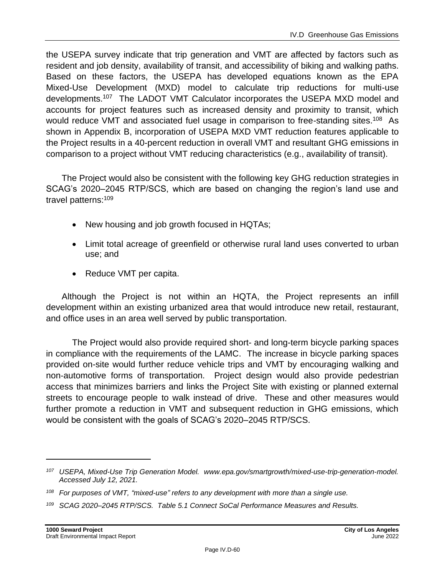the USEPA survey indicate that trip generation and VMT are affected by factors such as resident and job density, availability of transit, and accessibility of biking and walking paths. Based on these factors, the USEPA has developed equations known as the EPA Mixed-Use Development (MXD) model to calculate trip reductions for multi-use developments.<sup>107</sup> The LADOT VMT Calculator incorporates the USEPA MXD model and accounts for project features such as increased density and proximity to transit, which would reduce VMT and associated fuel usage in comparison to free-standing sites.<sup>108</sup> As shown in Appendix B, incorporation of USEPA MXD VMT reduction features applicable to the Project results in a 40-percent reduction in overall VMT and resultant GHG emissions in comparison to a project without VMT reducing characteristics (e.g., availability of transit).

The Project would also be consistent with the following key GHG reduction strategies in SCAG's 2020–2045 RTP/SCS, which are based on changing the region's land use and travel patterns:<sup>109</sup>

- New housing and job growth focused in HQTAs;
- Limit total acreage of greenfield or otherwise rural land uses converted to urban use; and
- Reduce VMT per capita.

Although the Project is not within an HQTA, the Project represents an infill development within an existing urbanized area that would introduce new retail, restaurant, and office uses in an area well served by public transportation.

The Project would also provide required short- and long-term bicycle parking spaces in compliance with the requirements of the LAMC. The increase in bicycle parking spaces provided on-site would further reduce vehicle trips and VMT by encouraging walking and non‑automotive forms of transportation. Project design would also provide pedestrian access that minimizes barriers and links the Project Site with existing or planned external streets to encourage people to walk instead of drive. These and other measures would further promote a reduction in VMT and subsequent reduction in GHG emissions, which would be consistent with the goals of SCAG's 2020–2045 RTP/SCS.

*<sup>107</sup> USEPA, Mixed-Use Trip Generation Model. [www.epa.gov/smartgrowth/mixed-use-trip-generation-model.](https://www.epa.gov/smartgrowth/mixed-use-trip-generation-model) Accessed July 12, 2021.*

*<sup>108</sup> For purposes of VMT, "mixed-use" refers to any development with more than a single use.*

*<sup>109</sup> SCAG 2020–2045 RTP/SCS. Table 5.1 Connect SoCal Performance Measures and Results.*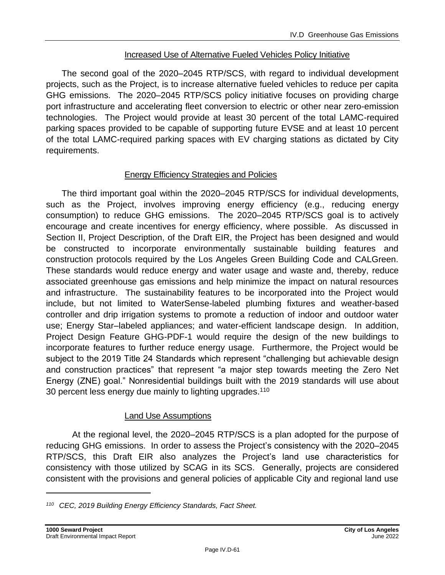### Increased Use of Alternative Fueled Vehicles Policy Initiative

The second goal of the 2020–2045 RTP/SCS, with regard to individual development projects, such as the Project, is to increase alternative fueled vehicles to reduce per capita GHG emissions. The 2020–2045 RTP/SCS policy initiative focuses on providing charge port infrastructure and accelerating fleet conversion to electric or other near zero-emission technologies. The Project would provide at least 30 percent of the total LAMC-required parking spaces provided to be capable of supporting future EVSE and at least 10 percent of the total LAMC-required parking spaces with EV charging stations as dictated by City requirements.

### Energy Efficiency Strategies and Policies

The third important goal within the 2020–2045 RTP/SCS for individual developments, such as the Project, involves improving energy efficiency (e.g., reducing energy consumption) to reduce GHG emissions. The 2020–2045 RTP/SCS goal is to actively encourage and create incentives for energy efficiency, where possible. As discussed in Section II, Project Description, of the Draft EIR, the Project has been designed and would be constructed to incorporate environmentally sustainable building features and construction protocols required by the Los Angeles Green Building Code and CALGreen. These standards would reduce energy and water usage and waste and, thereby, reduce associated greenhouse gas emissions and help minimize the impact on natural resources and infrastructure. The sustainability features to be incorporated into the Project would include, but not limited to WaterSense-labeled plumbing fixtures and weather-based controller and drip irrigation systems to promote a reduction of indoor and outdoor water use; Energy Star–labeled appliances; and water-efficient landscape design. In addition, Project Design Feature GHG-PDF-1 would require the design of the new buildings to incorporate features to further reduce energy usage. Furthermore, the Project would be subject to the 2019 Title 24 Standards which represent "challenging but achievable design and construction practices" that represent "a major step towards meeting the Zero Net Energy (ZNE) goal." Nonresidential buildings built with the 2019 standards will use about 30 percent less energy due mainly to lighting upgrades.<sup>110</sup>

## Land Use Assumptions

At the regional level, the 2020–2045 RTP/SCS is a plan adopted for the purpose of reducing GHG emissions. In order to assess the Project's consistency with the 2020–2045 RTP/SCS, this Draft EIR also analyzes the Project's land use characteristics for consistency with those utilized by SCAG in its SCS. Generally, projects are considered consistent with the provisions and general policies of applicable City and regional land use

*<sup>110</sup> CEC, 2019 Building Energy Efficiency Standards, Fact Sheet.*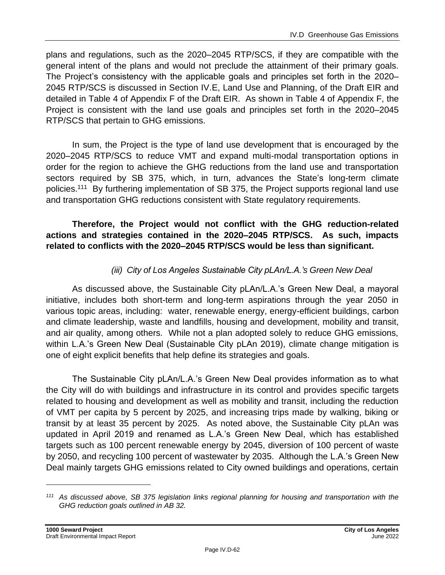plans and regulations, such as the 2020–2045 RTP/SCS, if they are compatible with the general intent of the plans and would not preclude the attainment of their primary goals. The Project's consistency with the applicable goals and principles set forth in the 2020– 2045 RTP/SCS is discussed in Section IV.E, Land Use and Planning, of the Draft EIR and detailed in Table 4 of Appendix F of the Draft EIR. As shown in Table 4 of Appendix F, the Project is consistent with the land use goals and principles set forth in the 2020–2045 RTP/SCS that pertain to GHG emissions.

In sum, the Project is the type of land use development that is encouraged by the 2020–2045 RTP/SCS to reduce VMT and expand multi-modal transportation options in order for the region to achieve the GHG reductions from the land use and transportation sectors required by SB 375, which, in turn, advances the State's long-term climate policies.<sup>111</sup> By furthering implementation of SB 375, the Project supports regional land use and transportation GHG reductions consistent with State regulatory requirements.

## **Therefore, the Project would not conflict with the GHG reduction-related actions and strategies contained in the 2020–2045 RTP/SCS. As such, impacts related to conflicts with the 2020–2045 RTP/SCS would be less than significant.**

# *(iii) City of Los Angeles Sustainable City pLAn/L.A.'s Green New Deal*

As discussed above, the Sustainable City pLAn/L.A.'s Green New Deal, a mayoral initiative, includes both short-term and long-term aspirations through the year 2050 in various topic areas, including: water, renewable energy, energy-efficient buildings, carbon and climate leadership, waste and landfills, housing and development, mobility and transit, and air quality, among others. While not a plan adopted solely to reduce GHG emissions, within L.A.'s Green New Deal (Sustainable City pLAn 2019), climate change mitigation is one of eight explicit benefits that help define its strategies and goals.

The Sustainable City pLAn/L.A.'s Green New Deal provides information as to what the City will do with buildings and infrastructure in its control and provides specific targets related to housing and development as well as mobility and transit, including the reduction of VMT per capita by 5 percent by 2025, and increasing trips made by walking, biking or transit by at least 35 percent by 2025. As noted above, the Sustainable City pLAn was updated in April 2019 and renamed as L.A.'s Green New Deal, which has established targets such as 100 percent renewable energy by 2045, diversion of 100 percent of waste by 2050, and recycling 100 percent of wastewater by 2035. Although the L.A.'s Green New Deal mainly targets GHG emissions related to City owned buildings and operations, certain

*<sup>111</sup> As discussed above, SB 375 legislation links regional planning for housing and transportation with the GHG reduction goals outlined in AB 32.*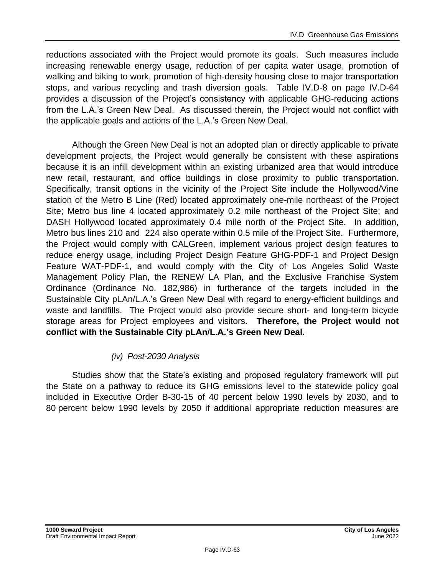reductions associated with the Project would promote its goals. Such measures include increasing renewable energy usage, reduction of per capita water usage, promotion of walking and biking to work, promotion of high-density housing close to major transportation stops, and various recycling and trash diversion goals. Table IV.D-8 on page IV.D-64 provides a discussion of the Project's consistency with applicable GHG-reducing actions from the L.A.'s Green New Deal. As discussed therein, the Project would not conflict with the applicable goals and actions of the L.A.'s Green New Deal.

Although the Green New Deal is not an adopted plan or directly applicable to private development projects, the Project would generally be consistent with these aspirations because it is an infill development within an existing urbanized area that would introduce new retail, restaurant, and office buildings in close proximity to public transportation. Specifically, transit options in the vicinity of the Project Site include the Hollywood/Vine station of the Metro B Line (Red) located approximately one-mile northeast of the Project Site; Metro bus line 4 located approximately 0.2 mile northeast of the Project Site; and DASH Hollywood located approximately 0.4 mile north of the Project Site. In addition, Metro bus lines 210 and 224 also operate within 0.5 mile of the Project Site. Furthermore, the Project would comply with CALGreen, implement various project design features to reduce energy usage, including Project Design Feature GHG-PDF-1 and Project Design Feature WAT-PDF-1, and would comply with the City of Los Angeles Solid Waste Management Policy Plan, the RENEW LA Plan, and the Exclusive Franchise System Ordinance (Ordinance No. 182,986) in furtherance of the targets included in the Sustainable City pLAn/L.A.'s Green New Deal with regard to energy-efficient buildings and waste and landfills. The Project would also provide secure short- and long-term bicycle storage areas for Project employees and visitors. **Therefore, the Project would not conflict with the Sustainable City pLAn/L.A.'s Green New Deal.**

# *(iv) Post-2030 Analysis*

Studies show that the State's existing and proposed regulatory framework will put the State on a pathway to reduce its GHG emissions level to the statewide policy goal included in Executive Order B-30-15 of 40 percent below 1990 levels by 2030, and to 80 percent below 1990 levels by 2050 if additional appropriate reduction measures are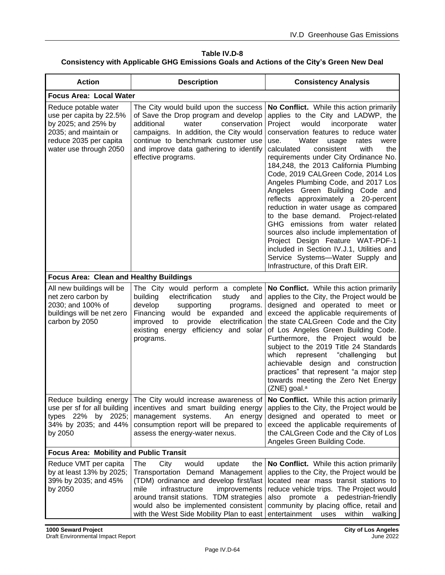**Table IV.D-8 Consistency with Applicable GHG Emissions Goals and Actions of the City's Green New Deal**

| <b>Action</b>                                                                                                                                       | <b>Description</b>                                                                                                                                                                                                                                                                           | <b>Consistency Analysis</b>                                                                                                                                                                                                                                                                                                                                                                                                                                                                                                                                                                                                                                                                                                                                                                                                   |
|-----------------------------------------------------------------------------------------------------------------------------------------------------|----------------------------------------------------------------------------------------------------------------------------------------------------------------------------------------------------------------------------------------------------------------------------------------------|-------------------------------------------------------------------------------------------------------------------------------------------------------------------------------------------------------------------------------------------------------------------------------------------------------------------------------------------------------------------------------------------------------------------------------------------------------------------------------------------------------------------------------------------------------------------------------------------------------------------------------------------------------------------------------------------------------------------------------------------------------------------------------------------------------------------------------|
| <b>Focus Area: Local Water</b>                                                                                                                      |                                                                                                                                                                                                                                                                                              |                                                                                                                                                                                                                                                                                                                                                                                                                                                                                                                                                                                                                                                                                                                                                                                                                               |
| Reduce potable water<br>use per capita by 22.5%<br>by 2025; and 25% by<br>2035; and maintain or<br>reduce 2035 per capita<br>water use through 2050 | The City would build upon the success<br>of Save the Drop program and develop<br>additional<br>water<br>conservation<br>campaigns. In addition, the City would<br>continue to benchmark customer use<br>and improve data gathering to identify<br>effective programs.                        | No Conflict. While this action primarily<br>applies to the City and LADWP, the<br>Project<br>incorporate<br>would<br>water<br>conservation features to reduce water<br>Water<br>use.<br>usage<br>rates<br>were<br>calculated<br>consistent<br>with<br>the<br>requirements under City Ordinance No.<br>184,248, the 2013 California Plumbing<br>Code, 2019 CALGreen Code, 2014 Los<br>Angeles Plumbing Code, and 2017 Los<br>Angeles Green Building Code and<br>reflects approximately a 20-percent<br>reduction in water usage as compared<br>to the base demand.<br>Project-related<br>GHG emissions from water related<br>sources also include implementation of<br>Project Design Feature WAT-PDF-1<br>included in Section IV.J.1, Utilities and<br>Service Systems-Water Supply and<br>Infrastructure, of this Draft EIR. |
| <b>Focus Area: Clean and Healthy Buildings</b>                                                                                                      |                                                                                                                                                                                                                                                                                              |                                                                                                                                                                                                                                                                                                                                                                                                                                                                                                                                                                                                                                                                                                                                                                                                                               |
| All new buildings will be<br>net zero carbon by<br>2030; and 100% of<br>buildings will be net zero<br>carbon by 2050                                | The City would perform a complete<br>building<br>electrification<br>study<br>and<br>develop<br>supporting<br>programs.<br>Financing would be expanded and<br>improved<br>provide<br>electrification<br>to<br>existing energy efficiency and solar<br>programs.                               | No Conflict. While this action primarily<br>applies to the City, the Project would be<br>designed and operated to meet or<br>exceed the applicable requirements of<br>the state CALGreen Code and the City<br>of Los Angeles Green Building Code.<br>Furthermore, the Project would be<br>subject to the 2019 Title 24 Standards<br>"challenging<br>which<br>represent<br>but<br>achievable design and construction<br>practices" that represent "a major step<br>towards meeting the Zero Net Energy<br>(ZNE) goal. <sup>a</sup>                                                                                                                                                                                                                                                                                             |
| Reduce building energy<br>use per sf for all building<br>types 22% by 2025;<br>34% by 2035; and 44%<br>by 2050                                      | The City would increase awareness of<br>incentives and smart building energy<br>management systems.<br>An energy<br>consumption report will be prepared to<br>assess the energy-water nexus.                                                                                                 | No Conflict. While this action primarily<br>applies to the City, the Project would be<br>designed and operated to meet or<br>exceed the applicable requirements of<br>the CALGreen Code and the City of Los<br>Angeles Green Building Code.                                                                                                                                                                                                                                                                                                                                                                                                                                                                                                                                                                                   |
| <b>Focus Area: Mobility and Public Transit</b>                                                                                                      |                                                                                                                                                                                                                                                                                              |                                                                                                                                                                                                                                                                                                                                                                                                                                                                                                                                                                                                                                                                                                                                                                                                                               |
| Reduce VMT per capita<br>by at least 13% by 2025;<br>39% by 2035; and 45%<br>by 2050                                                                | The<br>City<br>would<br>update<br>the<br>Transportation Demand Management<br>(TDM) ordinance and develop first/last<br>mile<br>infrastructure<br>improvements<br>around transit stations. TDM strategies<br>would also be implemented consistent<br>with the West Side Mobility Plan to east | No Conflict. While this action primarily<br>applies to the City, the Project would be<br>located near mass transit stations to<br>reduce vehicle trips. The Project would<br>pedestrian-friendly<br>also promote a<br>community by placing office, retail and<br>entertainment<br>uses<br>within<br>walking                                                                                                                                                                                                                                                                                                                                                                                                                                                                                                                   |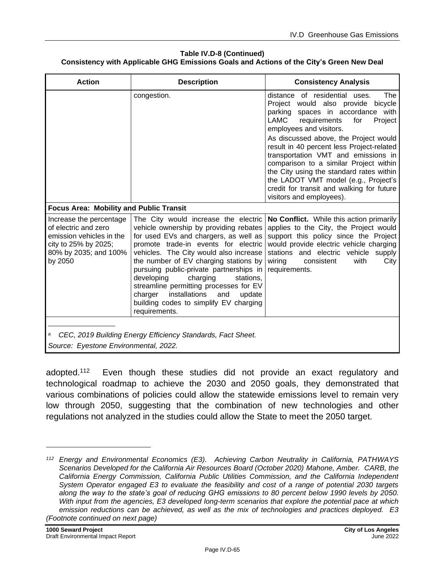#### **Table IV.D-8 (Continued) Consistency with Applicable GHG Emissions Goals and Actions of the City's Green New Deal**

| <b>Action</b>                                                                                                                           | <b>Description</b>                                                                                                                                                                                                                                                                                                                                                                                                                                                                     | <b>Consistency Analysis</b>                                                                                                                                                                                                                                                                                                      |
|-----------------------------------------------------------------------------------------------------------------------------------------|----------------------------------------------------------------------------------------------------------------------------------------------------------------------------------------------------------------------------------------------------------------------------------------------------------------------------------------------------------------------------------------------------------------------------------------------------------------------------------------|----------------------------------------------------------------------------------------------------------------------------------------------------------------------------------------------------------------------------------------------------------------------------------------------------------------------------------|
|                                                                                                                                         | congestion.                                                                                                                                                                                                                                                                                                                                                                                                                                                                            | distance of residential uses.<br>The<br>Project would also provide<br>bicycle<br>parking spaces in accordance with<br>LAMC<br>requirements<br>for<br>Project<br>employees and visitors.                                                                                                                                          |
|                                                                                                                                         |                                                                                                                                                                                                                                                                                                                                                                                                                                                                                        | As discussed above, the Project would<br>result in 40 percent less Project-related<br>transportation VMT and emissions in<br>comparison to a similar Project within<br>the City using the standard rates within<br>the LADOT VMT model (e.g., Project's<br>credit for transit and walking for future<br>visitors and employees). |
| <b>Focus Area: Mobility and Public Transit</b>                                                                                          |                                                                                                                                                                                                                                                                                                                                                                                                                                                                                        |                                                                                                                                                                                                                                                                                                                                  |
| Increase the percentage<br>of electric and zero<br>emission vehicles in the<br>city to 25% by 2025;<br>80% by 2035; and 100%<br>by 2050 | The City would increase the electric<br>vehicle ownership by providing rebates<br>for used EVs and chargers, as well as<br>promote trade-in events for electric<br>vehicles. The City would also increase<br>the number of EV charging stations by<br>pursuing public-private partnerships in<br>developing<br>charging<br>stations,<br>streamline permitting processes for EV<br>charger<br>installations<br>and<br>update<br>building codes to simplify EV charging<br>requirements. | No Conflict. While this action primarily<br>applies to the City, the Project would<br>support this policy since the Project<br>would provide electric vehicle charging<br>stations and electric vehicle<br>supply<br>wiring<br>consistent<br>with<br>City<br>requirements.                                                       |
| a                                                                                                                                       | CEC, 2019 Building Energy Efficiency Standards, Fact Sheet.                                                                                                                                                                                                                                                                                                                                                                                                                            |                                                                                                                                                                                                                                                                                                                                  |
| Source: Eyestone Environmental, 2022.                                                                                                   |                                                                                                                                                                                                                                                                                                                                                                                                                                                                                        |                                                                                                                                                                                                                                                                                                                                  |

adopted.<sup>112</sup> Even though these studies did not provide an exact regulatory and technological roadmap to achieve the 2030 and 2050 goals, they demonstrated that various combinations of policies could allow the statewide emissions level to remain very low through 2050, suggesting that the combination of new technologies and other regulations not analyzed in the studies could allow the State to meet the 2050 target.

*<sup>112</sup> Energy and Environmental Economics (E3). Achieving Carbon Neutrality in California, PATHWAYS Scenarios Developed for the California Air Resources Board (October 2020) Mahone, Amber. CARB, the California Energy Commission, California Public Utilities Commission, and the California Independent System Operator engaged E3 to evaluate the feasibility and cost of a range of potential 2030 targets along the way to the state's goal of reducing GHG emissions to 80 percent below 1990 levels by 2050. With input from the agencies, E3 developed long-term scenarios that explore the potential pace at which emission reductions can be achieved, as well as the mix of technologies and practices deployed. E3 (Footnote continued on next page)*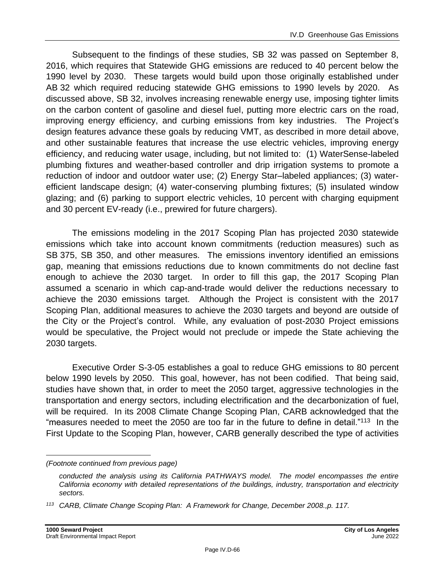Subsequent to the findings of these studies, SB 32 was passed on September 8, 2016, which requires that Statewide GHG emissions are reduced to 40 percent below the 1990 level by 2030. These targets would build upon those originally established under AB 32 which required reducing statewide GHG emissions to 1990 levels by 2020. As discussed above, SB 32, involves increasing renewable energy use, imposing tighter limits on the carbon content of gasoline and diesel fuel, putting more electric cars on the road, improving energy efficiency, and curbing emissions from key industries. The Project's design features advance these goals by reducing VMT, as described in more detail above, and other sustainable features that increase the use electric vehicles, improving energy efficiency, and reducing water usage, including, but not limited to: (1) WaterSense-labeled plumbing fixtures and weather-based controller and drip irrigation systems to promote a reduction of indoor and outdoor water use; (2) Energy Star–labeled appliances; (3) waterefficient landscape design; (4) water-conserving plumbing fixtures; (5) insulated window glazing; and (6) parking to support electric vehicles, 10 percent with charging equipment and 30 percent EV-ready (i.e., prewired for future chargers).

The emissions modeling in the 2017 Scoping Plan has projected 2030 statewide emissions which take into account known commitments (reduction measures) such as SB 375, SB 350, and other measures. The emissions inventory identified an emissions gap, meaning that emissions reductions due to known commitments do not decline fast enough to achieve the 2030 target. In order to fill this gap, the 2017 Scoping Plan assumed a scenario in which cap-and-trade would deliver the reductions necessary to achieve the 2030 emissions target. Although the Project is consistent with the 2017 Scoping Plan, additional measures to achieve the 2030 targets and beyond are outside of the City or the Project's control. While, any evaluation of post-2030 Project emissions would be speculative, the Project would not preclude or impede the State achieving the 2030 targets.

Executive Order S-3-05 establishes a goal to reduce GHG emissions to 80 percent below 1990 levels by 2050. This goal, however, has not been codified. That being said, studies have shown that, in order to meet the 2050 target, aggressive technologies in the transportation and energy sectors, including electrification and the decarbonization of fuel, will be required. In its 2008 Climate Change Scoping Plan, CARB acknowledged that the "measures needed to meet the 2050 are too far in the future to define in detail."<sup>113</sup> In the First Update to the Scoping Plan, however, CARB generally described the type of activities

*<sup>(</sup>Footnote continued from previous page)*

*conducted the analysis using its California PATHWAYS model. The model encompasses the entire California economy with detailed representations of the buildings, industry, transportation and electricity sectors.*

*<sup>113</sup> CARB, Climate Change Scoping Plan: A Framework for Change, December 2008.,p. 117.*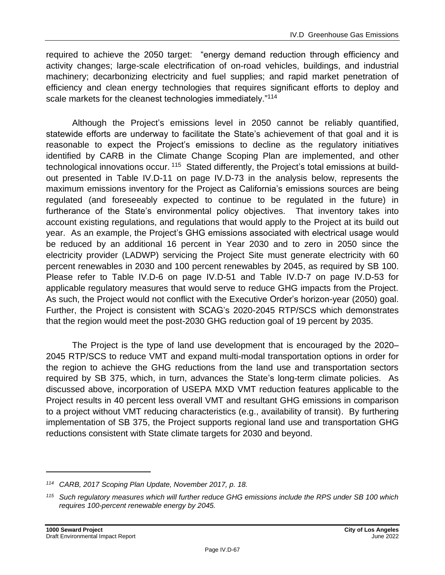required to achieve the 2050 target: "energy demand reduction through efficiency and activity changes; large-scale electrification of on-road vehicles, buildings, and industrial machinery; decarbonizing electricity and fuel supplies; and rapid market penetration of efficiency and clean energy technologies that requires significant efforts to deploy and scale markets for the cleanest technologies immediately."<sup>114</sup>

Although the Project's emissions level in 2050 cannot be reliably quantified, statewide efforts are underway to facilitate the State's achievement of that goal and it is reasonable to expect the Project's emissions to decline as the regulatory initiatives identified by CARB in the Climate Change Scoping Plan are implemented, and other technological innovations occur. <sup>115</sup> Stated differently, the Project's total emissions at buildout presented in Table IV.D-11 on page [IV.D-73](#page-72-0) in the analysis below, represents the maximum emissions inventory for the Project as California's emissions sources are being regulated (and foreseeably expected to continue to be regulated in the future) in furtherance of the State's environmental policy objectives. That inventory takes into account existing regulations, and regulations that would apply to the Project at its build out year. As an example, the Project's GHG emissions associated with electrical usage would be reduced by an additional 16 percent in Year 2030 and to zero in 2050 since the electricity provider (LADWP) servicing the Project Site must generate electricity with 60 percent renewables in 2030 and 100 percent renewables by 2045, as required by SB 100. Please refer to Table IV.D-6 on page IV.D-51 and Table IV.D-7 on page IV.D-53 for applicable regulatory measures that would serve to reduce GHG impacts from the Project. As such, the Project would not conflict with the Executive Order's horizon-year (2050) goal. Further, the Project is consistent with SCAG's 2020-2045 RTP/SCS which demonstrates that the region would meet the post-2030 GHG reduction goal of 19 percent by 2035.

The Project is the type of land use development that is encouraged by the 2020– 2045 RTP/SCS to reduce VMT and expand multi-modal transportation options in order for the region to achieve the GHG reductions from the land use and transportation sectors required by SB 375, which, in turn, advances the State's long-term climate policies. As discussed above, incorporation of USEPA MXD VMT reduction features applicable to the Project results in 40 percent less overall VMT and resultant GHG emissions in comparison to a project without VMT reducing characteristics (e.g., availability of transit). By furthering implementation of SB 375, the Project supports regional land use and transportation GHG reductions consistent with State climate targets for 2030 and beyond.

*<sup>114</sup> CARB, 2017 Scoping Plan Update, November 2017, p. 18.*

*<sup>115</sup> Such regulatory measures which will further reduce GHG emissions include the RPS under SB 100 which requires 100-percent renewable energy by 2045.*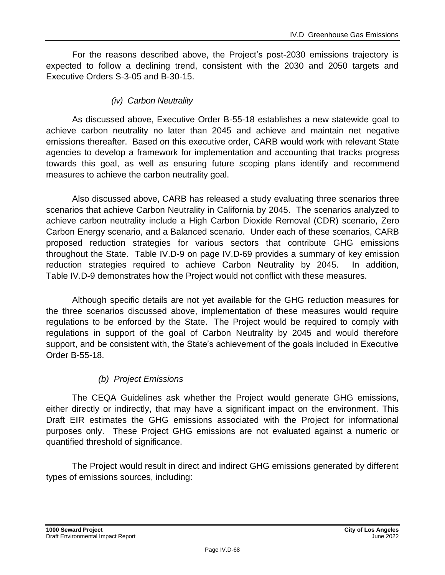For the reasons described above, the Project's post-2030 emissions trajectory is expected to follow a declining trend, consistent with the 2030 and 2050 targets and Executive Orders S-3-05 and B-30-15.

## *(iv) Carbon Neutrality*

As discussed above, Executive Order B-55-18 establishes a new statewide goal to achieve carbon neutrality no later than 2045 and achieve and maintain net negative emissions thereafter. Based on this executive order, CARB would work with relevant State agencies to develop a framework for implementation and accounting that tracks progress towards this goal, as well as ensuring future scoping plans identify and recommend measures to achieve the carbon neutrality goal.

Also discussed above, CARB has released a study evaluating three scenarios three scenarios that achieve Carbon Neutrality in California by 2045. The scenarios analyzed to achieve carbon neutrality include a High Carbon Dioxide Removal (CDR) scenario, Zero Carbon Energy scenario, and a Balanced scenario. Under each of these scenarios, CARB proposed reduction strategies for various sectors that contribute GHG emissions throughout the State. Table IV.D-9 on page IV.D-69 provides a summary of key emission reduction strategies required to achieve Carbon Neutrality by 2045. In addition, Table IV.D-9 demonstrates how the Project would not conflict with these measures.

Although specific details are not yet available for the GHG reduction measures for the three scenarios discussed above, implementation of these measures would require regulations to be enforced by the State. The Project would be required to comply with regulations in support of the goal of Carbon Neutrality by 2045 and would therefore support, and be consistent with, the State's achievement of the goals included in Executive Order B-55-18.

# *(b) Project Emissions*

The CEQA Guidelines ask whether the Project would generate GHG emissions, either directly or indirectly, that may have a significant impact on the environment. This Draft EIR estimates the GHG emissions associated with the Project for informational purposes only. These Project GHG emissions are not evaluated against a numeric or quantified threshold of significance.

The Project would result in direct and indirect GHG emissions generated by different types of emissions sources, including: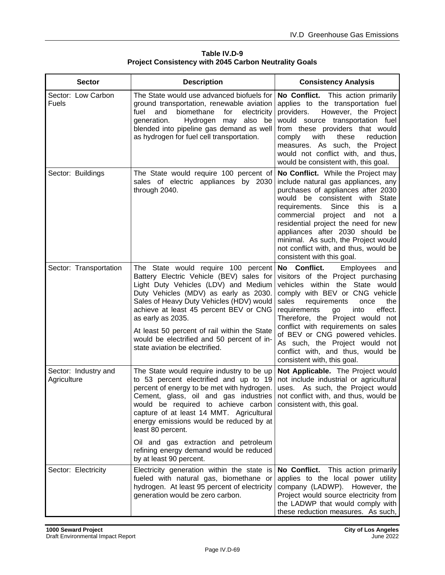| Table IV.D-9                                                 |
|--------------------------------------------------------------|
| <b>Project Consistency with 2045 Carbon Neutrality Goals</b> |

| <b>Sector</b>                       | <b>Description</b>                                                                                                                                                                                                                                                                                                                                                                                          | <b>Consistency Analysis</b>                                                                                                                                                                                                                                                                                                                                                                                                                             |
|-------------------------------------|-------------------------------------------------------------------------------------------------------------------------------------------------------------------------------------------------------------------------------------------------------------------------------------------------------------------------------------------------------------------------------------------------------------|---------------------------------------------------------------------------------------------------------------------------------------------------------------------------------------------------------------------------------------------------------------------------------------------------------------------------------------------------------------------------------------------------------------------------------------------------------|
| Sector: Low Carbon<br><b>Fuels</b>  | The State would use advanced biofuels for<br>ground transportation, renewable aviation<br>biomethane<br>fuel<br>and<br>for<br>electricity<br>generation.<br>Hydrogen<br>also be<br>may<br>blended into pipeline gas demand as well<br>as hydrogen for fuel cell transportation.                                                                                                                             | No Conflict. This action primarily<br>applies to the transportation fuel<br>However, the Project<br>providers.<br>would source transportation fuel<br>from these providers that would<br>comply<br>with<br>these<br>reduction<br>measures. As such, the Project<br>would not conflict with, and thus,<br>would be consistent with, this goal.                                                                                                           |
| Sector: Buildings                   | The State would require 100 percent of<br>sales of electric appliances by 2030<br>through 2040.                                                                                                                                                                                                                                                                                                             | No Conflict. While the Project may<br>include natural gas appliances, any<br>purchases of appliances after 2030<br>would be consistent with State<br>Since<br>requirements.<br>this<br>is<br>- a<br>commercial project and not a<br>residential project the need for new<br>appliances after 2030 should be<br>minimal. As such, the Project would<br>not conflict with, and thus, would be<br>consistent with this goal.                               |
| Sector: Transportation              | The State would require 100 percent<br>Battery Electric Vehicle (BEV) sales for<br>Light Duty Vehicles (LDV) and Medium<br>Duty Vehicles (MDV) as early as 2030.<br>Sales of Heavy Duty Vehicles (HDV) would<br>achieve at least 45 percent BEV or CNG<br>as early as 2035.<br>At least 50 percent of rail within the State<br>would be electrified and 50 percent of in-<br>state aviation be electrified. | No Conflict.<br><b>Employees</b><br>and<br>visitors of the Project purchasing<br>vehicles within the State would<br>comply with BEV or CNG vehicle<br>sales<br>requirements<br>the<br>once<br>effect.<br>requirements<br>into<br>go<br>Therefore, the Project would not<br>conflict with requirements on sales<br>of BEV or CNG powered vehicles.<br>As such, the Project would not<br>conflict with, and thus, would be<br>consistent with, this goal. |
| Sector: Industry and<br>Agriculture | The State would require industry to be up<br>to 53 percent electrified and up to 19<br>percent of energy to be met with hydrogen.<br>Cement, glass, oil and gas industries<br>would be required to achieve carbon consistent with, this goal.<br>capture of at least 14 MMT. Agricultural<br>energy emissions would be reduced by at<br>least 80 percent.                                                   | Not Applicable. The Project would<br>not include industrial or agricultural<br>uses. As such, the Project would<br>not conflict with, and thus, would be                                                                                                                                                                                                                                                                                                |
|                                     | Oil and gas extraction and petroleum<br>refining energy demand would be reduced<br>by at least 90 percent.                                                                                                                                                                                                                                                                                                  |                                                                                                                                                                                                                                                                                                                                                                                                                                                         |
| Sector: Electricity                 | Electricity generation within the state is<br>fueled with natural gas, biomethane or<br>hydrogen. At least 95 percent of electricity<br>generation would be zero carbon.                                                                                                                                                                                                                                    | No Conflict. This action primarily<br>applies to the local power utility<br>company (LADWP). However, the<br>Project would source electricity from<br>the LADWP that would comply with<br>these reduction measures. As such,                                                                                                                                                                                                                            |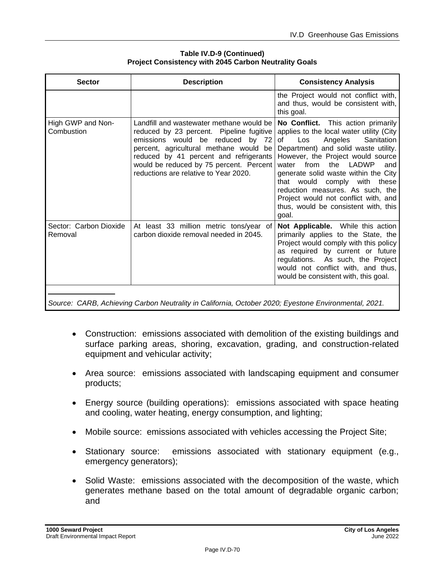| <b>Sector</b>                     | <b>Description</b>                                                                                                                                                                                                                                                                               | <b>Consistency Analysis</b>                                                                                                                                                                                                                                                                                                                                                                                                                       |
|-----------------------------------|--------------------------------------------------------------------------------------------------------------------------------------------------------------------------------------------------------------------------------------------------------------------------------------------------|---------------------------------------------------------------------------------------------------------------------------------------------------------------------------------------------------------------------------------------------------------------------------------------------------------------------------------------------------------------------------------------------------------------------------------------------------|
|                                   |                                                                                                                                                                                                                                                                                                  | the Project would not conflict with,<br>and thus, would be consistent with,<br>this goal.                                                                                                                                                                                                                                                                                                                                                         |
| High GWP and Non-<br>Combustion   | Landfill and wastewater methane would be<br>reduced by 23 percent. Pipeline fugitive<br>emissions would be reduced by 72<br>percent, agricultural methane would be<br>reduced by 41 percent and refrigerants<br>would be reduced by 75 percent. Percent<br>reductions are relative to Year 2020. | No Conflict. This action primarily<br>applies to the local water utility (City<br>Angeles<br>Sanitation<br>of<br>Los<br>Department) and solid waste utility.<br>However, the Project would source<br>LADWP<br>from<br>the<br>water<br>and<br>generate solid waste within the City<br>that would comply with<br>these<br>reduction measures. As such, the<br>Project would not conflict with, and<br>thus, would be consistent with, this<br>goal. |
| Sector: Carbon Dioxide<br>Removal | At least 33 million metric tons/year of<br>carbon dioxide removal needed in 2045.                                                                                                                                                                                                                | Not Applicable. While this action<br>primarily applies to the State, the<br>Project would comply with this policy<br>as required by current or future<br>regulations. As such, the Project<br>would not conflict with, and thus,<br>would be consistent with, this goal.                                                                                                                                                                          |

#### **Table IV.D-9 (Continued) Project Consistency with 2045 Carbon Neutrality Goals**

*Source: CARB, Achieving Carbon Neutrality in California, October 2020; Eyestone Environmental, 2021.*

- Construction: emissions associated with demolition of the existing buildings and surface parking areas, shoring, excavation, grading, and construction-related equipment and vehicular activity;
- Area source: emissions associated with landscaping equipment and consumer products;
- Energy source (building operations): emissions associated with space heating and cooling, water heating, energy consumption, and lighting;
- Mobile source: emissions associated with vehicles accessing the Project Site;
- Stationary source: emissions associated with stationary equipment (e.g., emergency generators);
- Solid Waste: emissions associated with the decomposition of the waste, which generates methane based on the total amount of degradable organic carbon; and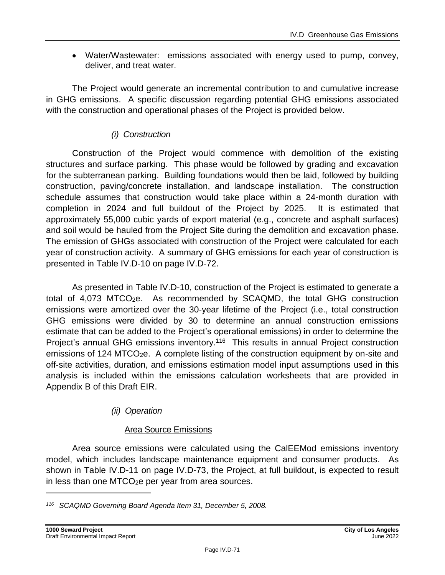• Water/Wastewater: emissions associated with energy used to pump, convey, deliver, and treat water.

The Project would generate an incremental contribution to and cumulative increase in GHG emissions. A specific discussion regarding potential GHG emissions associated with the construction and operational phases of the Project is provided below.

## *(i) Construction*

Construction of the Project would commence with demolition of the existing structures and surface parking. This phase would be followed by grading and excavation for the subterranean parking. Building foundations would then be laid, followed by building construction, paving/concrete installation, and landscape installation. The construction schedule assumes that construction would take place within a 24-month duration with completion in 2024 and full buildout of the Project by 2025. It is estimated that approximately 55,000 cubic yards of export material (e.g., concrete and asphalt surfaces) and soil would be hauled from the Project Site during the demolition and excavation phase. The emission of GHGs associated with construction of the Project were calculated for each year of construction activity. A summary of GHG emissions for each year of construction is presented in Table IV.D-10 on page [IV.D-72.](#page-71-0)

As presented in Table IV.D-10, construction of the Project is estimated to generate a total of 4,073 MTCO2e. As recommended by SCAQMD, the total GHG construction emissions were amortized over the 30-year lifetime of the Project (i.e., total construction GHG emissions were divided by 30 to determine an annual construction emissions estimate that can be added to the Project's operational emissions) in order to determine the Project's annual GHG emissions inventory.<sup>116</sup> This results in annual Project construction emissions of 124 MTCO<sub>2</sub>e. A complete listing of the construction equipment by on-site and off-site activities, duration, and emissions estimation model input assumptions used in this analysis is included within the emissions calculation worksheets that are provided in Appendix B of this Draft EIR.

## *(ii) Operation*

## Area Source Emissions

Area source emissions were calculated using the CalEEMod emissions inventory model, which includes landscape maintenance equipment and consumer products. As shown in Table IV.D-11 on page [IV.D-73,](#page-72-0) the Project, at full buildout, is expected to result in less than one MTCO<sub>2</sub>e per year from area sources.

*<sup>116</sup> SCAQMD Governing Board Agenda Item 31, December 5, 2008.*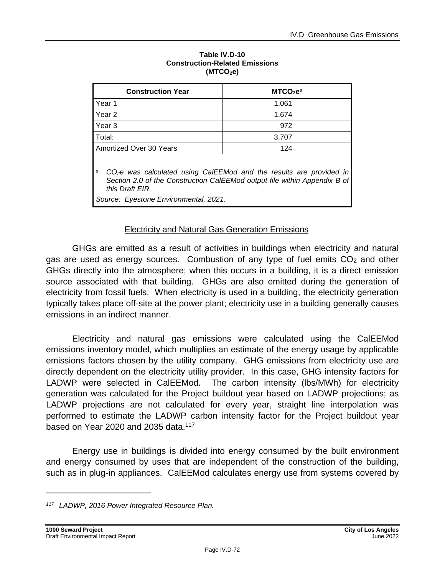<span id="page-71-0"></span>

| <b>Construction Year</b>                                                                                                                                                                                           | MTCO <sub>2</sub> e <sup>a</sup> |  |  |
|--------------------------------------------------------------------------------------------------------------------------------------------------------------------------------------------------------------------|----------------------------------|--|--|
| Year 1                                                                                                                                                                                                             | 1,061                            |  |  |
| Year 2                                                                                                                                                                                                             | 1,674                            |  |  |
| Year <sub>3</sub>                                                                                                                                                                                                  | 972                              |  |  |
| Total:                                                                                                                                                                                                             | 3,707                            |  |  |
| Amortized Over 30 Years                                                                                                                                                                                            | 124                              |  |  |
| $CO2e$ was calculated using CaIEEMod and the results are provided in<br>a<br>Section 2.0 of the Construction CalEEMod output file within Appendix B of<br>this Draft EIR.<br>Source: Eyestone Environmental, 2021. |                                  |  |  |

#### **Table IV.D-10 Construction-Related Emissions (MTCO2e)**

## **Electricity and Natural Gas Generation Emissions**

GHGs are emitted as a result of activities in buildings when electricity and natural gas are used as energy sources. Combustion of any type of fuel emits  $CO<sub>2</sub>$  and other GHGs directly into the atmosphere; when this occurs in a building, it is a direct emission source associated with that building. GHGs are also emitted during the generation of electricity from fossil fuels. When electricity is used in a building, the electricity generation typically takes place off-site at the power plant; electricity use in a building generally causes emissions in an indirect manner.

Electricity and natural gas emissions were calculated using the CalEEMod emissions inventory model, which multiplies an estimate of the energy usage by applicable emissions factors chosen by the utility company. GHG emissions from electricity use are directly dependent on the electricity utility provider. In this case, GHG intensity factors for LADWP were selected in CalEEMod. The carbon intensity (lbs/MWh) for electricity generation was calculated for the Project buildout year based on LADWP projections; as LADWP projections are not calculated for every year, straight line interpolation was performed to estimate the LADWP carbon intensity factor for the Project buildout year based on Year 2020 and 2035 data. $117$ 

Energy use in buildings is divided into energy consumed by the built environment and energy consumed by uses that are independent of the construction of the building, such as in plug-in appliances. CalEEMod calculates energy use from systems covered by

*<sup>117</sup> LADWP, 2016 Power Integrated Resource Plan.*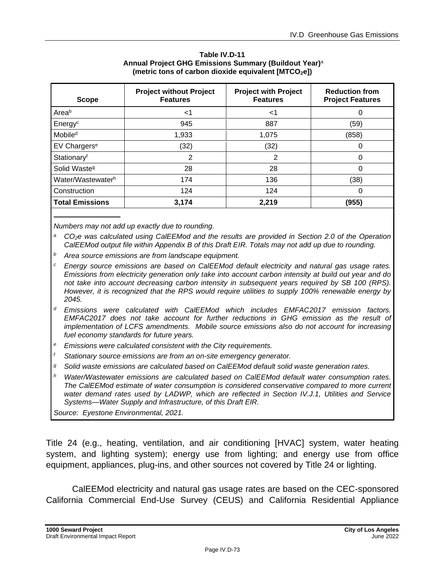<span id="page-72-0"></span>

| <b>Scope</b>             | <b>Project without Project</b><br><b>Features</b> | <b>Project with Project</b><br><b>Features</b> | <b>Reduction from</b><br><b>Project Features</b> |
|--------------------------|---------------------------------------------------|------------------------------------------------|--------------------------------------------------|
| Areab                    | ا>                                                | ا>                                             | 0                                                |
| Energy <sup>c</sup>      | 945                                               | 887                                            | (59)                                             |
| Mobile <sup>d</sup>      | 1,933                                             | 1,075                                          | (858)                                            |
| EV Chargers <sup>e</sup> | (32)                                              | (32)                                           | 0                                                |
| Stationaryf              | 2                                                 | 2                                              | 0                                                |
| Solid Waste <sup>9</sup> | 28                                                | 28                                             | 0                                                |
| Water/Wastewaterh        | 174                                               | 136                                            | (38)                                             |
| Construction             | 124                                               | 124                                            | 0                                                |
| <b>Total Emissions</b>   | 3,174                                             | 2.219                                          | (955)                                            |

**Table IV.D-11 Annual Project GHG Emissions Summary (Buildout Year)** a **(metric tons of carbon dioxide equivalent [MTCO2e])**

*Numbers may not add up exactly due to rounding.*

- *<sup>a</sup> CO2e was calculated using CalEEMod and the results are provided in Section 2.0 of the Operation CalEEMod output file within Appendix B of this Draft EIR. Totals may not add up due to rounding.*
- *<sup>b</sup> Area source emissions are from landscape equipment.*
- *<sup>c</sup> Energy source emissions are based on CalEEMod default electricity and natural gas usage rates. Emissions from electricity generation only take into account carbon intensity at build out year and do not take into account decreasing carbon intensity in subsequent years required by SB 100 (RPS). However, it is recognized that the RPS would require utilities to supply 100% renewable energy by 2045.*
- *<sup>d</sup> Emissions were calculated with CalEEMod which includes EMFAC2017 emission factors. EMFAC2017 does not take account for further reductions in GHG emission as the result of implementation of LCFS amendments. Mobile source emissions also do not account for increasing fuel economy standards for future years.*
- *<sup>e</sup> Emissions were calculated consistent with the City requirements.*
- *<sup>f</sup> Stationary source emissions are from an on-site emergency generator.*
- *<sup>g</sup> Solid waste emissions are calculated based on CalEEMod default solid waste generation rates.*
- *<sup>h</sup> Water/Wastewater emissions are calculated based on CalEEMod default water consumption rates. The CalEEMod estimate of water consumption is considered conservative compared to more current water demand rates used by LADWP, which are reflected in Section IV.J.1, Utilities and Service Systems—Water Supply and Infrastructure, of this Draft EIR.*

*Source: Eyestone Environmental, 2021.*

Title 24 (e.g., heating, ventilation, and air conditioning [HVAC] system, water heating system, and lighting system); energy use from lighting; and energy use from office equipment, appliances, plug-ins, and other sources not covered by Title 24 or lighting.

CalEEMod electricity and natural gas usage rates are based on the CEC-sponsored California Commercial End-Use Survey (CEUS) and California Residential Appliance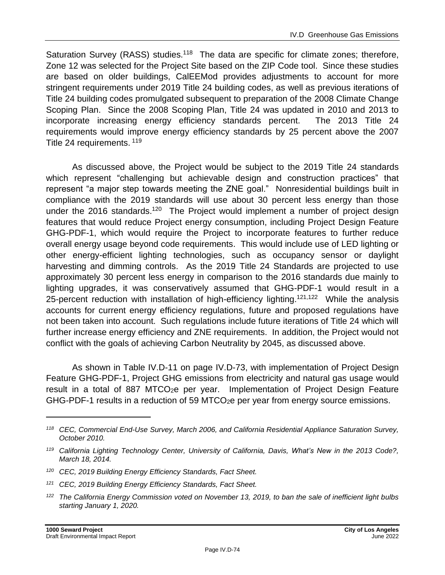Saturation Survey (RASS) studies.<sup>118</sup> The data are specific for climate zones; therefore, Zone 12 was selected for the Project Site based on the ZIP Code tool. Since these studies are based on older buildings, CalEEMod provides adjustments to account for more stringent requirements under 2019 Title 24 building codes, as well as previous iterations of Title 24 building codes promulgated subsequent to preparation of the 2008 Climate Change Scoping Plan. Since the 2008 Scoping Plan, Title 24 was updated in 2010 and 2013 to incorporate increasing energy efficiency standards percent. The 2013 Title 24 requirements would improve energy efficiency standards by 25 percent above the 2007 Title 24 requirements. <sup>119</sup>

As discussed above, the Project would be subject to the 2019 Title 24 standards which represent "challenging but achievable design and construction practices" that represent "a major step towards meeting the ZNE goal." Nonresidential buildings built in compliance with the 2019 standards will use about 30 percent less energy than those under the 2016 standards.<sup>120</sup> The Project would implement a number of project design features that would reduce Project energy consumption, including Project Design Feature GHG-PDF-1, which would require the Project to incorporate features to further reduce overall energy usage beyond code requirements. This would include use of LED lighting or other energy-efficient lighting technologies, such as occupancy sensor or daylight harvesting and dimming controls. As the 2019 Title 24 Standards are projected to use approximately 30 percent less energy in comparison to the 2016 standards due mainly to lighting upgrades, it was conservatively assumed that GHG-PDF-1 would result in a 25-percent reduction with installation of high-efficiency lighting.<sup>121,122</sup> While the analysis accounts for current energy efficiency regulations, future and proposed regulations have not been taken into account. Such regulations include future iterations of Title 24 which will further increase energy efficiency and ZNE requirements. In addition, the Project would not conflict with the goals of achieving Carbon Neutrality by 2045, as discussed above.

As shown in Table IV.D-11 on page [IV.D-73,](#page-72-0) with implementation of Project Design Feature GHG-PDF-1, Project GHG emissions from electricity and natural gas usage would result in a total of 887 MTCO2e per year. Implementation of Project Design Feature GHG-PDF-1 results in a reduction of 59 MTCO2e per year from energy source emissions.

*<sup>118</sup> CEC, Commercial End-Use Survey, March 2006, and California Residential Appliance Saturation Survey, October 2010.*

*<sup>119</sup> California Lighting Technology Center, University of California, Davis, What's New in the 2013 Code?, March 18, 2014.*

*<sup>120</sup> CEC, 2019 Building Energy Efficiency Standards, Fact Sheet.*

*<sup>121</sup> CEC, 2019 Building Energy Efficiency Standards, Fact Sheet.*

*<sup>122</sup> The California Energy Commission voted on November 13, 2019, to ban the sale of inefficient light bulbs starting January 1, 2020.*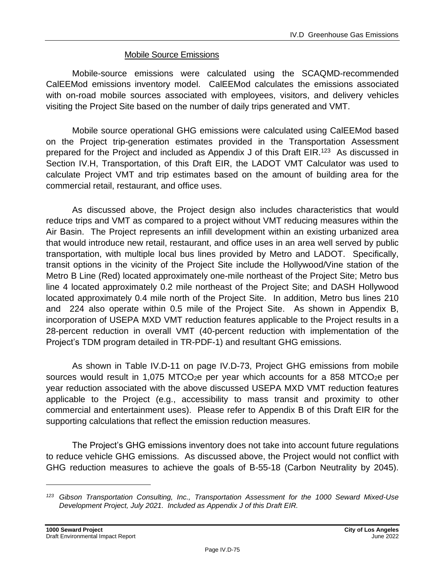#### Mobile Source Emissions

Mobile-source emissions were calculated using the SCAQMD-recommended CalEEMod emissions inventory model. CalEEMod calculates the emissions associated with on-road mobile sources associated with employees, visitors, and delivery vehicles visiting the Project Site based on the number of daily trips generated and VMT.

Mobile source operational GHG emissions were calculated using CalEEMod based on the Project trip-generation estimates provided in the Transportation Assessment prepared for the Project and included as Appendix J of this Draft EIR.<sup>123</sup> As discussed in Section IV.H, Transportation, of this Draft EIR, the LADOT VMT Calculator was used to calculate Project VMT and trip estimates based on the amount of building area for the commercial retail, restaurant, and office uses.

As discussed above, the Project design also includes characteristics that would reduce trips and VMT as compared to a project without VMT reducing measures within the Air Basin. The Project represents an infill development within an existing urbanized area that would introduce new retail, restaurant, and office uses in an area well served by public transportation, with multiple local bus lines provided by Metro and LADOT. Specifically, transit options in the vicinity of the Project Site include the Hollywood/Vine station of the Metro B Line (Red) located approximately one-mile northeast of the Project Site; Metro bus line 4 located approximately 0.2 mile northeast of the Project Site; and DASH Hollywood located approximately 0.4 mile north of the Project Site. In addition, Metro bus lines 210 and 224 also operate within 0.5 mile of the Project Site. As shown in Appendix B, incorporation of USEPA MXD VMT reduction features applicable to the Project results in a 28-percent reduction in overall VMT (40-percent reduction with implementation of the Project's TDM program detailed in TR-PDF-1) and resultant GHG emissions.

As shown in Table IV.D-11 on page [IV.D-73,](#page-72-0) Project GHG emissions from mobile sources would result in 1,075 MTCO<sub>2</sub>e per year which accounts for a 858 MTCO<sub>2</sub>e per year reduction associated with the above discussed USEPA MXD VMT reduction features applicable to the Project (e.g., accessibility to mass transit and proximity to other commercial and entertainment uses). Please refer to Appendix B of this Draft EIR for the supporting calculations that reflect the emission reduction measures.

The Project's GHG emissions inventory does not take into account future regulations to reduce vehicle GHG emissions. As discussed above, the Project would not conflict with GHG reduction measures to achieve the goals of B-55-18 (Carbon Neutrality by 2045).

*<sup>123</sup> Gibson Transportation Consulting, Inc., Transportation Assessment for the 1000 Seward Mixed-Use Development Project, July 2021. Included as Appendix J of this Draft EIR.*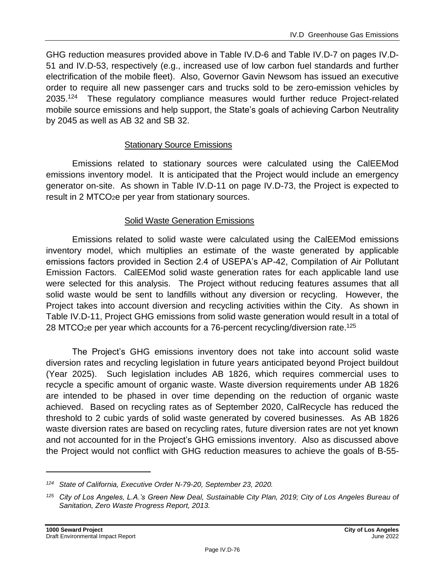GHG reduction measures provided above in Table IV.D-6 and Table IV.D-7 on pages IV.D-51 and IV.D-53, respectively (e.g., increased use of low carbon fuel standards and further electrification of the mobile fleet). Also, Governor Gavin Newsom has issued an executive order to require all new passenger cars and trucks sold to be zero-emission vehicles by  $2035.<sup>124</sup>$  These regulatory compliance measures would further reduce Project-related mobile source emissions and help support, the State's goals of achieving Carbon Neutrality by 2045 as well as AB 32 and SB 32.

#### Stationary Source Emissions

Emissions related to stationary sources were calculated using the CalEEMod emissions inventory model. It is anticipated that the Project would include an emergency generator on-site. As shown in Table IV.D-11 on page [IV.D-73,](#page-72-0) the Project is expected to result in 2 MTCO<sub>2</sub>e per year from stationary sources.

#### Solid Waste Generation Emissions

Emissions related to solid waste were calculated using the CalEEMod emissions inventory model, which multiplies an estimate of the waste generated by applicable emissions factors provided in Section 2.4 of USEPA's AP-42, Compilation of Air Pollutant Emission Factors. CalEEMod solid waste generation rates for each applicable land use were selected for this analysis. The Project without reducing features assumes that all solid waste would be sent to landfills without any diversion or recycling. However, the Project takes into account diversion and recycling activities within the City. As shown in Table IV.D-11, Project GHG emissions from solid waste generation would result in a total of 28 MTCO<sub>2</sub>e per year which accounts for a 76-percent recycling/diversion rate.<sup>125</sup>

The Project's GHG emissions inventory does not take into account solid waste diversion rates and recycling legislation in future years anticipated beyond Project buildout (Year 2025). Such legislation includes AB 1826, which requires commercial uses to recycle a specific amount of organic waste. Waste diversion requirements under AB 1826 are intended to be phased in over time depending on the reduction of organic waste achieved. Based on recycling rates as of September 2020, CalRecycle has reduced the threshold to 2 cubic yards of solid waste generated by covered businesses. As AB 1826 waste diversion rates are based on recycling rates, future diversion rates are not yet known and not accounted for in the Project's GHG emissions inventory. Also as discussed above the Project would not conflict with GHG reduction measures to achieve the goals of B-55-

*<sup>124</sup> State of California, Executive Order N-79-20, September 23, 2020.*

*<sup>125</sup> City of Los Angeles, L.A.'s Green New Deal, Sustainable City Plan, 2019; City of Los Angeles Bureau of Sanitation, Zero Waste Progress Report, 2013.*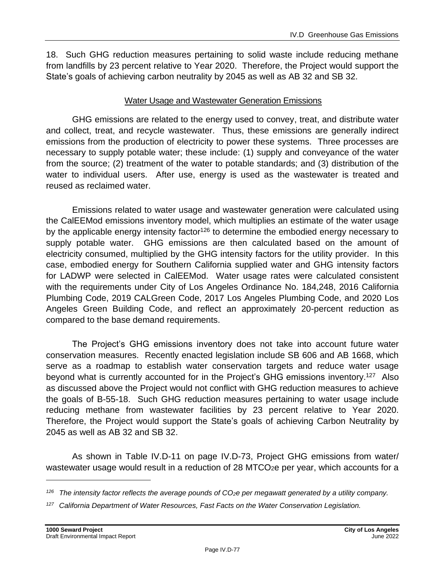18. Such GHG reduction measures pertaining to solid waste include reducing methane from landfills by 23 percent relative to Year 2020. Therefore, the Project would support the State's goals of achieving carbon neutrality by 2045 as well as AB 32 and SB 32.

#### Water Usage and Wastewater Generation Emissions

GHG emissions are related to the energy used to convey, treat, and distribute water and collect, treat, and recycle wastewater. Thus, these emissions are generally indirect emissions from the production of electricity to power these systems. Three processes are necessary to supply potable water; these include: (1) supply and conveyance of the water from the source; (2) treatment of the water to potable standards; and (3) distribution of the water to individual users. After use, energy is used as the wastewater is treated and reused as reclaimed water.

Emissions related to water usage and wastewater generation were calculated using the CalEEMod emissions inventory model, which multiplies an estimate of the water usage by the applicable energy intensity factor<sup>126</sup> to determine the embodied energy necessary to supply potable water. GHG emissions are then calculated based on the amount of electricity consumed, multiplied by the GHG intensity factors for the utility provider. In this case, embodied energy for Southern California supplied water and GHG intensity factors for LADWP were selected in CalEEMod. Water usage rates were calculated consistent with the requirements under City of Los Angeles Ordinance No. 184,248, 2016 California Plumbing Code, 2019 CALGreen Code, 2017 Los Angeles Plumbing Code, and 2020 Los Angeles Green Building Code, and reflect an approximately 20-percent reduction as compared to the base demand requirements.

The Project's GHG emissions inventory does not take into account future water conservation measures. Recently enacted legislation include SB 606 and AB 1668, which serve as a roadmap to establish water conservation targets and reduce water usage beyond what is currently accounted for in the Project's GHG emissions inventory.<sup>127</sup> Also as discussed above the Project would not conflict with GHG reduction measures to achieve the goals of B-55-18. Such GHG reduction measures pertaining to water usage include reducing methane from wastewater facilities by 23 percent relative to Year 2020. Therefore, the Project would support the State's goals of achieving Carbon Neutrality by 2045 as well as AB 32 and SB 32.

As shown in Table IV.D-11 on page [IV.D-73,](#page-72-0) Project GHG emissions from water/ wastewater usage would result in a reduction of 28 MTCO<sub>2</sub>e per year, which accounts for a

*<sup>126</sup> The intensity factor reflects the average pounds of CO2e per megawatt generated by a utility company.*

*<sup>127</sup> California Department of Water Resources, Fast Facts on the Water Conservation Legislation.*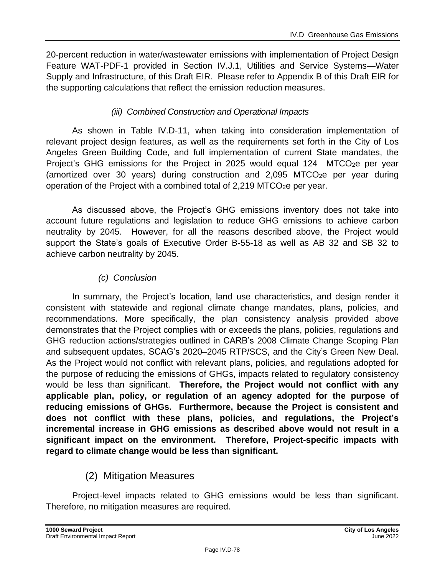20-percent reduction in water/wastewater emissions with implementation of Project Design Feature WAT-PDF-1 provided in Section IV.J.1, Utilities and Service Systems—Water Supply and Infrastructure, of this Draft EIR. Please refer to Appendix B of this Draft EIR for the supporting calculations that reflect the emission reduction measures.

#### *(iii) Combined Construction and Operational Impacts*

As shown in Table IV.D-11, when taking into consideration implementation of relevant project design features, as well as the requirements set forth in the City of Los Angeles Green Building Code, and full implementation of current State mandates, the Project's GHG emissions for the Project in 2025 would equal 124 MTCO<sub>2</sub>e per year (amortized over 30 years) during construction and  $2,095$  MTCO<sub>2</sub>e per year during operation of the Project with a combined total of  $2,219$  MTCO<sub>2</sub>e per year.

As discussed above, the Project's GHG emissions inventory does not take into account future regulations and legislation to reduce GHG emissions to achieve carbon neutrality by 2045. However, for all the reasons described above, the Project would support the State's goals of Executive Order B-55-18 as well as AB 32 and SB 32 to achieve carbon neutrality by 2045.

### *(c) Conclusion*

In summary, the Project's location, land use characteristics, and design render it consistent with statewide and regional climate change mandates, plans, policies, and recommendations. More specifically, the plan consistency analysis provided above demonstrates that the Project complies with or exceeds the plans, policies, regulations and GHG reduction actions/strategies outlined in CARB's 2008 Climate Change Scoping Plan and subsequent updates, SCAG's 2020–2045 RTP/SCS, and the City's Green New Deal. As the Project would not conflict with relevant plans, policies, and regulations adopted for the purpose of reducing the emissions of GHGs, impacts related to regulatory consistency would be less than significant. **Therefore, the Project would not conflict with any applicable plan, policy, or regulation of an agency adopted for the purpose of reducing emissions of GHGs. Furthermore, because the Project is consistent and does not conflict with these plans, policies, and regulations, the Project's incremental increase in GHG emissions as described above would not result in a significant impact on the environment. Therefore, Project-specific impacts with regard to climate change would be less than significant.**

# (2) Mitigation Measures

Project-level impacts related to GHG emissions would be less than significant. Therefore, no mitigation measures are required.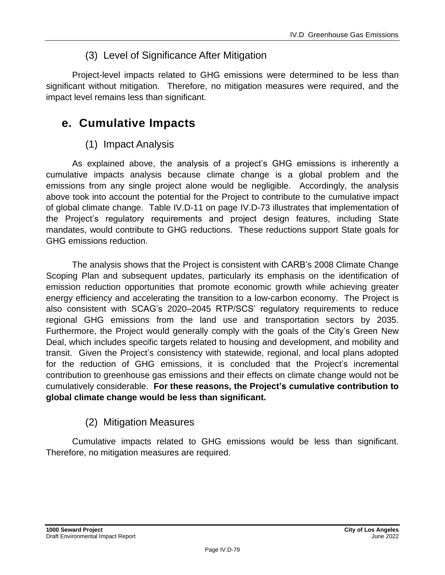# (3) Level of Significance After Mitigation

Project-level impacts related to GHG emissions were determined to be less than significant without mitigation. Therefore, no mitigation measures were required, and the impact level remains less than significant.

# **e. Cumulative Impacts**

### (1) Impact Analysis

As explained above, the analysis of a project's GHG emissions is inherently a cumulative impacts analysis because climate change is a global problem and the emissions from any single project alone would be negligible. Accordingly, the analysis above took into account the potential for the Project to contribute to the cumulative impact of global climate change. Table IV.D-11 on page IV.D-73 illustrates that implementation of the Project's regulatory requirements and project design features, including State mandates, would contribute to GHG reductions. These reductions support State goals for GHG emissions reduction.

The analysis shows that the Project is consistent with CARB's 2008 Climate Change Scoping Plan and subsequent updates, particularly its emphasis on the identification of emission reduction opportunities that promote economic growth while achieving greater energy efficiency and accelerating the transition to a low-carbon economy. The Project is also consistent with SCAG's 2020–2045 RTP/SCS' regulatory requirements to reduce regional GHG emissions from the land use and transportation sectors by 2035. Furthermore, the Project would generally comply with the goals of the City's Green New Deal, which includes specific targets related to housing and development, and mobility and transit.Given the Project's consistency with statewide, regional, and local plans adopted for the reduction of GHG emissions, it is concluded that the Project's incremental contribution to greenhouse gas emissions and their effects on climate change would not be cumulatively considerable. **For these reasons, the Project's cumulative contribution to global climate change would be less than significant.**

# (2) Mitigation Measures

Cumulative impacts related to GHG emissions would be less than significant. Therefore, no mitigation measures are required.